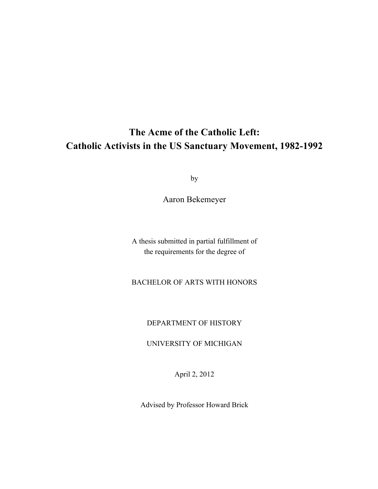# **The Acme of the Catholic Left: Catholic Activists in the US Sanctuary Movement, 1982-1992**

by

Aaron Bekemeyer

A thesis submitted in partial fulfillment of the requirements for the degree of

BACHELOR OF ARTS WITH HONORS

DEPARTMENT OF HISTORY

UNIVERSITY OF MICHIGAN

April 2, 2012

Advised by Professor Howard Brick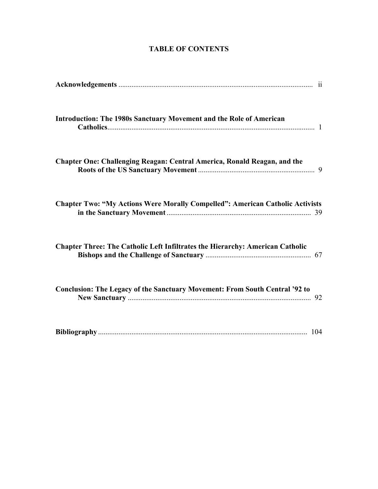| <b>Introduction: The 1980s Sanctuary Movement and the Role of American</b>           |
|--------------------------------------------------------------------------------------|
| <b>Chapter One: Challenging Reagan: Central America, Ronald Reagan, and the</b>      |
| <b>Chapter Two: "My Actions Were Morally Compelled": American Catholic Activists</b> |
| <b>Chapter Three: The Catholic Left Infiltrates the Hierarchy: American Catholic</b> |
| Conclusion: The Legacy of the Sanctuary Movement: From South Central '92 to          |
|                                                                                      |

## **TABLE OF CONTENTS**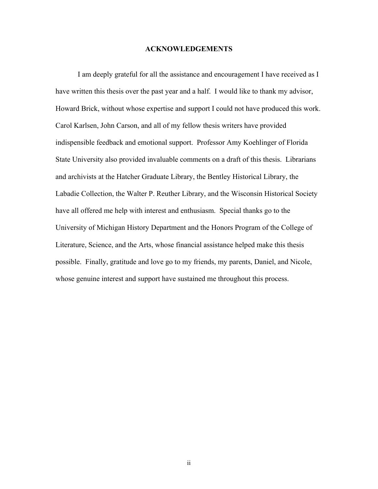#### **ACKNOWLEDGEMENTS**

I am deeply grateful for all the assistance and encouragement I have received as I have written this thesis over the past year and a half. I would like to thank my advisor, Howard Brick, without whose expertise and support I could not have produced this work. Carol Karlsen, John Carson, and all of my fellow thesis writers have provided indispensible feedback and emotional support. Professor Amy Koehlinger of Florida State University also provided invaluable comments on a draft of this thesis. Librarians and archivists at the Hatcher Graduate Library, the Bentley Historical Library, the Labadie Collection, the Walter P. Reuther Library, and the Wisconsin Historical Society have all offered me help with interest and enthusiasm. Special thanks go to the University of Michigan History Department and the Honors Program of the College of Literature, Science, and the Arts, whose financial assistance helped make this thesis possible. Finally, gratitude and love go to my friends, my parents, Daniel, and Nicole, whose genuine interest and support have sustained me throughout this process.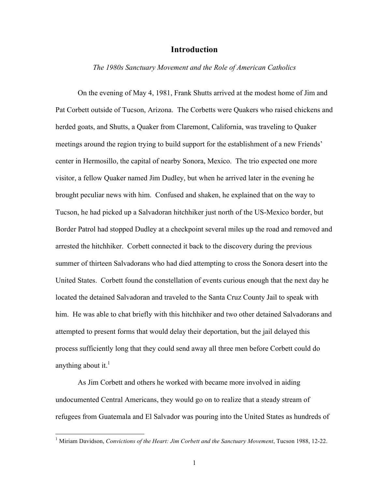#### **Introduction**

#### *The 1980s Sanctuary Movement and the Role of American Catholics*

On the evening of May 4, 1981, Frank Shutts arrived at the modest home of Jim and Pat Corbett outside of Tucson, Arizona. The Corbetts were Quakers who raised chickens and herded goats, and Shutts, a Quaker from Claremont, California, was traveling to Quaker meetings around the region trying to build support for the establishment of a new Friends' center in Hermosillo, the capital of nearby Sonora, Mexico. The trio expected one more visitor, a fellow Quaker named Jim Dudley, but when he arrived later in the evening he brought peculiar news with him. Confused and shaken, he explained that on the way to Tucson, he had picked up a Salvadoran hitchhiker just north of the US-Mexico border, but Border Patrol had stopped Dudley at a checkpoint several miles up the road and removed and arrested the hitchhiker. Corbett connected it back to the discovery during the previous summer of thirteen Salvadorans who had died attempting to cross the Sonora desert into the United States. Corbett found the constellation of events curious enough that the next day he located the detained Salvadoran and traveled to the Santa Cruz County Jail to speak with him. He was able to chat briefly with this hitchhiker and two other detained Salvadorans and attempted to present forms that would delay their deportation, but the jail delayed this process sufficiently long that they could send away all three men before Corbett could do anything about it. $<sup>1</sup>$ </sup>

As Jim Corbett and others he worked with became more involved in aiding undocumented Central Americans, they would go on to realize that a steady stream of refugees from Guatemala and El Salvador was pouring into the United States as hundreds of

 $\frac{1}{1}$ <sup>1</sup> Miriam Davidson, *Convictions of the Heart: Jim Corbett and the Sanctuary Movement*, Tucson 1988, 12-22.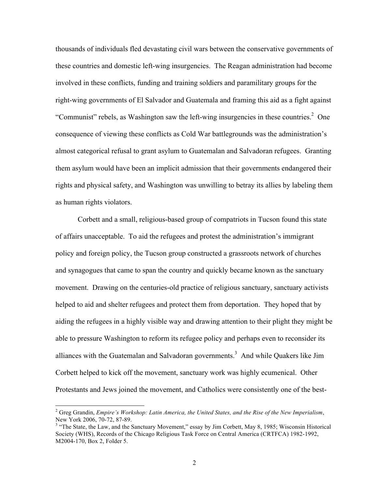thousands of individuals fled devastating civil wars between the conservative governments of these countries and domestic left-wing insurgencies. The Reagan administration had become involved in these conflicts, funding and training soldiers and paramilitary groups for the right-wing governments of El Salvador and Guatemala and framing this aid as a fight against "Communist" rebels, as Washington saw the left-wing insurgencies in these countries. $2$  One consequence of viewing these conflicts as Cold War battlegrounds was the administration's almost categorical refusal to grant asylum to Guatemalan and Salvadoran refugees. Granting them asylum would have been an implicit admission that their governments endangered their rights and physical safety, and Washington was unwilling to betray its allies by labeling them as human rights violators.

Corbett and a small, religious-based group of compatriots in Tucson found this state of affairs unacceptable. To aid the refugees and protest the administration's immigrant policy and foreign policy, the Tucson group constructed a grassroots network of churches and synagogues that came to span the country and quickly became known as the sanctuary movement. Drawing on the centuries-old practice of religious sanctuary, sanctuary activists helped to aid and shelter refugees and protect them from deportation. They hoped that by aiding the refugees in a highly visible way and drawing attention to their plight they might be able to pressure Washington to reform its refugee policy and perhaps even to reconsider its alliances with the Guatemalan and Salvadoran governments.<sup>3</sup> And while Quakers like Jim Corbett helped to kick off the movement, sanctuary work was highly ecumenical. Other Protestants and Jews joined the movement, and Catholics were consistently one of the best-

 $\frac{1}{2}$  Greg Grandin, *Empire's Workshop: Latin America, the United States, and the Rise of the New Imperialism*, New York 2006, 70-72, 87-89.

<sup>&</sup>lt;sup>3</sup> "The State, the Law, and the Sanctuary Movement," essay by Jim Corbett, May 8, 1985; Wisconsin Historical Society (WHS), Records of the Chicago Religious Task Force on Central America (CRTFCA) 1982-1992, M2004-170, Box 2, Folder 5.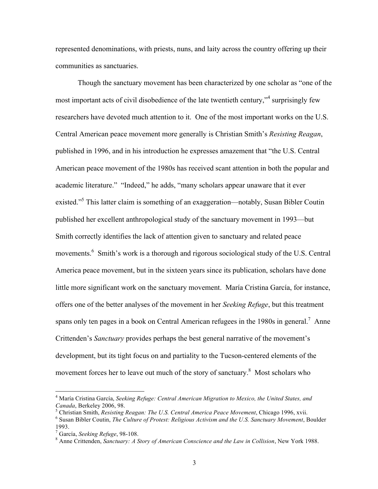represented denominations, with priests, nuns, and laity across the country offering up their communities as sanctuaries.

Though the sanctuary movement has been characterized by one scholar as "one of the most important acts of civil disobedience of the late twentieth century,"<sup>4</sup> surprisingly few researchers have devoted much attention to it. One of the most important works on the U.S. Central American peace movement more generally is Christian Smith's *Resisting Reagan*, published in 1996, and in his introduction he expresses amazement that "the U.S. Central American peace movement of the 1980s has received scant attention in both the popular and academic literature." "Indeed," he adds, "many scholars appear unaware that it ever existed."<sup>5</sup> This latter claim is something of an exaggeration—notably, Susan Bibler Coutin published her excellent anthropological study of the sanctuary movement in 1993—but Smith correctly identifies the lack of attention given to sanctuary and related peace movements.<sup>6</sup> Smith's work is a thorough and rigorous sociological study of the U.S. Central America peace movement, but in the sixteen years since its publication, scholars have done little more significant work on the sanctuary movement. María Cristina García, for instance, offers one of the better analyses of the movement in her *Seeking Refuge*, but this treatment spans only ten pages in a book on Central American refugees in the 1980s in general.<sup>7</sup> Anne Crittenden's *Sanctuary* provides perhaps the best general narrative of the movement's development, but its tight focus on and partiality to the Tucson-centered elements of the movement forces her to leave out much of the story of sanctuary.<sup>8</sup> Most scholars who

 $\frac{1}{4}$ <sup>4</sup> María Cristina García, *Seeking Refuge: Central American Migration to Mexico, the United States, and Canada*, Berkeley 2006, 98.

<sup>&</sup>lt;sup>5</sup> Christian Smith, *Resisting Reagan: The U.S. Central America Peace Movement*, Chicago 1996, xvii.

Susan Bibler Coutin, *The Culture of Protest: Religious Activism and the U.S. Sanctuary Movement*, Boulder 1993.

<sup>&</sup>lt;sup>7</sup> García, *Seeking Refuge*, 98-108.

Anne Crittenden, *Sanctuary: A Story of American Conscience and the Law in Collision*, New York 1988.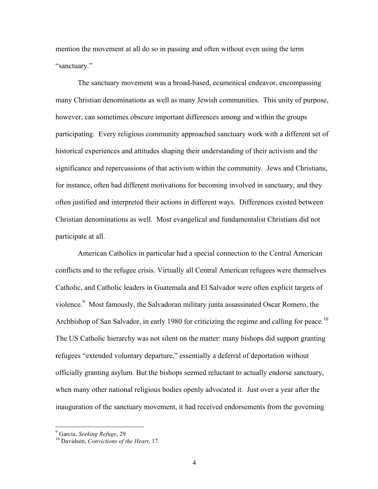mention the movement at all do so in passing and often without even using the term "sanctuary."

The sanctuary movement was a broad-based, ecumenical endeavor, encompassing many Christian denominations as well as many Jewish communities. This unity of purpose, however, can sometimes obscure important differences among and within the groups participating. Every religious community approached sanctuary work with a different set of historical experiences and attitudes shaping their understanding of their activism and the significance and repercussions of that activism within the community. Jews and Christians, for instance, often had different motivations for becoming involved in sanctuary, and they often justified and interpreted their actions in different ways. Differences existed between Christian denominations as well. Most evangelical and fundamentalist Christians did not participate at all.

American Catholics in particular had a special connection to the Central American conflicts and to the refugee crisis. Virtually all Central American refugees were themselves Catholic, and Catholic leaders in Guatemala and El Salvador were often explicit targets of violence.<sup>9</sup> Most famously, the Salvadoran military junta assassinated Oscar Romero, the Archbishop of San Salvador, in early 1980 for criticizing the regime and calling for peace.<sup>10</sup> The US Catholic hierarchy was not silent on the matter: many bishops did support granting refugees "extended voluntary departure," essentially a deferral of deportation without officially granting asylum. But the bishops seemed reluctant to actually endorse sanctuary, when many other national religious bodies openly advocated it. Just over a year after the inauguration of the sanctuary movement, it had received endorsements from the governing

<sup>-&</sup>lt;br>9

<sup>&</sup>lt;sup>9</sup> García, *Seeking Refuge*, 29<br><sup>10</sup> Davidson, *Convictions of the Heart*, 17.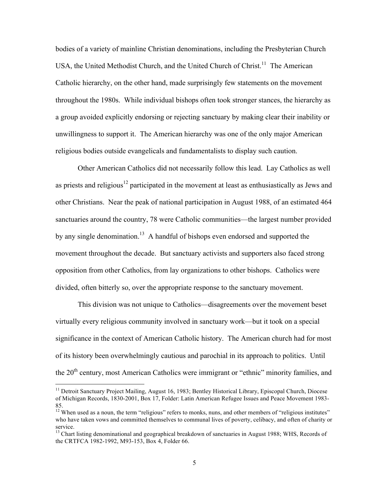bodies of a variety of mainline Christian denominations, including the Presbyterian Church USA, the United Methodist Church, and the United Church of Christ.<sup>11</sup> The American Catholic hierarchy, on the other hand, made surprisingly few statements on the movement throughout the 1980s. While individual bishops often took stronger stances, the hierarchy as a group avoided explicitly endorsing or rejecting sanctuary by making clear their inability or unwillingness to support it. The American hierarchy was one of the only major American religious bodies outside evangelicals and fundamentalists to display such caution.

Other American Catholics did not necessarily follow this lead. Lay Catholics as well as priests and religious<sup>12</sup> participated in the movement at least as enthusiastically as Jews and other Christians. Near the peak of national participation in August 1988, of an estimated 464 sanctuaries around the country, 78 were Catholic communities—the largest number provided by any single denomination.<sup>13</sup> A handful of bishops even endorsed and supported the movement throughout the decade. But sanctuary activists and supporters also faced strong opposition from other Catholics, from lay organizations to other bishops. Catholics were divided, often bitterly so, over the appropriate response to the sanctuary movement.

This division was not unique to Catholics—disagreements over the movement beset virtually every religious community involved in sanctuary work—but it took on a special significance in the context of American Catholic history. The American church had for most of its history been overwhelmingly cautious and parochial in its approach to politics. Until the 20<sup>th</sup> century, most American Catholics were immigrant or "ethnic" minority families, and

<sup>&</sup>lt;sup>11</sup> Detroit Sanctuary Project Mailing, August 16, 1983; Bentley Historical Library, Episcopal Church, Diocese of Michigan Records, 1830-2001, Box 17, Folder: Latin American Refugee Issues and Peace Movement 1983- 85.

<sup>&</sup>lt;sup>12</sup> When used as a noun, the term "religious" refers to monks, nuns, and other members of "religious institutes" who have taken vows and committed themselves to communal lives of poverty, celibacy, and often of charity or service.

<sup>&</sup>lt;sup>13</sup> Chart listing denominational and geographical breakdown of sanctuaries in August 1988; WHS, Records of the CRTFCA 1982-1992, M93-153, Box 4, Folder 66.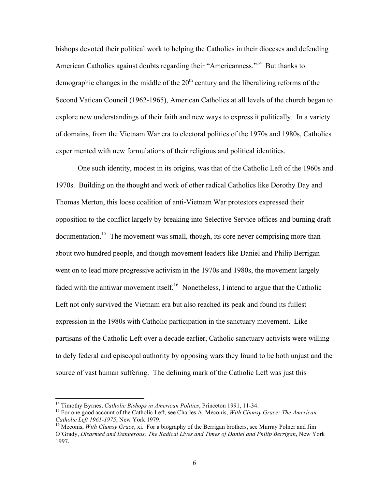bishops devoted their political work to helping the Catholics in their dioceses and defending American Catholics against doubts regarding their "Americanness."<sup>14</sup> But thanks to demographic changes in the middle of the  $20<sup>th</sup>$  century and the liberalizing reforms of the Second Vatican Council (1962-1965), American Catholics at all levels of the church began to explore new understandings of their faith and new ways to express it politically. In a variety of domains, from the Vietnam War era to electoral politics of the 1970s and 1980s, Catholics experimented with new formulations of their religious and political identities.

One such identity, modest in its origins, was that of the Catholic Left of the 1960s and 1970s. Building on the thought and work of other radical Catholics like Dorothy Day and Thomas Merton, this loose coalition of anti-Vietnam War protestors expressed their opposition to the conflict largely by breaking into Selective Service offices and burning draft documentation.<sup>15</sup> The movement was small, though, its core never comprising more than about two hundred people, and though movement leaders like Daniel and Philip Berrigan went on to lead more progressive activism in the 1970s and 1980s, the movement largely faded with the antiwar movement itself.<sup>16</sup> Nonetheless, I intend to argue that the Catholic Left not only survived the Vietnam era but also reached its peak and found its fullest expression in the 1980s with Catholic participation in the sanctuary movement. Like partisans of the Catholic Left over a decade earlier, Catholic sanctuary activists were willing to defy federal and episcopal authority by opposing wars they found to be both unjust and the source of vast human suffering. The defining mark of the Catholic Left was just this

<sup>&</sup>lt;sup>14</sup> Timothy Byrnes, *Catholic Bishops in American Politics*, Princeton 1991, 11-34.<br><sup>15</sup> For one good account of the Catholic Left, see Charles A. Meconis, *With Clumsy Grace: The American Catholic Left 1961-1975*, New York 1979.<br><sup>16</sup> Meconis, *With Clumsy Grace*, xi. For a biography of the Berrigan brothers, see Murray Polner and Jim

O'Grady, *Disarmed and Dangerous: The Radical Lives and Times of Daniel and Philip Berrigan*, New York 1997.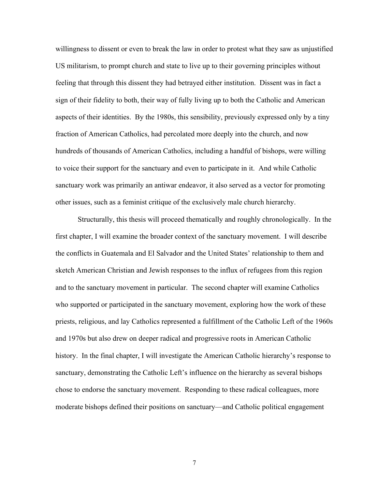willingness to dissent or even to break the law in order to protest what they saw as unjustified US militarism, to prompt church and state to live up to their governing principles without feeling that through this dissent they had betrayed either institution. Dissent was in fact a sign of their fidelity to both, their way of fully living up to both the Catholic and American aspects of their identities. By the 1980s, this sensibility, previously expressed only by a tiny fraction of American Catholics, had percolated more deeply into the church, and now hundreds of thousands of American Catholics, including a handful of bishops, were willing to voice their support for the sanctuary and even to participate in it. And while Catholic sanctuary work was primarily an antiwar endeavor, it also served as a vector for promoting other issues, such as a feminist critique of the exclusively male church hierarchy.

Structurally, this thesis will proceed thematically and roughly chronologically. In the first chapter, I will examine the broader context of the sanctuary movement. I will describe the conflicts in Guatemala and El Salvador and the United States' relationship to them and sketch American Christian and Jewish responses to the influx of refugees from this region and to the sanctuary movement in particular. The second chapter will examine Catholics who supported or participated in the sanctuary movement, exploring how the work of these priests, religious, and lay Catholics represented a fulfillment of the Catholic Left of the 1960s and 1970s but also drew on deeper radical and progressive roots in American Catholic history. In the final chapter, I will investigate the American Catholic hierarchy's response to sanctuary, demonstrating the Catholic Left's influence on the hierarchy as several bishops chose to endorse the sanctuary movement. Responding to these radical colleagues, more moderate bishops defined their positions on sanctuary—and Catholic political engagement

7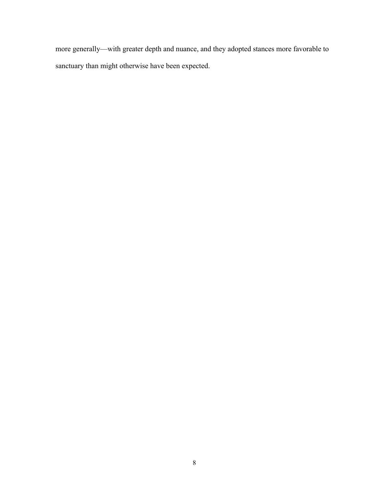more generally—with greater depth and nuance, and they adopted stances more favorable to sanctuary than might otherwise have been expected.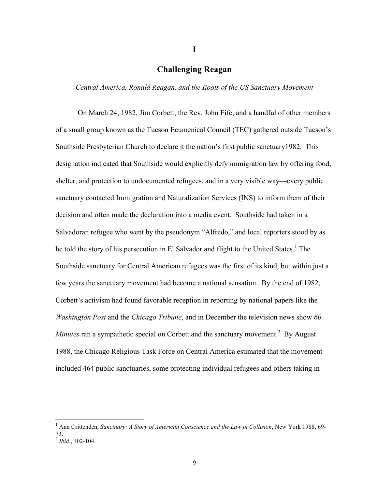### **Challenging Reagan**

**I**

*Central America, Ronald Reagan, and the Roots of the US Sanctuary Movement*

On March 24, 1982, Jim Corbett, the Rev. John Fife, and a handful of other members of a small group known as the Tucson Ecumenical Council (TEC) gathered outside Tucson's Southside Presbyterian Church to declare it the nation's first public sanctuary1982. This designation indicated that Southside would explicitly defy immigration law by offering food, shelter, and protection to undocumented refugees, and in a very visible way—every public sanctuary contacted Immigration and Naturalization Services (INS) to inform them of their decision and often made the declaration into a media event. Southside had taken in a Salvadoran refugee who went by the pseudonym "Alfredo," and local reporters stood by as he told the story of his persecution in El Salvador and flight to the United States.<sup>1</sup> The Southside sanctuary for Central American refugees was the first of its kind, but within just a few years the sanctuary movement had become a national sensation. By the end of 1982, Corbett's activism had found favorable reception in reporting by national papers like the *Washington Post* and the *Chicago Tribune*, and in December the television news show *60 Minutes* ran a sympathetic special on Corbett and the sanctuary movement.<sup>2</sup> By August 1988, the Chicago Religious Task Force on Central America estimated that the movement included 464 public sanctuaries, some protecting individual refugees and others taking in

 $\frac{1}{1}$ <sup>1</sup> Ann Crittenden, *Sanctuary: A Story of American Conscience and the Law in Collision*, New York 1988, 69-73. <sup>2</sup> *Ibid*., 102-104.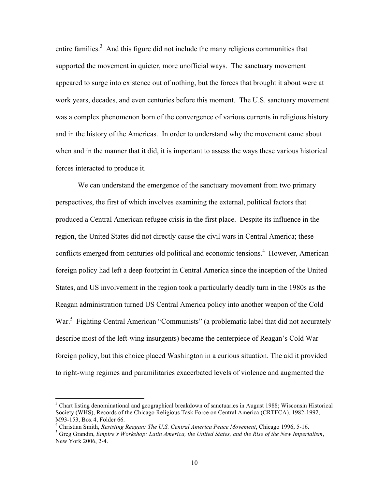entire families. $3$  And this figure did not include the many religious communities that supported the movement in quieter, more unofficial ways. The sanctuary movement appeared to surge into existence out of nothing, but the forces that brought it about were at work years, decades, and even centuries before this moment. The U.S. sanctuary movement was a complex phenomenon born of the convergence of various currents in religious history and in the history of the Americas. In order to understand why the movement came about when and in the manner that it did, it is important to assess the ways these various historical forces interacted to produce it.

We can understand the emergence of the sanctuary movement from two primary perspectives, the first of which involves examining the external, political factors that produced a Central American refugee crisis in the first place. Despite its influence in the region, the United States did not directly cause the civil wars in Central America; these conflicts emerged from centuries-old political and economic tensions.<sup>4</sup> However, American foreign policy had left a deep footprint in Central America since the inception of the United States, and US involvement in the region took a particularly deadly turn in the 1980s as the Reagan administration turned US Central America policy into another weapon of the Cold War.<sup>5</sup> Fighting Central American "Communists" (a problematic label that did not accurately describe most of the left-wing insurgents) became the centerpiece of Reagan's Cold War foreign policy, but this choice placed Washington in a curious situation. The aid it provided to right-wing regimes and paramilitaries exacerbated levels of violence and augmented the

 <sup>3</sup>  $3$  Chart listing denominational and geographical breakdown of sanctuaries in August 1988; Wisconsin Historical Society (WHS), Records of the Chicago Religious Task Force on Central America (CRTFCA), 1982-1992, M93-153, Box 4, Folder 66.

<sup>&</sup>lt;sup>4</sup> Christian Smith, *Resisting Reagan: The U.S. Central America Peace Movement*, Chicago 1996, 5-16.

Greg Grandin, *Empire's Workshop: Latin America, the United States, and the Rise of the New Imperialism*, New York 2006, 2-4.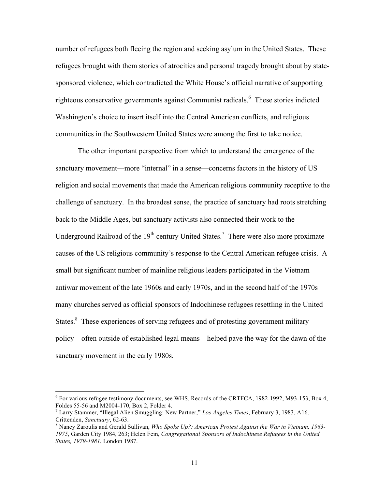number of refugees both fleeing the region and seeking asylum in the United States. These refugees brought with them stories of atrocities and personal tragedy brought about by statesponsored violence, which contradicted the White House's official narrative of supporting righteous conservative governments against Communist radicals.<sup>6</sup> These stories indicted Washington's choice to insert itself into the Central American conflicts, and religious communities in the Southwestern United States were among the first to take notice.

The other important perspective from which to understand the emergence of the sanctuary movement—more "internal" in a sense—concerns factors in the history of US religion and social movements that made the American religious community receptive to the challenge of sanctuary. In the broadest sense, the practice of sanctuary had roots stretching back to the Middle Ages, but sanctuary activists also connected their work to the Underground Railroad of the  $19<sup>th</sup>$  century United States.<sup>7</sup> There were also more proximate causes of the US religious community's response to the Central American refugee crisis. A small but significant number of mainline religious leaders participated in the Vietnam antiwar movement of the late 1960s and early 1970s, and in the second half of the 1970s many churches served as official sponsors of Indochinese refugees resettling in the United States.<sup>8</sup> These experiences of serving refugees and of protesting government military policy—often outside of established legal means—helped pave the way for the dawn of the sanctuary movement in the early 1980s.

 $\frac{1}{6}$  $6$  For various refugee testimony documents, see WHS, Records of the CRTFCA, 1982-1992, M93-153, Box 4, Foldes 55-56 and M2004-170, Box 2, Folder 4. <sup>7</sup>

Larry Stammer, "Illegal Alien Smuggling: New Partner," *Los Angeles Times*, February 3, 1983, A16. Crittenden, *Sanctuary*, 62-63. <sup>8</sup>

Nancy Zaroulis and Gerald Sullivan, *Who Spoke Up?: American Protest Against the War in Vietnam, 1963- 1975*, Garden City 1984, 263; Helen Fein, *Congregational Sponsors of Indochinese Refugees in the United States, 1979-1981*, London 1987.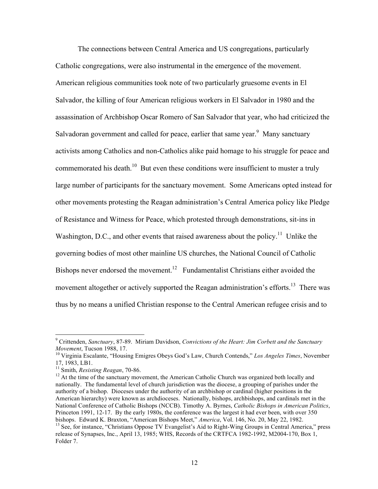The connections between Central America and US congregations, particularly Catholic congregations, were also instrumental in the emergence of the movement. American religious communities took note of two particularly gruesome events in El Salvador, the killing of four American religious workers in El Salvador in 1980 and the assassination of Archbishop Oscar Romero of San Salvador that year, who had criticized the Salvadoran government and called for peace, earlier that same year.<sup>9</sup> Many sanctuary activists among Catholics and non-Catholics alike paid homage to his struggle for peace and commemorated his death.<sup>10</sup> But even these conditions were insufficient to muster a truly large number of participants for the sanctuary movement. Some Americans opted instead for other movements protesting the Reagan administration's Central America policy like Pledge of Resistance and Witness for Peace, which protested through demonstrations, sit-ins in Washington, D.C., and other events that raised awareness about the policy.<sup>11</sup> Unlike the governing bodies of most other mainline US churches, the National Council of Catholic Bishops never endorsed the movement.<sup>12</sup> Fundamentalist Christians either avoided the movement altogether or actively supported the Reagan administration's efforts.<sup>13</sup> There was thus by no means a unified Christian response to the Central American refugee crisis and to

<sup>-&</sup>lt;br>9 Crittenden, *Sanctuary*, 87-89. Miriam Davidson, *Convictions of the Heart: Jim Corbett and the Sanctuary* 

*Movement*, Tucson 1988, 17.<br><sup>10</sup> Virginia Escalante, "Housing Emigres Obeys God's Law, Church Contends," *Los Angeles Times*, November 17, 1983, LB1.

<sup>&</sup>lt;sup>11</sup> Smith, *Resisting Reagan*, 70-86.<br><sup>12</sup> At the time of the sanctuary movement, the American Catholic Church was organized both locally and nationally. The fundamental level of church jurisdiction was the diocese, a grouping of parishes under the authority of a bishop. Dioceses under the authority of an archbishop or cardinal (higher positions in the American hierarchy) were known as archdioceses. Nationally, bishops, archbishops, and cardinals met in the National Conference of Catholic Bishops (NCCB). Timothy A. Byrnes, *Catholic Bishops in American Politics*, Princeton 1991, 12-17. By the early 1980s, the conference was the largest it had ever been, with over 350 bishops. Edward K. Braxton, "American Bishops Meet," *America*, Vol. 146, No. 20, May 22, 1982.<br><sup>13</sup> See, for instance, "Christians Oppose TV Evangelist's Aid to Right-Wing Groups in Central America," press

release of Synapses, Inc., April 13, 1985; WHS, Records of the CRTFCA 1982-1992, M2004-170, Box 1, Folder 7.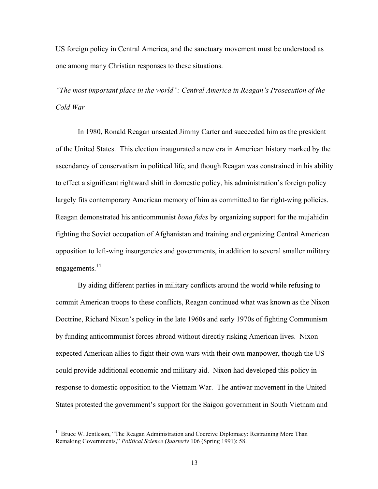US foreign policy in Central America, and the sanctuary movement must be understood as one among many Christian responses to these situations.

*"The most important place in the world": Central America in Reagan's Prosecution of the Cold War*

In 1980, Ronald Reagan unseated Jimmy Carter and succeeded him as the president of the United States. This election inaugurated a new era in American history marked by the ascendancy of conservatism in political life, and though Reagan was constrained in his ability to effect a significant rightward shift in domestic policy, his administration's foreign policy largely fits contemporary American memory of him as committed to far right-wing policies. Reagan demonstrated his anticommunist *bona fides* by organizing support for the mujahidin fighting the Soviet occupation of Afghanistan and training and organizing Central American opposition to left-wing insurgencies and governments, in addition to several smaller military engagements.<sup>14</sup>

By aiding different parties in military conflicts around the world while refusing to commit American troops to these conflicts, Reagan continued what was known as the Nixon Doctrine, Richard Nixon's policy in the late 1960s and early 1970s of fighting Communism by funding anticommunist forces abroad without directly risking American lives. Nixon expected American allies to fight their own wars with their own manpower, though the US could provide additional economic and military aid. Nixon had developed this policy in response to domestic opposition to the Vietnam War. The antiwar movement in the United States protested the government's support for the Saigon government in South Vietnam and

<sup>&</sup>lt;sup>14</sup> Bruce W. Jentleson, "The Reagan Administration and Coercive Diplomacy: Restraining More Than Remaking Governments," *Political Science Quarterly* 106 (Spring 1991): 58.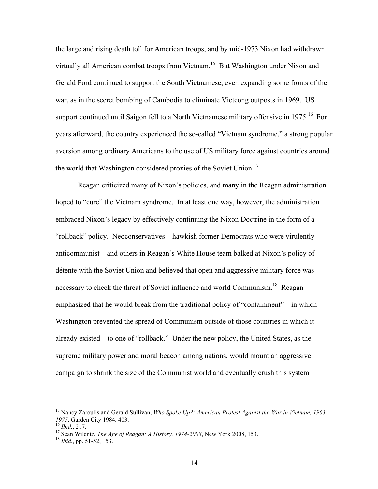the large and rising death toll for American troops, and by mid-1973 Nixon had withdrawn virtually all American combat troops from Vietnam.<sup>15</sup> But Washington under Nixon and Gerald Ford continued to support the South Vietnamese, even expanding some fronts of the war, as in the secret bombing of Cambodia to eliminate Vietcong outposts in 1969. US support continued until Saigon fell to a North Vietnamese military offensive in  $1975$ <sup>16</sup> For years afterward, the country experienced the so-called "Vietnam syndrome," a strong popular aversion among ordinary Americans to the use of US military force against countries around the world that Washington considered proxies of the Soviet Union.<sup>17</sup>

Reagan criticized many of Nixon's policies, and many in the Reagan administration hoped to "cure" the Vietnam syndrome. In at least one way, however, the administration embraced Nixon's legacy by effectively continuing the Nixon Doctrine in the form of a "rollback" policy. Neoconservatives—hawkish former Democrats who were virulently anticommunist—and others in Reagan's White House team balked at Nixon's policy of détente with the Soviet Union and believed that open and aggressive military force was necessary to check the threat of Soviet influence and world Communism.<sup>18</sup> Reagan emphasized that he would break from the traditional policy of "containment"—in which Washington prevented the spread of Communism outside of those countries in which it already existed—to one of "rollback." Under the new policy, the United States, as the supreme military power and moral beacon among nations, would mount an aggressive campaign to shrink the size of the Communist world and eventually crush this system

 <sup>15</sup> Nancy Zaroulis and Gerald Sullivan, *Who Spoke Up?: American Protest Against the War in Vietnam, 1963- 1975*, Garden City 1984, 403.<br><sup>16</sup> *Ibid.*, 217.<br><sup>17</sup> Sean Wilentz, *The Age of Reagan: A History, 1974-2008*, New York 2008, 153.<br><sup>18</sup> *Ibid.*, pp. 51-52, 153.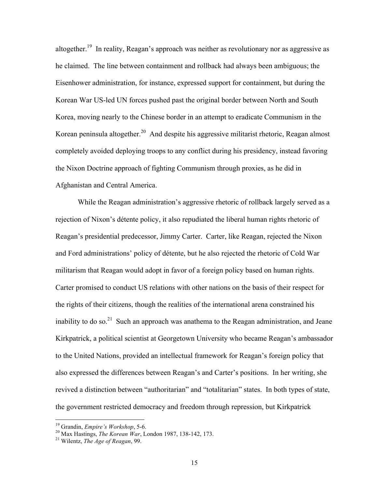altogether.<sup>19</sup> In reality, Reagan's approach was neither as revolutionary nor as aggressive as he claimed. The line between containment and rollback had always been ambiguous; the Eisenhower administration, for instance, expressed support for containment, but during the Korean War US-led UN forces pushed past the original border between North and South Korea, moving nearly to the Chinese border in an attempt to eradicate Communism in the Korean peninsula altogether.<sup>20</sup> And despite his aggressive militarist rhetoric, Reagan almost completely avoided deploying troops to any conflict during his presidency, instead favoring the Nixon Doctrine approach of fighting Communism through proxies, as he did in Afghanistan and Central America.

While the Reagan administration's aggressive rhetoric of rollback largely served as a rejection of Nixon's détente policy, it also repudiated the liberal human rights rhetoric of Reagan's presidential predecessor, Jimmy Carter. Carter, like Reagan, rejected the Nixon and Ford administrations' policy of détente, but he also rejected the rhetoric of Cold War militarism that Reagan would adopt in favor of a foreign policy based on human rights. Carter promised to conduct US relations with other nations on the basis of their respect for the rights of their citizens, though the realities of the international arena constrained his inability to do so.<sup>21</sup> Such an approach was anathema to the Reagan administration, and Jeane Kirkpatrick, a political scientist at Georgetown University who became Reagan's ambassador to the United Nations, provided an intellectual framework for Reagan's foreign policy that also expressed the differences between Reagan's and Carter's positions. In her writing, she revived a distinction between "authoritarian" and "totalitarian" states. In both types of state, the government restricted democracy and freedom through repression, but Kirkpatrick

<sup>&</sup>lt;sup>19</sup> Grandin, *Empire's Workshop*, 5-6.<br><sup>20</sup> Max Hastings, *The Korean War*, London 1987, 138-142, 173.<br><sup>21</sup> Wilentz, *The Age of Reagan*, 99.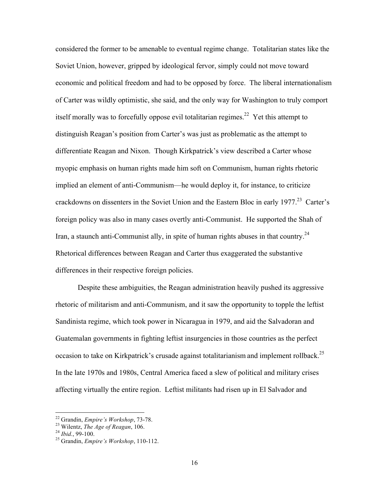considered the former to be amenable to eventual regime change. Totalitarian states like the Soviet Union, however, gripped by ideological fervor, simply could not move toward economic and political freedom and had to be opposed by force. The liberal internationalism of Carter was wildly optimistic, she said, and the only way for Washington to truly comport itself morally was to forcefully oppose evil totalitarian regimes.<sup>22</sup> Yet this attempt to distinguish Reagan's position from Carter's was just as problematic as the attempt to differentiate Reagan and Nixon. Though Kirkpatrick's view described a Carter whose myopic emphasis on human rights made him soft on Communism, human rights rhetoric implied an element of anti-Communism—he would deploy it, for instance, to criticize crackdowns on dissenters in the Soviet Union and the Eastern Bloc in early 1977.<sup>23</sup> Carter's foreign policy was also in many cases overtly anti-Communist. He supported the Shah of Iran, a staunch anti-Communist ally, in spite of human rights abuses in that country.<sup>24</sup> Rhetorical differences between Reagan and Carter thus exaggerated the substantive differences in their respective foreign policies.

Despite these ambiguities, the Reagan administration heavily pushed its aggressive rhetoric of militarism and anti-Communism, and it saw the opportunity to topple the leftist Sandinista regime, which took power in Nicaragua in 1979, and aid the Salvadoran and Guatemalan governments in fighting leftist insurgencies in those countries as the perfect occasion to take on Kirkpatrick's crusade against totalitarianism and implement rollback.<sup>25</sup> In the late 1970s and 1980s, Central America faced a slew of political and military crises affecting virtually the entire region. Leftist militants had risen up in El Salvador and

 <sup>22</sup> Grandin, *Empire's Workshop*, 73-78. 23 Wilentz, *The Age of Reagan*, 106. <sup>24</sup> *Ibid.*, 99-100. 25 Grandin, *Empire's Workshop*, 110-112.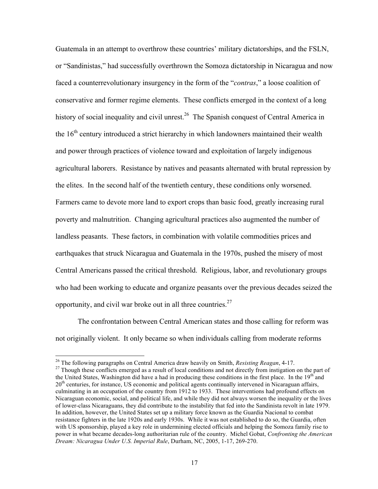Guatemala in an attempt to overthrow these countries' military dictatorships, and the FSLN, or "Sandinistas," had successfully overthrown the Somoza dictatorship in Nicaragua and now faced a counterrevolutionary insurgency in the form of the "*contras*," a loose coalition of conservative and former regime elements. These conflicts emerged in the context of a long history of social inequality and civil unrest.<sup>26</sup> The Spanish conquest of Central America in the  $16<sup>th</sup>$  century introduced a strict hierarchy in which landowners maintained their wealth and power through practices of violence toward and exploitation of largely indigenous agricultural laborers. Resistance by natives and peasants alternated with brutal repression by the elites. In the second half of the twentieth century, these conditions only worsened. Farmers came to devote more land to export crops than basic food, greatly increasing rural poverty and malnutrition. Changing agricultural practices also augmented the number of landless peasants. These factors, in combination with volatile commodities prices and earthquakes that struck Nicaragua and Guatemala in the 1970s, pushed the misery of most Central Americans passed the critical threshold. Religious, labor, and revolutionary groups who had been working to educate and organize peasants over the previous decades seized the opportunity, and civil war broke out in all three countries. $27$ 

The confrontation between Central American states and those calling for reform was not originally violent. It only became so when individuals calling from moderate reforms

<sup>&</sup>lt;sup>26</sup> The following paragraphs on Central America draw heavily on Smith, *Resisting Reagan*, 4-17.<br><sup>27</sup> Though these conflicts emerged as a result of local conditions and not directly from instigation on the part of the United States, Washington did have a had in producing these conditions in the first place. In the 19<sup>th</sup> and 20<sup>th</sup> centuries, for instance, US economic and political agents continually intervened in Nicaraguan affairs, culminating in an occupation of the country from 1912 to 1933. These interventions had profound effects on Nicaraguan economic, social, and political life, and while they did not always worsen the inequality or the lives of lower-class Nicaraguans, they did contribute to the instability that fed into the Sandinista revolt in late 1979. In addition, however, the United States set up a military force known as the Guardia Nacional to combat resistance fighters in the late 1920s and early 1930s. While it was not established to do so, the Guardia, often with US sponsorship, played a key role in undermining elected officials and helping the Somoza family rise to power in what became decades-long authoritarian rule of the country. Michel Gobat, *Confronting the American Dream: Nicaragua Under U.S. Imperial Rule*, Durham, NC, 2005, 1-17, 269-270.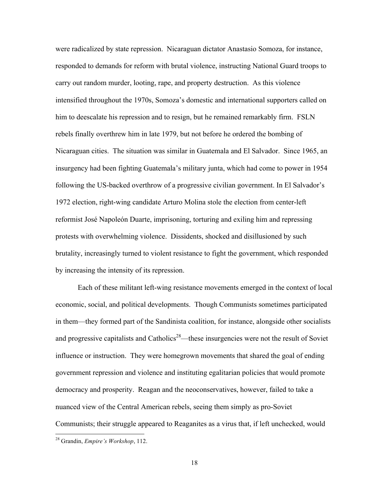were radicalized by state repression. Nicaraguan dictator Anastasio Somoza, for instance, responded to demands for reform with brutal violence, instructing National Guard troops to carry out random murder, looting, rape, and property destruction. As this violence intensified throughout the 1970s, Somoza's domestic and international supporters called on him to deescalate his repression and to resign, but he remained remarkably firm. FSLN rebels finally overthrew him in late 1979, but not before he ordered the bombing of Nicaraguan cities. The situation was similar in Guatemala and El Salvador. Since 1965, an insurgency had been fighting Guatemala's military junta, which had come to power in 1954 following the US-backed overthrow of a progressive civilian government. In El Salvador's 1972 election, right-wing candidate Arturo Molina stole the election from center-left reformist José Napoleón Duarte, imprisoning, torturing and exiling him and repressing protests with overwhelming violence. Dissidents, shocked and disillusioned by such brutality, increasingly turned to violent resistance to fight the government, which responded by increasing the intensity of its repression.

Each of these militant left-wing resistance movements emerged in the context of local economic, social, and political developments. Though Communists sometimes participated in them—they formed part of the Sandinista coalition, for instance, alongside other socialists and progressive capitalists and Catholics<sup>28</sup>—these insurgencies were not the result of Soviet influence or instruction. They were homegrown movements that shared the goal of ending government repression and violence and instituting egalitarian policies that would promote democracy and prosperity. Reagan and the neoconservatives, however, failed to take a nuanced view of the Central American rebels, seeing them simply as pro-Soviet Communists; their struggle appeared to Reaganites as a virus that, if left unchecked, would

 <sup>28</sup> Grandin, *Empire's Workshop*, 112.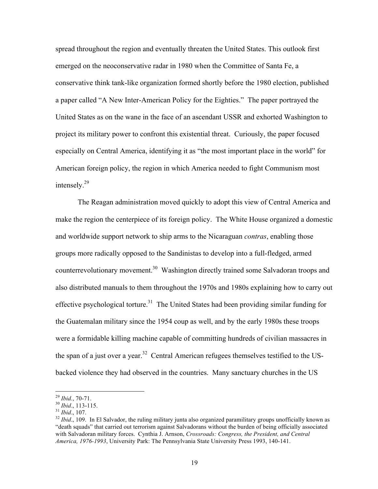spread throughout the region and eventually threaten the United States. This outlook first emerged on the neoconservative radar in 1980 when the Committee of Santa Fe, a conservative think tank-like organization formed shortly before the 1980 election, published a paper called "A New Inter-American Policy for the Eighties." The paper portrayed the United States as on the wane in the face of an ascendant USSR and exhorted Washington to project its military power to confront this existential threat. Curiously, the paper focused especially on Central America, identifying it as "the most important place in the world" for American foreign policy, the region in which America needed to fight Communism most intensely.<sup>29</sup>

The Reagan administration moved quickly to adopt this view of Central America and make the region the centerpiece of its foreign policy. The White House organized a domestic and worldwide support network to ship arms to the Nicaraguan *contras*, enabling those groups more radically opposed to the Sandinistas to develop into a full-fledged, armed counterrevolutionary movement.<sup>30</sup> Washington directly trained some Salvadoran troops and also distributed manuals to them throughout the 1970s and 1980s explaining how to carry out effective psychological torture.<sup>31</sup> The United States had been providing similar funding for the Guatemalan military since the 1954 coup as well, and by the early 1980s these troops were a formidable killing machine capable of committing hundreds of civilian massacres in the span of a just over a year.<sup>32</sup> Central American refugees themselves testified to the USbacked violence they had observed in the countries. Many sanctuary churches in the US

<sup>&</sup>lt;sup>29</sup> *Ibid.*, 70-71.<br><sup>30</sup> *Ibid.*, 113-115.<br><sup>31</sup> *Ibid.*, 107.<br><sup>32</sup> *Ibid.*, 109. In El Salvador, the ruling military junta also organized paramilitary groups unofficially known as "death squads" that carried out terrorism against Salvadorans without the burden of being officially associated with Salvadoran military forces. Cynthia J. Arnson, *Crossroads: Congress, the President, and Central America, 1976-1993*, University Park: The Pennsylvania State University Press 1993, 140-141.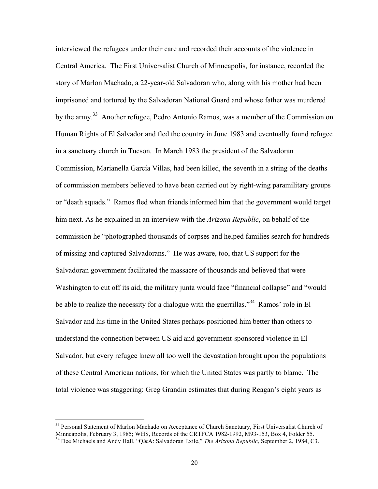interviewed the refugees under their care and recorded their accounts of the violence in Central America. The First Universalist Church of Minneapolis, for instance, recorded the story of Marlon Machado, a 22-year-old Salvadoran who, along with his mother had been imprisoned and tortured by the Salvadoran National Guard and whose father was murdered by the army.<sup>33</sup> Another refugee, Pedro Antonio Ramos, was a member of the Commission on Human Rights of El Salvador and fled the country in June 1983 and eventually found refugee in a sanctuary church in Tucson. In March 1983 the president of the Salvadoran Commission, Marianella García Villas, had been killed, the seventh in a string of the deaths of commission members believed to have been carried out by right-wing paramilitary groups or "death squads." Ramos fled when friends informed him that the government would target him next. As he explained in an interview with the *Arizona Republic*, on behalf of the commission he "photographed thousands of corpses and helped families search for hundreds of missing and captured Salvadorans." He was aware, too, that US support for the Salvadoran government facilitated the massacre of thousands and believed that were Washington to cut off its aid, the military junta would face "financial collapse" and "would be able to realize the necessity for a dialogue with the guerrillas."<sup>34</sup> Ramos' role in El Salvador and his time in the United States perhaps positioned him better than others to understand the connection between US aid and government-sponsored violence in El Salvador, but every refugee knew all too well the devastation brought upon the populations of these Central American nations, for which the United States was partly to blame. The total violence was staggering: Greg Grandin estimates that during Reagan's eight years as

<sup>&</sup>lt;sup>33</sup> Personal Statement of Marlon Machado on Acceptance of Church Sanctuary, First Universalist Church of Minneapolis, February 3, 1985; WHS, Records of the CRTFCA 1982-1992, M93-153, Box 4, Folder 55.

<sup>&</sup>lt;sup>34</sup> Dee Michaels and Andy Hall, "Q&A: Salvadoran Exile," *The Arizona Republic*, September 2, 1984, C3.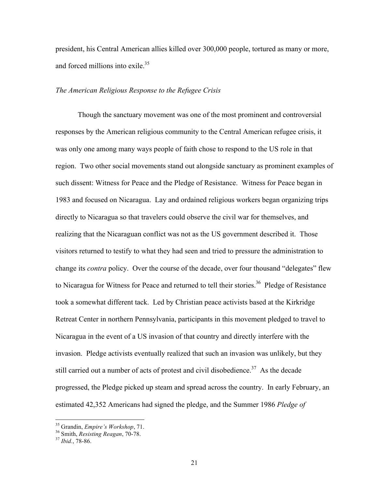president, his Central American allies killed over 300,000 people, tortured as many or more, and forced millions into exile.<sup>35</sup>

#### *The American Religious Response to the Refugee Crisis*

Though the sanctuary movement was one of the most prominent and controversial responses by the American religious community to the Central American refugee crisis, it was only one among many ways people of faith chose to respond to the US role in that region. Two other social movements stand out alongside sanctuary as prominent examples of such dissent: Witness for Peace and the Pledge of Resistance. Witness for Peace began in 1983 and focused on Nicaragua. Lay and ordained religious workers began organizing trips directly to Nicaragua so that travelers could observe the civil war for themselves, and realizing that the Nicaraguan conflict was not as the US government described it. Those visitors returned to testify to what they had seen and tried to pressure the administration to change its *contra* policy. Over the course of the decade, over four thousand "delegates" flew to Nicaragua for Witness for Peace and returned to tell their stories.<sup>36</sup> Pledge of Resistance took a somewhat different tack. Led by Christian peace activists based at the Kirkridge Retreat Center in northern Pennsylvania, participants in this movement pledged to travel to Nicaragua in the event of a US invasion of that country and directly interfere with the invasion. Pledge activists eventually realized that such an invasion was unlikely, but they still carried out a number of acts of protest and civil disobedience.<sup>37</sup> As the decade progressed, the Pledge picked up steam and spread across the country. In early February, an estimated 42,352 Americans had signed the pledge, and the Summer 1986 *Pledge of* 

 <sup>35</sup> Grandin, *Empire's Workshop*, 71. 36 Smith, *Resisting Reagan*, 70-78. <sup>37</sup> *Ibid.*, 78-86.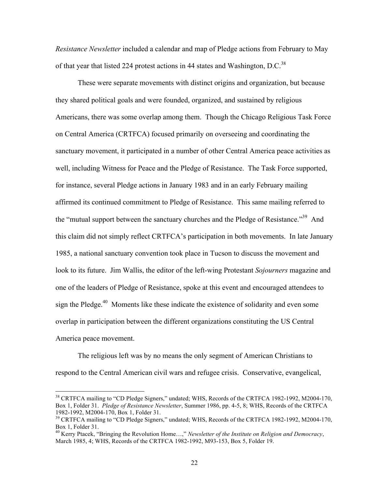*Resistance Newsletter* included a calendar and map of Pledge actions from February to May of that year that listed 224 protest actions in 44 states and Washington, D.C.<sup>38</sup>

These were separate movements with distinct origins and organization, but because they shared political goals and were founded, organized, and sustained by religious Americans, there was some overlap among them. Though the Chicago Religious Task Force on Central America (CRTFCA) focused primarily on overseeing and coordinating the sanctuary movement, it participated in a number of other Central America peace activities as well, including Witness for Peace and the Pledge of Resistance. The Task Force supported, for instance, several Pledge actions in January 1983 and in an early February mailing affirmed its continued commitment to Pledge of Resistance. This same mailing referred to the "mutual support between the sanctuary churches and the Pledge of Resistance."<sup>39</sup> And this claim did not simply reflect CRTFCA's participation in both movements. In late January 1985, a national sanctuary convention took place in Tucson to discuss the movement and look to its future. Jim Wallis, the editor of the left-wing Protestant *Sojourners* magazine and one of the leaders of Pledge of Resistance, spoke at this event and encouraged attendees to sign the Pledge.<sup>40</sup> Moments like these indicate the existence of solidarity and even some overlap in participation between the different organizations constituting the US Central America peace movement.

The religious left was by no means the only segment of American Christians to respond to the Central American civil wars and refugee crisis. Conservative, evangelical,

<sup>&</sup>lt;sup>38</sup> CRTFCA mailing to "CD Pledge Signers," undated; WHS, Records of the CRTFCA 1982-1992, M2004-170, Box 1, Folder 31. *Pledge of Resistance Newsletter*, Summer 1986, pp. 4-5, 8; WHS, Records of the CRTFCA 1982-1992, M2004-170, Box 1, Folder 31. 39 CRTFCA mailing to "CD Pledge Signers," undated; WHS, Records of the CRTFCA 1982-1992, M2004-170,

Box 1, Folder 31.

<sup>40</sup> Kerry Ptacek, "Bringing the Revolution Home…," *Newsletter of the Institute on Religion and Democracy*, March 1985, 4; WHS, Records of the CRTFCA 1982-1992, M93-153, Box 5, Folder 19.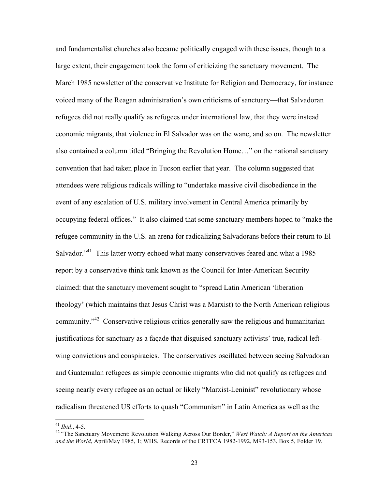and fundamentalist churches also became politically engaged with these issues, though to a large extent, their engagement took the form of criticizing the sanctuary movement. The March 1985 newsletter of the conservative Institute for Religion and Democracy, for instance voiced many of the Reagan administration's own criticisms of sanctuary—that Salvadoran refugees did not really qualify as refugees under international law, that they were instead economic migrants, that violence in El Salvador was on the wane, and so on. The newsletter also contained a column titled "Bringing the Revolution Home…" on the national sanctuary convention that had taken place in Tucson earlier that year. The column suggested that attendees were religious radicals willing to "undertake massive civil disobedience in the event of any escalation of U.S. military involvement in Central America primarily by occupying federal offices." It also claimed that some sanctuary members hoped to "make the refugee community in the U.S. an arena for radicalizing Salvadorans before their return to El Salvador."<sup>41</sup> This latter worry echoed what many conservatives feared and what a 1985 report by a conservative think tank known as the Council for Inter-American Security claimed: that the sanctuary movement sought to "spread Latin American 'liberation theology' (which maintains that Jesus Christ was a Marxist) to the North American religious community.<sup>"42</sup> Conservative religious critics generally saw the religious and humanitarian justifications for sanctuary as a façade that disguised sanctuary activists' true, radical leftwing convictions and conspiracies. The conservatives oscillated between seeing Salvadoran and Guatemalan refugees as simple economic migrants who did not qualify as refugees and seeing nearly every refugee as an actual or likely "Marxist-Leninist" revolutionary whose radicalism threatened US efforts to quash "Communism" in Latin America as well as the

<sup>&</sup>lt;sup>41</sup> *Ibid.*, 4-5.<br><sup>42</sup> "The Sanctuary Movement: Revolution Walking Across Our Border," *West Watch: A Report on the Americas and the World*, April/May 1985, 1; WHS, Records of the CRTFCA 1982-1992, M93-153, Box 5, Folder 19.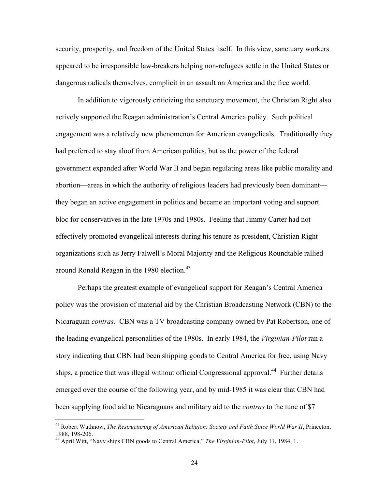security, prosperity, and freedom of the United States itself. In this view, sanctuary workers appeared to be irresponsible law-breakers helping non-refugees settle in the United States or dangerous radicals themselves, complicit in an assault on America and the free world.

In addition to vigorously criticizing the sanctuary movement, the Christian Right also actively supported the Reagan administration's Central America policy. Such political engagement was a relatively new phenomenon for American evangelicals. Traditionally they had preferred to stay aloof from American politics, but as the power of the federal government expanded after World War II and began regulating areas like public morality and abortion—areas in which the authority of religious leaders had previously been dominant they began an active engagement in politics and became an important voting and support bloc for conservatives in the late 1970s and 1980s. Feeling that Jimmy Carter had not effectively promoted evangelical interests during his tenure as president, Christian Right organizations such as Jerry Falwell's Moral Majority and the Religious Roundtable rallied around Ronald Reagan in the 1980 election.<sup>43</sup>

Perhaps the greatest example of evangelical support for Reagan's Central America policy was the provision of material aid by the Christian Broadcasting Network (CBN) to the Nicaraguan *contras*. CBN was a TV broadcasting company owned by Pat Robertson, one of the leading evangelical personalities of the 1980s. In early 1984, the *Virginian-Pilot* ran a story indicating that CBN had been shipping goods to Central America for free, using Navy ships, a practice that was illegal without official Congressional approval.<sup>44</sup> Further details emerged over the course of the following year, and by mid-1985 it was clear that CBN had been supplying food aid to Nicaraguans and military aid to the *contras* to the tune of \$7

<sup>&</sup>lt;sup>43</sup> Robert Wuthnow, *The Restructuring of American Religion: Society and Faith Since World War II*, Princeton, 1988, 198-206. 44 April Witt, "Navy ships CBN goods to Central America," *The Virginian-Pilot*, July 11, 1984, 1.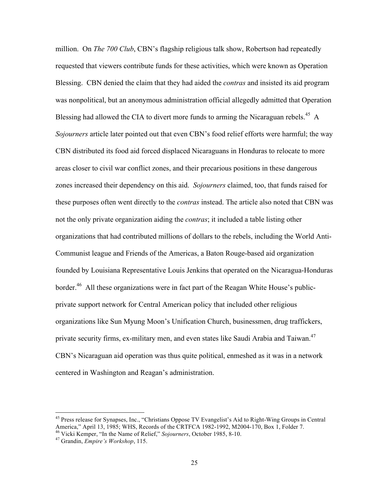million. On *The 700 Club*, CBN's flagship religious talk show, Robertson had repeatedly requested that viewers contribute funds for these activities, which were known as Operation Blessing. CBN denied the claim that they had aided the *contras* and insisted its aid program was nonpolitical, but an anonymous administration official allegedly admitted that Operation Blessing had allowed the CIA to divert more funds to arming the Nicaraguan rebels.<sup>45</sup> A *Sojourners* article later pointed out that even CBN's food relief efforts were harmful; the way CBN distributed its food aid forced displaced Nicaraguans in Honduras to relocate to more areas closer to civil war conflict zones, and their precarious positions in these dangerous zones increased their dependency on this aid. *Sojourners* claimed, too, that funds raised for these purposes often went directly to the *contras* instead. The article also noted that CBN was not the only private organization aiding the *contras*; it included a table listing other organizations that had contributed millions of dollars to the rebels, including the World Anti-Communist league and Friends of the Americas, a Baton Rouge-based aid organization founded by Louisiana Representative Louis Jenkins that operated on the Nicaragua-Honduras border.<sup>46</sup> All these organizations were in fact part of the Reagan White House's publicprivate support network for Central American policy that included other religious organizations like Sun Myung Moon's Unification Church, businessmen, drug traffickers, private security firms, ex-military men, and even states like Saudi Arabia and Taiwan.<sup>47</sup> CBN's Nicaraguan aid operation was thus quite political, enmeshed as it was in a network centered in Washington and Reagan's administration.

<sup>&</sup>lt;sup>45</sup> Press release for Synapses, Inc., "Christians Oppose TV Evangelist's Aid to Right-Wing Groups in Central America," April 13, 1985; WHS, Records of the CRTFCA 1982-1992, M2004-170, Box 1, Folder 7. 46 Vicki Kemper, "In the Name of Relief," *Sojourners*, October 1985, 8-10. 47 Grandin, *Empire's Workshop*, 115.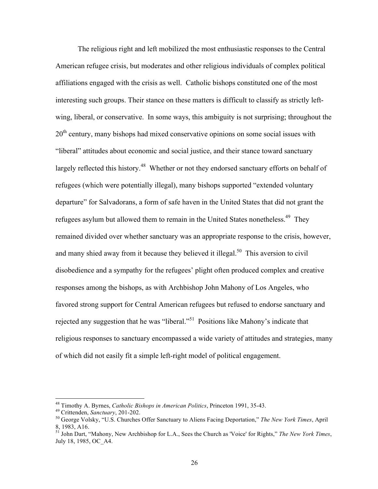The religious right and left mobilized the most enthusiastic responses to the Central American refugee crisis, but moderates and other religious individuals of complex political affiliations engaged with the crisis as well. Catholic bishops constituted one of the most interesting such groups. Their stance on these matters is difficult to classify as strictly leftwing, liberal, or conservative. In some ways, this ambiguity is not surprising; throughout the 20<sup>th</sup> century, many bishops had mixed conservative opinions on some social issues with "liberal" attitudes about economic and social justice, and their stance toward sanctuary largely reflected this history.<sup>48</sup> Whether or not they endorsed sanctuary efforts on behalf of refugees (which were potentially illegal), many bishops supported "extended voluntary departure" for Salvadorans, a form of safe haven in the United States that did not grant the refugees asylum but allowed them to remain in the United States nonetheless.<sup>49</sup> They remained divided over whether sanctuary was an appropriate response to the crisis, however, and many shied away from it because they believed it illegal.<sup>50</sup> This aversion to civil disobedience and a sympathy for the refugees' plight often produced complex and creative responses among the bishops, as with Archbishop John Mahony of Los Angeles, who favored strong support for Central American refugees but refused to endorse sanctuary and rejected any suggestion that he was "liberal."<sup>51</sup> Positions like Mahony's indicate that religious responses to sanctuary encompassed a wide variety of attitudes and strategies, many of which did not easily fit a simple left-right model of political engagement.

<sup>&</sup>lt;sup>48</sup> Timothy A. Byrnes, *Catholic Bishops in American Politics*, Princeton 1991, 35-43.<br><sup>49</sup> Crittenden, *Sanctuary*, 201-202.<br><sup>50</sup> George Volsky, "U.S. Churches Offer Sanctuary to Aliens Facing Deportation," *The New Yor* 

<sup>8, 1983,</sup> A16.<br><sup>51</sup> John Dart, "Mahony, New Archbishop for L.A., Sees the Church as 'Voice' for Rights," *The New York Times*, July 18, 1985, OC\_A4.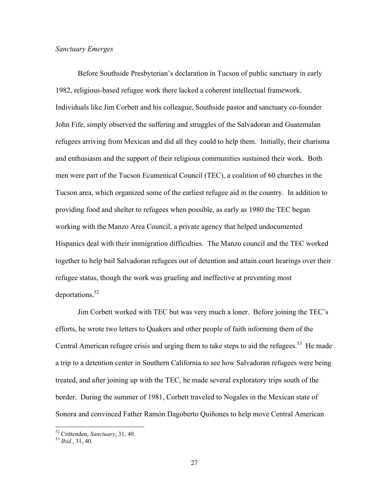#### *Sanctuary Emerges*

Before Southside Presbyterian's declaration in Tucson of public sanctuary in early 1982, religious-based refugee work there lacked a coherent intellectual framework. Individuals like Jim Corbett and his colleague, Southside pastor and sanctuary co-founder John Fife, simply observed the suffering and struggles of the Salvadoran and Guatemalan refugees arriving from Mexican and did all they could to help them. Initially, their charisma and enthusiasm and the support of their religious communities sustained their work. Both men were part of the Tucson Ecumenical Council (TEC), a coalition of 60 churches in the Tucson area, which organized some of the earliest refugee aid in the country. In addition to providing food and shelter to refugees when possible, as early as 1980 the TEC began working with the Manzo Area Council, a private agency that helped undocumented Hispanics deal with their immigration difficulties. The Manzo council and the TEC worked together to help bail Salvadoran refugees out of detention and attain court hearings over their refugee status, though the work was grueling and ineffective at preventing most deportations.<sup>52</sup>

Jim Corbett worked with TEC but was very much a loner. Before joining the TEC's efforts, he wrote two letters to Quakers and other people of faith informing them of the Central American refugee crisis and urging them to take steps to aid the refugees.<sup>53</sup> He made a trip to a detention center in Southern California to see how Salvadoran refugees were being treated, and after joining up with the TEC, he made several exploratory trips south of the border. During the summer of 1981, Corbett traveled to Nogales in the Mexican state of Sonora and convinced Father Ramón Dagoberto Quiñones to help move Central American

 <sup>52</sup> Crittenden, *Sanctuary*, 31, 40. <sup>53</sup> *Ibid.*, 31, 40.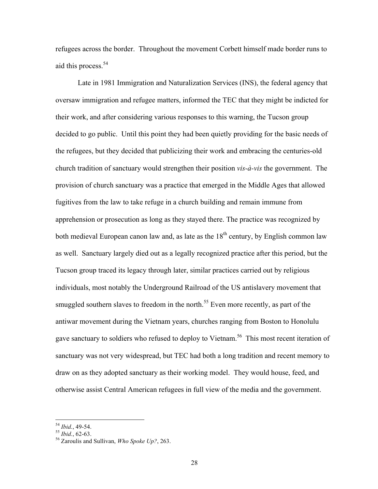refugees across the border. Throughout the movement Corbett himself made border runs to aid this process.<sup>54</sup>

Late in 1981 Immigration and Naturalization Services (INS), the federal agency that oversaw immigration and refugee matters, informed the TEC that they might be indicted for their work, and after considering various responses to this warning, the Tucson group decided to go public. Until this point they had been quietly providing for the basic needs of the refugees, but they decided that publicizing their work and embracing the centuries-old church tradition of sanctuary would strengthen their position *vis-à-vis* the government. The provision of church sanctuary was a practice that emerged in the Middle Ages that allowed fugitives from the law to take refuge in a church building and remain immune from apprehension or prosecution as long as they stayed there. The practice was recognized by both medieval European canon law and, as late as the  $18<sup>th</sup>$  century, by English common law as well. Sanctuary largely died out as a legally recognized practice after this period, but the Tucson group traced its legacy through later, similar practices carried out by religious individuals, most notably the Underground Railroad of the US antislavery movement that smuggled southern slaves to freedom in the north.<sup>55</sup> Even more recently, as part of the antiwar movement during the Vietnam years, churches ranging from Boston to Honolulu gave sanctuary to soldiers who refused to deploy to Vietnam.<sup>56</sup> This most recent iteration of sanctuary was not very widespread, but TEC had both a long tradition and recent memory to draw on as they adopted sanctuary as their working model. They would house, feed, and otherwise assist Central American refugees in full view of the media and the government.

<sup>54</sup> *Ibid.*, 49-54. <sup>55</sup> *Ibid.*, 62-63. 56 Zaroulis and Sullivan, *Who Spoke Up?*, 263.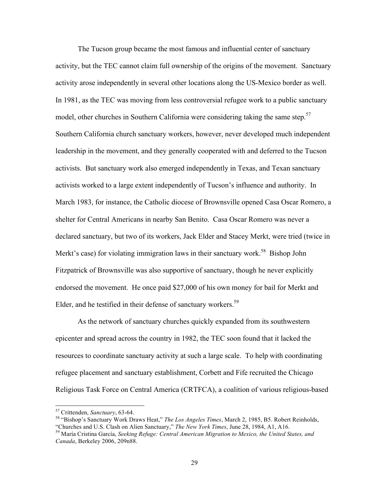The Tucson group became the most famous and influential center of sanctuary activity, but the TEC cannot claim full ownership of the origins of the movement. Sanctuary activity arose independently in several other locations along the US-Mexico border as well. In 1981, as the TEC was moving from less controversial refugee work to a public sanctuary model, other churches in Southern California were considering taking the same step.<sup>57</sup> Southern California church sanctuary workers, however, never developed much independent leadership in the movement, and they generally cooperated with and deferred to the Tucson activists. But sanctuary work also emerged independently in Texas, and Texan sanctuary activists worked to a large extent independently of Tucson's influence and authority. In March 1983, for instance, the Catholic diocese of Brownsville opened Casa Oscar Romero, a shelter for Central Americans in nearby San Benito. Casa Oscar Romero was never a declared sanctuary, but two of its workers, Jack Elder and Stacey Merkt, were tried (twice in Merkt's case) for violating immigration laws in their sanctuary work.<sup>58</sup> Bishop John Fitzpatrick of Brownsville was also supportive of sanctuary, though he never explicitly endorsed the movement. He once paid \$27,000 of his own money for bail for Merkt and Elder, and he testified in their defense of sanctuary workers.<sup>59</sup>

As the network of sanctuary churches quickly expanded from its southwestern epicenter and spread across the country in 1982, the TEC soon found that it lacked the resources to coordinate sanctuary activity at such a large scale. To help with coordinating refugee placement and sanctuary establishment, Corbett and Fife recruited the Chicago Religious Task Force on Central America (CRTFCA), a coalition of various religious-based

<sup>&</sup>lt;sup>57</sup> Crittenden, *Sanctuary*, 63-64.<br><sup>58</sup> "Bishop's Sanctuary Work Draws Heat," *The Los Angeles Times*, March 2, 1985, B5. Robert Reinholds,<br>"Churches and U.S. Clash on Alien Sanctuary," *The New York Times*, June 28, 198

<sup>&</sup>lt;sup>59</sup> María Cristina García, Seeking Refuge: Central American Migration to Mexico, the United States, and *Canada*, Berkeley 2006, 209n88.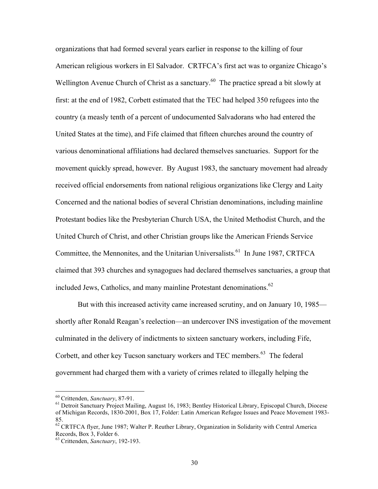organizations that had formed several years earlier in response to the killing of four American religious workers in El Salvador. CRTFCA's first act was to organize Chicago's Wellington Avenue Church of Christ as a sanctuary.<sup>60</sup> The practice spread a bit slowly at first: at the end of 1982, Corbett estimated that the TEC had helped 350 refugees into the country (a measly tenth of a percent of undocumented Salvadorans who had entered the United States at the time), and Fife claimed that fifteen churches around the country of various denominational affiliations had declared themselves sanctuaries. Support for the movement quickly spread, however. By August 1983, the sanctuary movement had already received official endorsements from national religious organizations like Clergy and Laity Concerned and the national bodies of several Christian denominations, including mainline Protestant bodies like the Presbyterian Church USA, the United Methodist Church, and the United Church of Christ, and other Christian groups like the American Friends Service Committee, the Mennonites, and the Unitarian Universalists.<sup>61</sup> In June 1987, CRTFCA claimed that 393 churches and synagogues had declared themselves sanctuaries, a group that included Jews, Catholics, and many mainline Protestant denominations. $62$ 

But with this increased activity came increased scrutiny, and on January 10, 1985 shortly after Ronald Reagan's reelection—an undercover INS investigation of the movement culminated in the delivery of indictments to sixteen sanctuary workers, including Fife, Corbett, and other key Tucson sanctuary workers and TEC members.<sup>63</sup> The federal government had charged them with a variety of crimes related to illegally helping the

<sup>&</sup>lt;sup>60</sup> Crittenden, *Sanctuary*, 87-91.<br><sup>61</sup> Detroit Sanctuary Project Mailing, August 16, 1983; Bentley Historical Library, Episcopal Church, Diocese of Michigan Records, 1830-2001, Box 17, Folder: Latin American Refugee Issues and Peace Movement 1983- 85.

 $62$  CRTFCA flyer, June 1987; Walter P. Reuther Library, Organization in Solidarity with Central America Records, Box 3, Folder 6.

<sup>63</sup> Crittenden, *Sanctuary*, 192-193.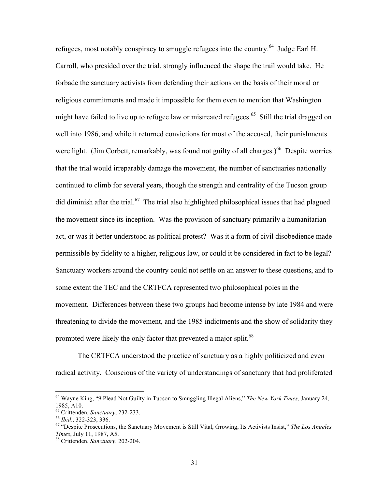refugees, most notably conspiracy to smuggle refugees into the country.<sup>64</sup> Judge Earl H. Carroll, who presided over the trial, strongly influenced the shape the trail would take. He forbade the sanctuary activists from defending their actions on the basis of their moral or religious commitments and made it impossible for them even to mention that Washington might have failed to live up to refugee law or mistreated refugees.<sup>65</sup> Still the trial dragged on well into 1986, and while it returned convictions for most of the accused, their punishments were light. (Jim Corbett, remarkably, was found not guilty of all charges.)<sup>66</sup> Despite worries that the trial would irreparably damage the movement, the number of sanctuaries nationally continued to climb for several years, though the strength and centrality of the Tucson group did diminish after the trial.<sup>67</sup> The trial also highlighted philosophical issues that had plagued the movement since its inception. Was the provision of sanctuary primarily a humanitarian act, or was it better understood as political protest? Was it a form of civil disobedience made permissible by fidelity to a higher, religious law, or could it be considered in fact to be legal? Sanctuary workers around the country could not settle on an answer to these questions, and to some extent the TEC and the CRTFCA represented two philosophical poles in the movement. Differences between these two groups had become intense by late 1984 and were threatening to divide the movement, and the 1985 indictments and the show of solidarity they prompted were likely the only factor that prevented a major split.<sup>68</sup>

The CRTFCA understood the practice of sanctuary as a highly politicized and even radical activity. Conscious of the variety of understandings of sanctuary that had proliferated

 <sup>64</sup> Wayne King, "9 Plead Not Guilty in Tucson to Smuggling Illegal Aliens," *The New York Times*, January 24, 1985, A10.<br><sup>65</sup> Crittenden, *Sanctuary*, 232-233.

<sup>65</sup> Crittenden, *Sanctuary*, 232-233. <sup>66</sup> *Ibid*., 322-323, 336. 67 "Despite Prosecutions, the Sanctuary Movement is Still Vital, Growing, Its Activists Insist," *The Los Angeles Times*, July 11, 1987, A5. 68 Crittenden, *Sanctuary*, 202-204.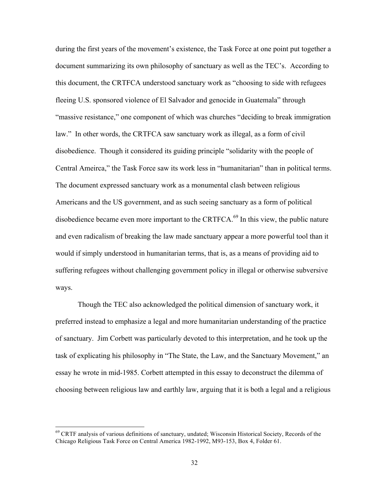during the first years of the movement's existence, the Task Force at one point put together a document summarizing its own philosophy of sanctuary as well as the TEC's. According to this document, the CRTFCA understood sanctuary work as "choosing to side with refugees fleeing U.S. sponsored violence of El Salvador and genocide in Guatemala" through "massive resistance," one component of which was churches "deciding to break immigration law." In other words, the CRTFCA saw sanctuary work as illegal, as a form of civil disobedience. Though it considered its guiding principle "solidarity with the people of Central Ameirca," the Task Force saw its work less in "humanitarian" than in political terms. The document expressed sanctuary work as a monumental clash between religious Americans and the US government, and as such seeing sanctuary as a form of political disobedience became even more important to the CRTFCA.<sup>69</sup> In this view, the public nature and even radicalism of breaking the law made sanctuary appear a more powerful tool than it would if simply understood in humanitarian terms, that is, as a means of providing aid to suffering refugees without challenging government policy in illegal or otherwise subversive ways.

Though the TEC also acknowledged the political dimension of sanctuary work, it preferred instead to emphasize a legal and more humanitarian understanding of the practice of sanctuary. Jim Corbett was particularly devoted to this interpretation, and he took up the task of explicating his philosophy in "The State, the Law, and the Sanctuary Movement," an essay he wrote in mid-1985. Corbett attempted in this essay to deconstruct the dilemma of choosing between religious law and earthly law, arguing that it is both a legal and a religious

<sup>&</sup>lt;sup>69</sup> CRTF analysis of various definitions of sanctuary, undated; Wisconsin Historical Society, Records of the Chicago Religious Task Force on Central America 1982-1992, M93-153, Box 4, Folder 61.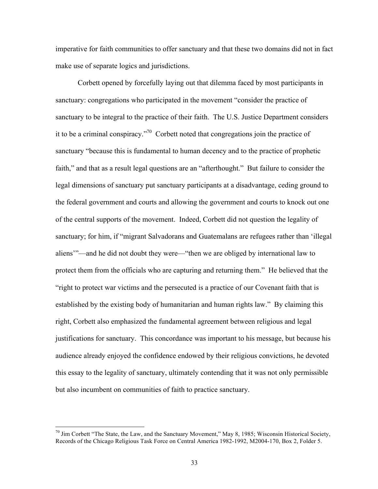imperative for faith communities to offer sanctuary and that these two domains did not in fact make use of separate logics and jurisdictions.

Corbett opened by forcefully laying out that dilemma faced by most participants in sanctuary: congregations who participated in the movement "consider the practice of sanctuary to be integral to the practice of their faith. The U.S. Justice Department considers it to be a criminal conspiracy."70 Corbett noted that congregations join the practice of sanctuary "because this is fundamental to human decency and to the practice of prophetic faith," and that as a result legal questions are an "afterthought." But failure to consider the legal dimensions of sanctuary put sanctuary participants at a disadvantage, ceding ground to the federal government and courts and allowing the government and courts to knock out one of the central supports of the movement. Indeed, Corbett did not question the legality of sanctuary; for him, if "migrant Salvadorans and Guatemalans are refugees rather than 'illegal aliens'"—and he did not doubt they were—"then we are obliged by international law to protect them from the officials who are capturing and returning them." He believed that the "right to protect war victims and the persecuted is a practice of our Covenant faith that is established by the existing body of humanitarian and human rights law." By claiming this right, Corbett also emphasized the fundamental agreement between religious and legal justifications for sanctuary. This concordance was important to his message, but because his audience already enjoyed the confidence endowed by their religious convictions, he devoted this essay to the legality of sanctuary, ultimately contending that it was not only permissible but also incumbent on communities of faith to practice sanctuary.

<sup>&</sup>lt;sup>70</sup> Jim Corbett "The State, the Law, and the Sanctuary Movement," May 8, 1985; Wisconsin Historical Society, Records of the Chicago Religious Task Force on Central America 1982-1992, M2004-170, Box 2, Folder 5.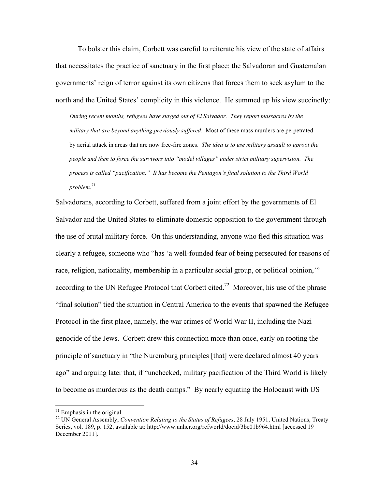To bolster this claim, Corbett was careful to reiterate his view of the state of affairs that necessitates the practice of sanctuary in the first place: the Salvadoran and Guatemalan governments' reign of terror against its own citizens that forces them to seek asylum to the north and the United States' complicity in this violence. He summed up his view succinctly:

*During recent months, refugees have surged out of El Salvador. They report massacres by the military that are beyond anything previously suffered*. Most of these mass murders are perpetrated by aerial attack in areas that are now free-fire zones. *The idea is to use military assault to uproot the people and then to force the survivors into "model villages" under strict military supervision. The process is called "pacification." It has become the Pentagon's final solution to the Third World problem*. 71

Salvadorans, according to Corbett, suffered from a joint effort by the governments of El Salvador and the United States to eliminate domestic opposition to the government through the use of brutal military force. On this understanding, anyone who fled this situation was clearly a refugee, someone who "has 'a well-founded fear of being persecuted for reasons of race, religion, nationality, membership in a particular social group, or political opinion,'" according to the UN Refugee Protocol that Corbett cited.<sup>72</sup> Moreover, his use of the phrase "final solution" tied the situation in Central America to the events that spawned the Refugee Protocol in the first place, namely, the war crimes of World War II, including the Nazi genocide of the Jews. Corbett drew this connection more than once, early on rooting the principle of sanctuary in "the Nuremburg principles [that] were declared almost 40 years ago" and arguing later that, if "unchecked, military pacification of the Third World is likely to become as murderous as the death camps." By nearly equating the Holocaust with US

 $71$  Emphasis in the original.

<sup>72</sup> UN General Assembly, *Convention Relating to the Status of Refugees*, 28 July 1951, United Nations, Treaty Series, vol. 189, p. 152, available at: http://www.unhcr.org/refworld/docid/3be01b964.html [accessed 19 December 2011].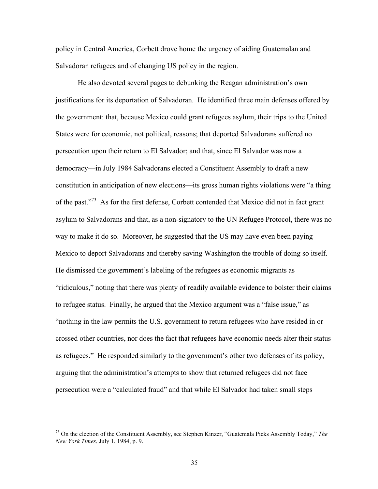policy in Central America, Corbett drove home the urgency of aiding Guatemalan and Salvadoran refugees and of changing US policy in the region.

He also devoted several pages to debunking the Reagan administration's own justifications for its deportation of Salvadoran. He identified three main defenses offered by the government: that, because Mexico could grant refugees asylum, their trips to the United States were for economic, not political, reasons; that deported Salvadorans suffered no persecution upon their return to El Salvador; and that, since El Salvador was now a democracy—in July 1984 Salvadorans elected a Constituent Assembly to draft a new constitution in anticipation of new elections—its gross human rights violations were "a thing of the past."<sup>73</sup> As for the first defense, Corbett contended that Mexico did not in fact grant asylum to Salvadorans and that, as a non-signatory to the UN Refugee Protocol, there was no way to make it do so. Moreover, he suggested that the US may have even been paying Mexico to deport Salvadorans and thereby saving Washington the trouble of doing so itself. He dismissed the government's labeling of the refugees as economic migrants as "ridiculous," noting that there was plenty of readily available evidence to bolster their claims to refugee status. Finally, he argued that the Mexico argument was a "false issue," as "nothing in the law permits the U.S. government to return refugees who have resided in or crossed other countries, nor does the fact that refugees have economic needs alter their status as refugees." He responded similarly to the government's other two defenses of its policy, arguing that the administration's attempts to show that returned refugees did not face persecution were a "calculated fraud" and that while El Salvador had taken small steps

 <sup>73</sup> On the election of the Constituent Assembly, see Stephen Kinzer, "Guatemala Picks Assembly Today," *The New York Times*, July 1, 1984, p. 9.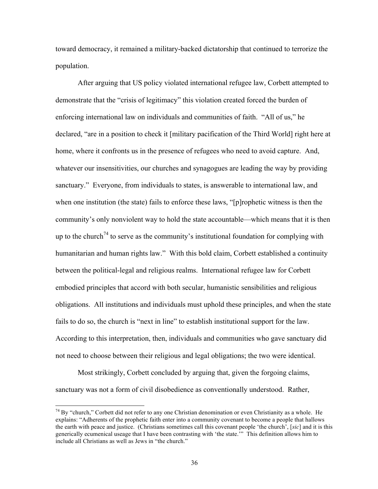toward democracy, it remained a military-backed dictatorship that continued to terrorize the population.

After arguing that US policy violated international refugee law, Corbett attempted to demonstrate that the "crisis of legitimacy" this violation created forced the burden of enforcing international law on individuals and communities of faith. "All of us," he declared, "are in a position to check it [military pacification of the Third World] right here at home, where it confronts us in the presence of refugees who need to avoid capture. And, whatever our insensitivities, our churches and synagogues are leading the way by providing sanctuary." Everyone, from individuals to states, is answerable to international law, and when one institution (the state) fails to enforce these laws, "[p]rophetic witness is then the community's only nonviolent way to hold the state accountable—which means that it is then up to the church<sup>74</sup> to serve as the community's institutional foundation for complying with humanitarian and human rights law." With this bold claim, Corbett established a continuity between the political-legal and religious realms. International refugee law for Corbett embodied principles that accord with both secular, humanistic sensibilities and religious obligations. All institutions and individuals must uphold these principles, and when the state fails to do so, the church is "next in line" to establish institutional support for the law. According to this interpretation, then, individuals and communities who gave sanctuary did not need to choose between their religious and legal obligations; the two were identical.

Most strikingly, Corbett concluded by arguing that, given the forgoing claims, sanctuary was not a form of civil disobedience as conventionally understood. Rather,

<sup>&</sup>lt;sup>74</sup> Bv "church," Corbett did not refer to any one Christian denomination or even Christianity as a whole. He explains: "Adherents of the prophetic faith enter into a community covenant to become a people that hallows the earth with peace and justice. (Christians sometimes call this covenant people 'the church', [*sic*] and it is this generically ecumenical useage that I have been contrasting with 'the state.'" This definition allows him to include all Christians as well as Jews in "the church."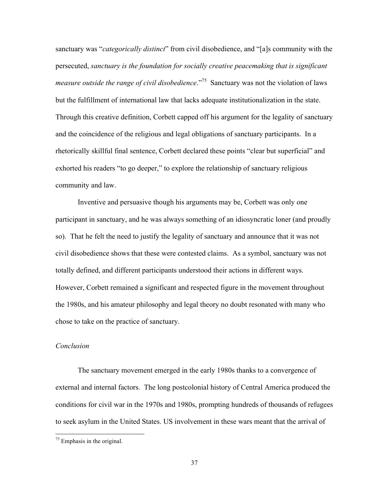sanctuary was "*categorically distinct*" from civil disobedience, and "[a]s community with the persecuted, *sanctuary is the foundation for socially creative peacemaking that is significant measure outside the range of civil disobedience*."<sup>75</sup> Sanctuary was not the violation of laws but the fulfillment of international law that lacks adequate institutionalization in the state. Through this creative definition, Corbett capped off his argument for the legality of sanctuary and the coincidence of the religious and legal obligations of sanctuary participants. In a rhetorically skillful final sentence, Corbett declared these points "clear but superficial" and exhorted his readers "to go deeper," to explore the relationship of sanctuary religious community and law.

Inventive and persuasive though his arguments may be, Corbett was only one participant in sanctuary, and he was always something of an idiosyncratic loner (and proudly so). That he felt the need to justify the legality of sanctuary and announce that it was not civil disobedience shows that these were contested claims. As a symbol, sanctuary was not totally defined, and different participants understood their actions in different ways. However, Corbett remained a significant and respected figure in the movement throughout the 1980s, and his amateur philosophy and legal theory no doubt resonated with many who chose to take on the practice of sanctuary.

#### *Conclusion*

The sanctuary movement emerged in the early 1980s thanks to a convergence of external and internal factors. The long postcolonial history of Central America produced the conditions for civil war in the 1970s and 1980s, prompting hundreds of thousands of refugees to seek asylum in the United States. US involvement in these wars meant that the arrival of

 $75$  Emphasis in the original.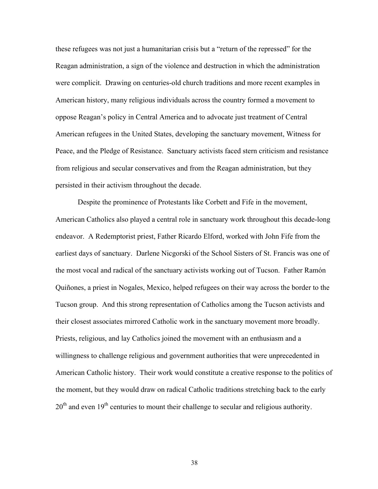these refugees was not just a humanitarian crisis but a "return of the repressed" for the Reagan administration, a sign of the violence and destruction in which the administration were complicit. Drawing on centuries-old church traditions and more recent examples in American history, many religious individuals across the country formed a movement to oppose Reagan's policy in Central America and to advocate just treatment of Central American refugees in the United States, developing the sanctuary movement, Witness for Peace, and the Pledge of Resistance. Sanctuary activists faced stern criticism and resistance from religious and secular conservatives and from the Reagan administration, but they persisted in their activism throughout the decade.

Despite the prominence of Protestants like Corbett and Fife in the movement, American Catholics also played a central role in sanctuary work throughout this decade-long endeavor. A Redemptorist priest, Father Ricardo Elford, worked with John Fife from the earliest days of sanctuary. Darlene Nicgorski of the School Sisters of St. Francis was one of the most vocal and radical of the sanctuary activists working out of Tucson. Father Ramón Quiñones, a priest in Nogales, Mexico, helped refugees on their way across the border to the Tucson group. And this strong representation of Catholics among the Tucson activists and their closest associates mirrored Catholic work in the sanctuary movement more broadly. Priests, religious, and lay Catholics joined the movement with an enthusiasm and a willingness to challenge religious and government authorities that were unprecedented in American Catholic history. Their work would constitute a creative response to the politics of the moment, but they would draw on radical Catholic traditions stretching back to the early  $20<sup>th</sup>$  and even  $19<sup>th</sup>$  centuries to mount their challenge to secular and religious authority.

38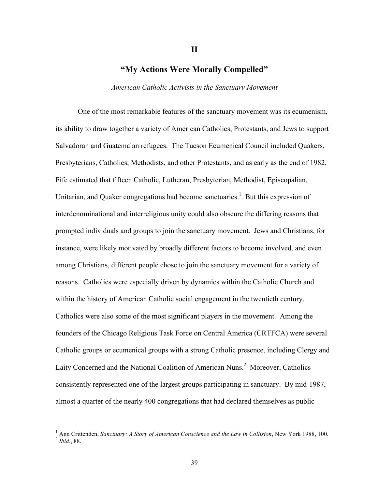# **"My Actions Were Morally Compelled"**

**II**

*American Catholic Activists in the Sanctuary Movement*

One of the most remarkable features of the sanctuary movement was its ecumenism, its ability to draw together a variety of American Catholics, Protestants, and Jews to support Salvadoran and Guatemalan refugees. The Tucson Ecumenical Council included Quakers, Presbyterians, Catholics, Methodists, and other Protestants, and as early as the end of 1982, Fife estimated that fifteen Catholic, Lutheran, Presbyterian, Methodist, Episcopalian, Unitarian, and Quaker congregations had become sanctuaries.<sup>1</sup> But this expression of interdenominational and interreligious unity could also obscure the differing reasons that prompted individuals and groups to join the sanctuary movement. Jews and Christians, for instance, were likely motivated by broadly different factors to become involved, and even among Christians, different people chose to join the sanctuary movement for a variety of reasons. Catholics were especially driven by dynamics within the Catholic Church and within the history of American Catholic social engagement in the twentieth century. Catholics were also some of the most significant players in the movement. Among the founders of the Chicago Religious Task Force on Central America (CRTFCA) were several Catholic groups or ecumenical groups with a strong Catholic presence, including Clergy and Laity Concerned and the National Coalition of American Nuns.<sup>2</sup> Moreover, Catholics consistently represented one of the largest groups participating in sanctuary. By mid-1987, almost a quarter of the nearly 400 congregations that had declared themselves as public

 $\frac{1}{1}$ <sup>1</sup> Ann Crittenden, *Sanctuary: A Story of American Conscience and the Law in Collision*, New York 1988, 100.<br><sup>2</sup> *Ibid.*, 88.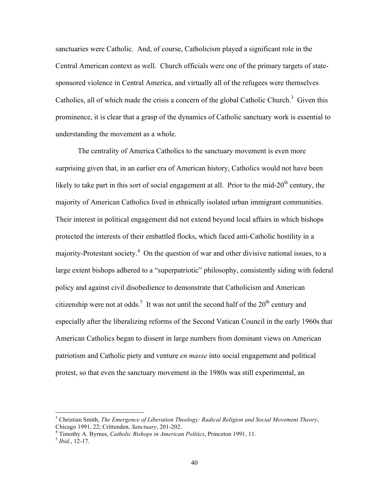sanctuaries were Catholic. And, of course, Catholicism played a significant role in the Central American context as well. Church officials were one of the primary targets of statesponsored violence in Central America, and virtually all of the refugees were themselves Catholics, all of which made the crisis a concern of the global Catholic Church.<sup>3</sup> Given this prominence, it is clear that a grasp of the dynamics of Catholic sanctuary work is essential to understanding the movement as a whole.

The centrality of America Catholics to the sanctuary movement is even more surprising given that, in an earlier era of American history, Catholics would not have been likely to take part in this sort of social engagement at all. Prior to the mid- $20<sup>th</sup>$  century, the majority of American Catholics lived in ethnically isolated urban immigrant communities. Their interest in political engagement did not extend beyond local affairs in which bishops protected the interests of their embattled flocks, which faced anti-Catholic hostility in a majority-Protestant society.<sup>4</sup> On the question of war and other divisive national issues, to a large extent bishops adhered to a "superpatriotic" philosophy, consistently siding with federal policy and against civil disobedience to demonstrate that Catholicism and American citizenship were not at odds.<sup>5</sup> It was not until the second half of the  $20<sup>th</sup>$  century and especially after the liberalizing reforms of the Second Vatican Council in the early 1960s that American Catholics began to dissent in large numbers from dominant views on American patriotism and Catholic piety and venture *en masse* into social engagement and political protest, so that even the sanctuary movement in the 1980s was still experimental, an

<sup>&</sup>lt;sup>2</sup><br>3 Christian Smith, *The Emergence of Liberation Theology: Radical Religion and Social Movement Theory*, Chicago 1991, 22; Crittenden, *Sanctuary*, 201-202. <sup>4</sup>

<sup>&</sup>lt;sup>4</sup> Timothy A. Byrnes, *Catholic Bishops in American Politics*, Princeton 1991, 11.<br><sup>5</sup> *Ibid.*, 12-17.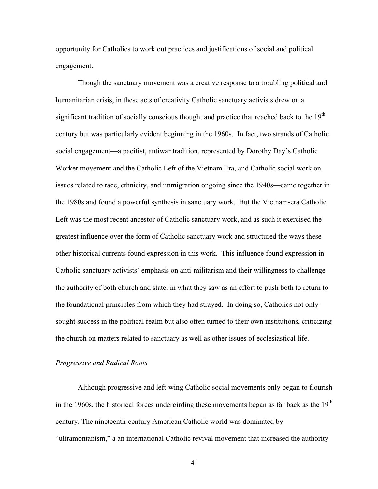opportunity for Catholics to work out practices and justifications of social and political engagement.

Though the sanctuary movement was a creative response to a troubling political and humanitarian crisis, in these acts of creativity Catholic sanctuary activists drew on a significant tradition of socially conscious thought and practice that reached back to the 19<sup>th</sup> century but was particularly evident beginning in the 1960s. In fact, two strands of Catholic social engagement—a pacifist, antiwar tradition, represented by Dorothy Day's Catholic Worker movement and the Catholic Left of the Vietnam Era, and Catholic social work on issues related to race, ethnicity, and immigration ongoing since the 1940s—came together in the 1980s and found a powerful synthesis in sanctuary work. But the Vietnam-era Catholic Left was the most recent ancestor of Catholic sanctuary work, and as such it exercised the greatest influence over the form of Catholic sanctuary work and structured the ways these other historical currents found expression in this work. This influence found expression in Catholic sanctuary activists' emphasis on anti-militarism and their willingness to challenge the authority of both church and state, in what they saw as an effort to push both to return to the foundational principles from which they had strayed. In doing so, Catholics not only sought success in the political realm but also often turned to their own institutions, criticizing the church on matters related to sanctuary as well as other issues of ecclesiastical life.

#### *Progressive and Radical Roots*

Although progressive and left-wing Catholic social movements only began to flourish in the 1960s, the historical forces undergirding these movements began as far back as the  $19<sup>th</sup>$ century. The nineteenth-century American Catholic world was dominated by "ultramontanism," a an international Catholic revival movement that increased the authority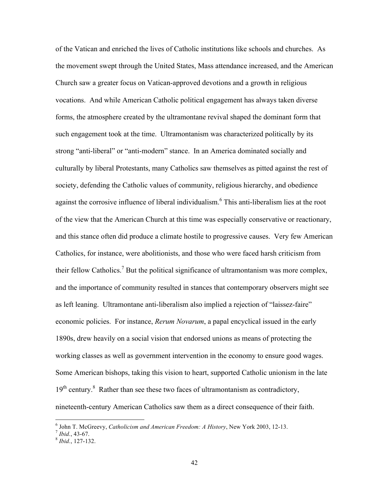of the Vatican and enriched the lives of Catholic institutions like schools and churches. As the movement swept through the United States, Mass attendance increased, and the American Church saw a greater focus on Vatican-approved devotions and a growth in religious vocations. And while American Catholic political engagement has always taken diverse forms, the atmosphere created by the ultramontane revival shaped the dominant form that such engagement took at the time. Ultramontanism was characterized politically by its strong "anti-liberal" or "anti-modern" stance. In an America dominated socially and culturally by liberal Protestants, many Catholics saw themselves as pitted against the rest of society, defending the Catholic values of community, religious hierarchy, and obedience against the corrosive influence of liberal individualism.<sup>6</sup> This anti-liberalism lies at the root of the view that the American Church at this time was especially conservative or reactionary, and this stance often did produce a climate hostile to progressive causes. Very few American Catholics, for instance, were abolitionists, and those who were faced harsh criticism from their fellow Catholics.<sup>7</sup> But the political significance of ultramontanism was more complex, and the importance of community resulted in stances that contemporary observers might see as left leaning. Ultramontane anti-liberalism also implied a rejection of "laissez-faire" economic policies. For instance, *Rerum Novarum*, a papal encyclical issued in the early 1890s, drew heavily on a social vision that endorsed unions as means of protecting the working classes as well as government intervention in the economy to ensure good wages. Some American bishops, taking this vision to heart, supported Catholic unionism in the late 19<sup>th</sup> century.<sup>8</sup> Rather than see these two faces of ultramontanism as contradictory, nineteenth-century American Catholics saw them as a direct consequence of their faith.

 $\frac{1}{6}$ <sup>6</sup> John T. McGreevy, *Catholicism and American Freedom: A History*, New York 2003, 12-13.<br><sup>7</sup> *Ibid.*, 43-67. 8 *Ibid.* 127-132.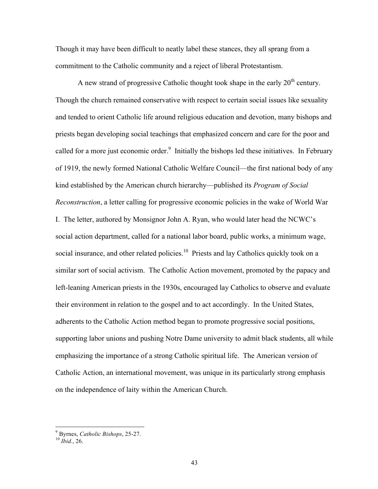Though it may have been difficult to neatly label these stances, they all sprang from a commitment to the Catholic community and a reject of liberal Protestantism.

A new strand of progressive Catholic thought took shape in the early  $20<sup>th</sup>$  century. Though the church remained conservative with respect to certain social issues like sexuality and tended to orient Catholic life around religious education and devotion, many bishops and priests began developing social teachings that emphasized concern and care for the poor and called for a more just economic order.<sup>9</sup> Initially the bishops led these initiatives. In February of 1919, the newly formed National Catholic Welfare Council—the first national body of any kind established by the American church hierarchy—published its *Program of Social Reconstruction*, a letter calling for progressive economic policies in the wake of World War I. The letter, authored by Monsignor John A. Ryan, who would later head the NCWC's social action department, called for a national labor board, public works, a minimum wage, social insurance, and other related policies.<sup>10</sup> Priests and lay Catholics quickly took on a similar sort of social activism. The Catholic Action movement, promoted by the papacy and left-leaning American priests in the 1930s, encouraged lay Catholics to observe and evaluate their environment in relation to the gospel and to act accordingly. In the United States, adherents to the Catholic Action method began to promote progressive social positions, supporting labor unions and pushing Notre Dame university to admit black students, all while emphasizing the importance of a strong Catholic spiritual life. The American version of Catholic Action, an international movement, was unique in its particularly strong emphasis on the independence of laity within the American Church.

<sup>-&</sup>lt;br>9 Byrnes, *Catholic Bishops*, 25-27. <sup>10</sup> *Ibid.*, 26.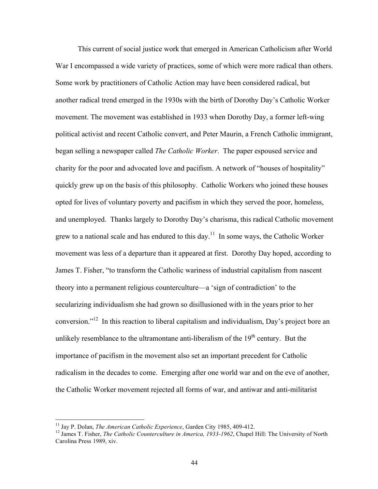This current of social justice work that emerged in American Catholicism after World War I encompassed a wide variety of practices, some of which were more radical than others. Some work by practitioners of Catholic Action may have been considered radical, but another radical trend emerged in the 1930s with the birth of Dorothy Day's Catholic Worker movement. The movement was established in 1933 when Dorothy Day, a former left-wing political activist and recent Catholic convert, and Peter Maurin, a French Catholic immigrant, began selling a newspaper called *The Catholic Worker*. The paper espoused service and charity for the poor and advocated love and pacifism. A network of "houses of hospitality" quickly grew up on the basis of this philosophy. Catholic Workers who joined these houses opted for lives of voluntary poverty and pacifism in which they served the poor, homeless, and unemployed. Thanks largely to Dorothy Day's charisma, this radical Catholic movement grew to a national scale and has endured to this day.<sup>11</sup> In some ways, the Catholic Worker movement was less of a departure than it appeared at first. Dorothy Day hoped, according to James T. Fisher, "to transform the Catholic wariness of industrial capitalism from nascent theory into a permanent religious counterculture—a 'sign of contradiction' to the secularizing individualism she had grown so disillusioned with in the years prior to her conversion."12 In this reaction to liberal capitalism and individualism, Day's project bore an unlikely resemblance to the ultramontane anti-liberalism of the  $19<sup>th</sup>$  century. But the importance of pacifism in the movement also set an important precedent for Catholic radicalism in the decades to come. Emerging after one world war and on the eve of another, the Catholic Worker movement rejected all forms of war, and antiwar and anti-militarist

<sup>&</sup>lt;sup>11</sup> Jay P. Dolan, *The American Catholic Experience*, Garden City 1985, 409-412.<br><sup>12</sup> James T. Fisher, *The Catholic Counterculture in America, 1933-1962*, Chapel Hill: The University of North Carolina Press 1989, xiv.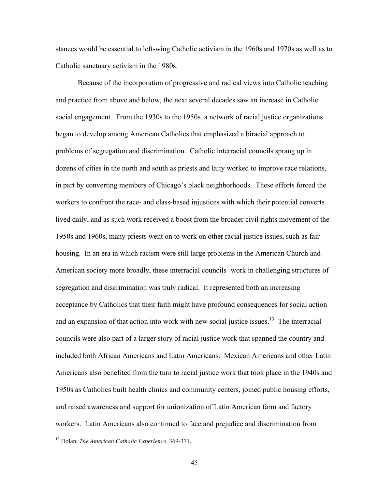stances would be essential to left-wing Catholic activism in the 1960s and 1970s as well as to Catholic sanctuary activism in the 1980s.

Because of the incorporation of progressive and radical views into Catholic teaching and practice from above and below, the next several decades saw an increase in Catholic social engagement. From the 1930s to the 1950s, a network of racial justice organizations began to develop among American Catholics that emphasized a biracial approach to problems of segregation and discrimination. Catholic interracial councils sprang up in dozens of cities in the north and south as priests and laity worked to improve race relations, in part by converting members of Chicago's black neighborhoods. These efforts forced the workers to confront the race- and class-based injustices with which their potential converts lived daily, and as such work received a boost from the broader civil rights movement of the 1950s and 1960s, many priests went on to work on other racial justice issues, such as fair housing. In an era in which racism were still large problems in the American Church and American society more broadly, these interracial councils' work in challenging structures of segregation and discrimination was truly radical. It represented both an increasing acceptance by Catholics that their faith might have profound consequences for social action and an expansion of that action into work with new social justice issues.<sup>13</sup> The interracial councils were also part of a larger story of racial justice work that spanned the country and included both African Americans and Latin Americans. Mexican Americans and other Latin Americans also benefited from the turn to racial justice work that took place in the 1940s and 1950s as Catholics built health clinics and community centers, joined public housing efforts, and raised awareness and support for unionization of Latin American farm and factory workers. Latin Americans also continued to face and prejudice and discrimination from

 <sup>13</sup> Dolan, *The American Catholic Experience*, 369-371.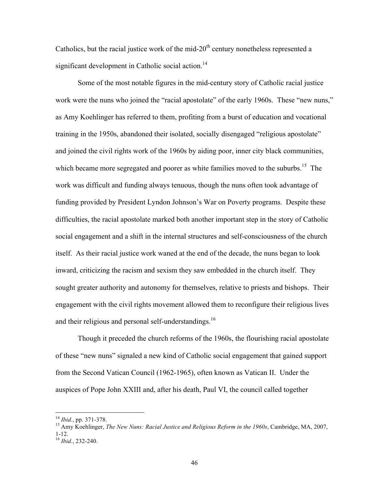Catholics, but the racial justice work of the mid- $20<sup>th</sup>$  century nonetheless represented a significant development in Catholic social action.<sup>14</sup>

Some of the most notable figures in the mid-century story of Catholic racial justice work were the nuns who joined the "racial apostolate" of the early 1960s. These "new nuns," as Amy Koehlinger has referred to them, profiting from a burst of education and vocational training in the 1950s, abandoned their isolated, socially disengaged "religious apostolate" and joined the civil rights work of the 1960s by aiding poor, inner city black communities, which became more segregated and poorer as white families moved to the suburbs.<sup>15</sup> The work was difficult and funding always tenuous, though the nuns often took advantage of funding provided by President Lyndon Johnson's War on Poverty programs. Despite these difficulties, the racial apostolate marked both another important step in the story of Catholic social engagement and a shift in the internal structures and self-consciousness of the church itself. As their racial justice work waned at the end of the decade, the nuns began to look inward, criticizing the racism and sexism they saw embedded in the church itself. They sought greater authority and autonomy for themselves, relative to priests and bishops. Their engagement with the civil rights movement allowed them to reconfigure their religious lives and their religious and personal self-understandings.<sup>16</sup>

Though it preceded the church reforms of the 1960s, the flourishing racial apostolate of these "new nuns" signaled a new kind of Catholic social engagement that gained support from the Second Vatican Council (1962-1965), often known as Vatican II. Under the auspices of Pope John XXIII and, after his death, Paul VI, the council called together

<sup>&</sup>lt;sup>14</sup> *Ibid.*, pp. 371-378.<br><sup>15</sup> Amy Koehlinger, *The New Nuns: Racial Justice and Religious Reform in the 1960s, Cambridge, MA, 2007,* 1-12. <sup>16</sup> *Ibid.*, 232-240.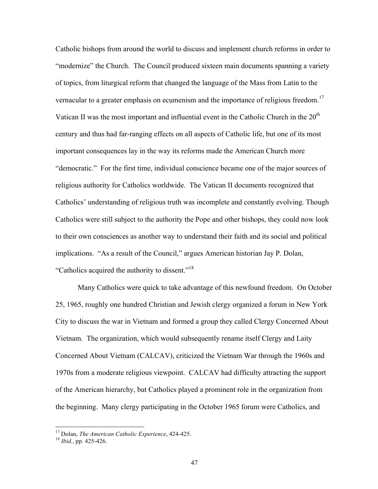Catholic bishops from around the world to discuss and implement church reforms in order to "modernize" the Church. The Council produced sixteen main documents spanning a variety of topics, from liturgical reform that changed the language of the Mass from Latin to the vernacular to a greater emphasis on ecumenism and the importance of religious freedom.<sup>17</sup> Vatican II was the most important and influential event in the Catholic Church in the  $20<sup>th</sup>$ century and thus had far-ranging effects on all aspects of Catholic life, but one of its most important consequences lay in the way its reforms made the American Church more "democratic." For the first time, individual conscience became one of the major sources of religious authority for Catholics worldwide. The Vatican II documents recognized that Catholics' understanding of religious truth was incomplete and constantly evolving. Though Catholics were still subject to the authority the Pope and other bishops, they could now look to their own consciences as another way to understand their faith and its social and political implications. "As a result of the Council," argues American historian Jay P. Dolan, "Catholics acquired the authority to dissent."<sup>18</sup>

Many Catholics were quick to take advantage of this newfound freedom. On October 25, 1965, roughly one hundred Christian and Jewish clergy organized a forum in New York City to discuss the war in Vietnam and formed a group they called Clergy Concerned About Vietnam. The organization, which would subsequently rename itself Clergy and Laity Concerned About Vietnam (CALCAV), criticized the Vietnam War through the 1960s and 1970s from a moderate religious viewpoint. CALCAV had difficulty attracting the support of the American hierarchy, but Catholics played a prominent role in the organization from the beginning. Many clergy participating in the October 1965 forum were Catholics, and

<sup>&</sup>lt;sup>17</sup> Dolan, *The American Catholic Experience*, 424-425.<br><sup>18</sup> *Ibid.*, pp. 425-426.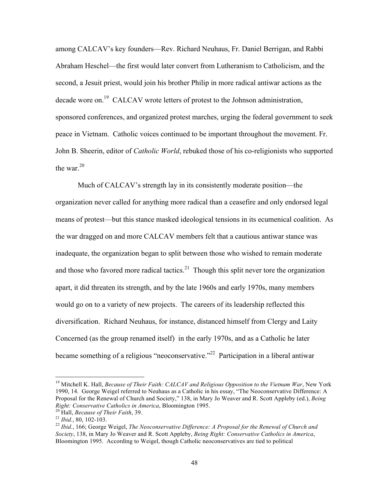among CALCAV's key founders—Rev. Richard Neuhaus, Fr. Daniel Berrigan, and Rabbi Abraham Heschel—the first would later convert from Lutheranism to Catholicism, and the second, a Jesuit priest, would join his brother Philip in more radical antiwar actions as the decade wore on.<sup>19</sup> CALCAV wrote letters of protest to the Johnson administration, sponsored conferences, and organized protest marches, urging the federal government to seek peace in Vietnam. Catholic voices continued to be important throughout the movement. Fr. John B. Sheerin, editor of *Catholic World*, rebuked those of his co-religionists who supported the war. $20$ 

Much of CALCAV's strength lay in its consistently moderate position—the organization never called for anything more radical than a ceasefire and only endorsed legal means of protest—but this stance masked ideological tensions in its ecumenical coalition. As the war dragged on and more CALCAV members felt that a cautious antiwar stance was inadequate, the organization began to split between those who wished to remain moderate and those who favored more radical tactics.<sup>21</sup> Though this split never tore the organization apart, it did threaten its strength, and by the late 1960s and early 1970s, many members would go on to a variety of new projects. The careers of its leadership reflected this diversification. Richard Neuhaus, for instance, distanced himself from Clergy and Laity Concerned (as the group renamed itself) in the early 1970s, and as a Catholic he later became something of a religious "neoconservative."<sup>22</sup> Participation in a liberal antiwar

<sup>&</sup>lt;sup>19</sup> Mitchell K. Hall, *Because of Their Faith: CALCAV and Religious Opposition to the Vietnam War*, New York 1990, 14. George Weigel referred to Neuhaus as a Catholic in his essay, "The Neoconservative Difference: A Proposal for the Renewal of Church and Society," 138, in Mary Jo Weaver and R. Scott Appleby (ed.), *Being* 

*Right: Conservative Catholics in America, Bloomington 1995.*<br><sup>20</sup> Hall, *Because of Their Faith, 39.*<br><sup>21</sup> *Ibid., 80, 102-103.*<br><sup>22</sup> *Ibid., 166; George Weigel, The Neoconservative Difference: A Proposal for the Renewal Society*, 138, in Mary Jo Weaver and R. Scott Appleby, *Being Right: Conservative Catholics in America*, Bloomington 1995. According to Weigel, though Catholic neoconservatives are tied to political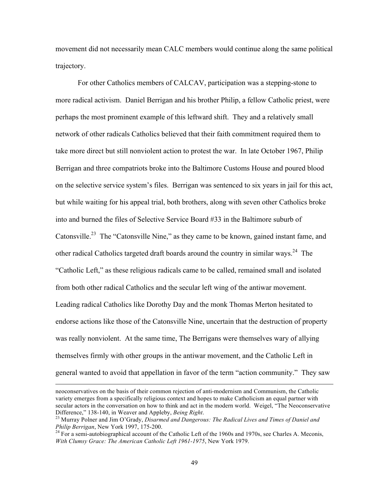movement did not necessarily mean CALC members would continue along the same political trajectory.

For other Catholics members of CALCAV, participation was a stepping-stone to more radical activism. Daniel Berrigan and his brother Philip, a fellow Catholic priest, were perhaps the most prominent example of this leftward shift. They and a relatively small network of other radicals Catholics believed that their faith commitment required them to take more direct but still nonviolent action to protest the war. In late October 1967, Philip Berrigan and three compatriots broke into the Baltimore Customs House and poured blood on the selective service system's files. Berrigan was sentenced to six years in jail for this act, but while waiting for his appeal trial, both brothers, along with seven other Catholics broke into and burned the files of Selective Service Board #33 in the Baltimore suburb of Catonsville.<sup>23</sup> The "Catonsville Nine," as they came to be known, gained instant fame, and other radical Catholics targeted draft boards around the country in similar ways.<sup>24</sup> The "Catholic Left," as these religious radicals came to be called, remained small and isolated from both other radical Catholics and the secular left wing of the antiwar movement. Leading radical Catholics like Dorothy Day and the monk Thomas Merton hesitated to endorse actions like those of the Catonsville Nine, uncertain that the destruction of property was really nonviolent. At the same time, The Berrigans were themselves wary of allying themselves firmly with other groups in the antiwar movement, and the Catholic Left in general wanted to avoid that appellation in favor of the term "action community." They saw

 $\overline{a}$ 

neoconservatives on the basis of their common rejection of anti-modernism and Communism, the Catholic variety emerges from a specifically religious context and hopes to make Catholicism an equal partner with secular actors in the conversation on how to think and act in the modern world. Weigel, "The Neoconservative Difference," 138-140, in Weaver and Appleby, *Being Right*.<br><sup>23</sup> Murray Polner and Jim O'Grady, *Disarmed and Dangerous: The Radical Lives and Times of Daniel and* 

*Philip Berrigan*, New York 1997, 175-200.<br><sup>24</sup> For a semi-autobiographical account of the Catholic Left of the 1960s and 1970s, see Charles A. Meconis,

*With Clumsy Grace: The American Catholic Left 1961-1975*, New York 1979.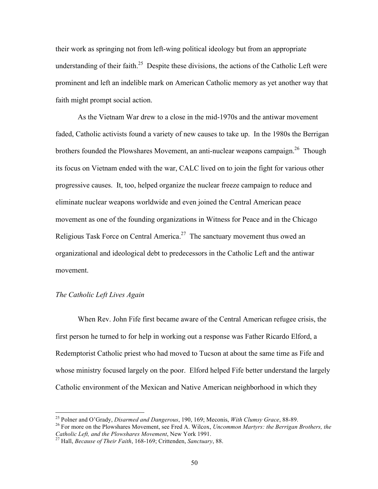their work as springing not from left-wing political ideology but from an appropriate understanding of their faith.<sup>25</sup> Despite these divisions, the actions of the Catholic Left were prominent and left an indelible mark on American Catholic memory as yet another way that faith might prompt social action.

As the Vietnam War drew to a close in the mid-1970s and the antiwar movement faded, Catholic activists found a variety of new causes to take up. In the 1980s the Berrigan brothers founded the Plowshares Movement, an anti-nuclear weapons campaign.<sup>26</sup> Though its focus on Vietnam ended with the war, CALC lived on to join the fight for various other progressive causes. It, too, helped organize the nuclear freeze campaign to reduce and eliminate nuclear weapons worldwide and even joined the Central American peace movement as one of the founding organizations in Witness for Peace and in the Chicago Religious Task Force on Central America.<sup>27</sup> The sanctuary movement thus owed an organizational and ideological debt to predecessors in the Catholic Left and the antiwar movement.

### *The Catholic Left Lives Again*

When Rev. John Fife first became aware of the Central American refugee crisis, the first person he turned to for help in working out a response was Father Ricardo Elford, a Redemptorist Catholic priest who had moved to Tucson at about the same time as Fife and whose ministry focused largely on the poor. Elford helped Fife better understand the largely Catholic environment of the Mexican and Native American neighborhood in which they

<sup>&</sup>lt;sup>25</sup> Polner and O'Grady, *Disarmed and Dangerous*, 190, 169; Meconis, *With Clumsy Grace*, 88-89.<br><sup>26</sup> For more on the Plowshares Movement, see Fred A. Wilcox, *Uncommon Martyrs: the Berrigan Brothers, the Catholic Left, a* 

*Catholic Left, and the Plowshares Movement*, New York 1991. 27 Hall, *Because of Their Faith*, 168-169; Crittenden, *Sanctuary*, 88.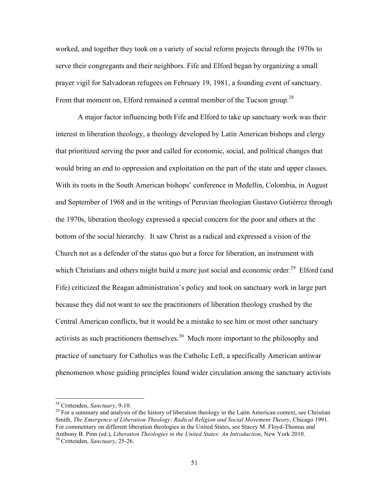worked, and together they took on a variety of social reform projects through the 1970s to serve their congregants and their neighbors. Fife and Elford began by organizing a small prayer vigil for Salvadoran refugees on February 19, 1981, a founding event of sanctuary. From that moment on, Elford remained a central member of the Tucson group.<sup>28</sup>

A major factor influencing both Fife and Elford to take up sanctuary work was their interest in liberation theology, a theology developed by Latin American bishops and clergy that prioritized serving the poor and called for economic, social, and political changes that would bring an end to oppression and exploitation on the part of the state and upper classes. With its roots in the South American bishops' conference in Medellín, Colombia, in August and September of 1968 and in the writings of Peruvian theologian Gustavo Gutiérrez through the 1970s, liberation theology expressed a special concern for the poor and others at the bottom of the social hierarchy. It saw Christ as a radical and expressed a vision of the Church not as a defender of the status quo but a force for liberation, an instrument with which Christians and others might build a more just social and economic order.<sup>29</sup> Elford (and Fife) criticized the Reagan administration's policy and took on sanctuary work in large part because they did not want to see the practitioners of liberation theology crushed by the Central American conflicts, but it would be a mistake to see him or most other sanctuary activists as such practitioners themselves.<sup>30</sup> Much more important to the philosophy and practice of sanctuary for Catholics was the Catholic Left, a specifically American antiwar phenomenon whose guiding principles found wider circulation among the sanctuary activists

<sup>&</sup>lt;sup>28</sup> Crittenden, *Sanctuary*, 9-10.<br><sup>29</sup> For a summary and analysis of the history of liberation theology in the Latin American context, see Christian Smith, *The Emergence of Liberation Theology: Radical Religion and Social Movement Theory*, Chicago 1991. For commentary on different liberation theologies in the United States, see Stacey M. Floyd-Thomas and Anthony B. Pinn (ed.), *Liberation Theologies in the United States: An Introduction*, New York 2010. 30 Crittenden, *Sanctuary*, 25-26.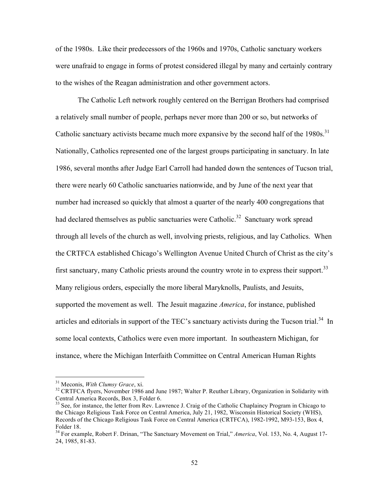of the 1980s. Like their predecessors of the 1960s and 1970s, Catholic sanctuary workers were unafraid to engage in forms of protest considered illegal by many and certainly contrary to the wishes of the Reagan administration and other government actors.

The Catholic Left network roughly centered on the Berrigan Brothers had comprised a relatively small number of people, perhaps never more than 200 or so, but networks of Catholic sanctuary activists became much more expansive by the second half of the  $1980s$ <sup>31</sup> Nationally, Catholics represented one of the largest groups participating in sanctuary. In late 1986, several months after Judge Earl Carroll had handed down the sentences of Tucson trial, there were nearly 60 Catholic sanctuaries nationwide, and by June of the next year that number had increased so quickly that almost a quarter of the nearly 400 congregations that had declared themselves as public sanctuaries were Catholic.<sup>32</sup> Sanctuary work spread through all levels of the church as well, involving priests, religious, and lay Catholics. When the CRTFCA established Chicago's Wellington Avenue United Church of Christ as the city's first sanctuary, many Catholic priests around the country wrote in to express their support.<sup>33</sup> Many religious orders, especially the more liberal Maryknolls, Paulists, and Jesuits, supported the movement as well. The Jesuit magazine *America*, for instance, published articles and editorials in support of the TEC's sanctuary activists during the Tucson trial.<sup>34</sup> In some local contexts, Catholics were even more important. In southeastern Michigan, for instance, where the Michigan Interfaith Committee on Central American Human Rights

<sup>&</sup>lt;sup>31</sup> Meconis, *With Clumsy Grace*, xi.<br><sup>32</sup> CRTFCA flyers, November 1986 and June 1987; Walter P. Reuther Library, Organization in Solidarity with Central America Records, Box 3, Folder 6.

<sup>&</sup>lt;sup>33</sup> See, for instance, the letter from Rev. Lawrence J. Craig of the Catholic Chaplaincy Program in Chicago to the Chicago Religious Task Force on Central America, July 21, 1982, Wisconsin Historical Society (WHS), Records of the Chicago Religious Task Force on Central America (CRTFCA), 1982-1992, M93-153, Box 4, Folder 18.

<sup>34</sup> For example, Robert F. Drinan, "The Sanctuary Movement on Trial," *America*, Vol. 153, No. 4, August 17- 24, 1985, 81-83.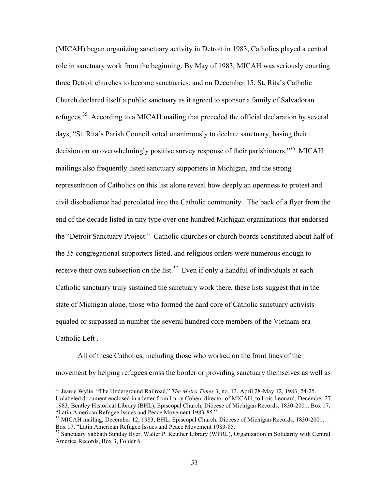(MICAH) began organizing sanctuary activity in Detroit in 1983, Catholics played a central role in sanctuary work from the beginning. By May of 1983, MICAH was seriously courting three Detroit churches to become sanctuaries, and on December 15, St. Rita's Catholic Church declared itself a public sanctuary as it agreed to sponsor a family of Salvadoran refugees.<sup>35</sup> According to a MICAH mailing that preceded the official declaration by several days, "St. Rita's Parish Council voted unanimously to declare sanctuary, basing their decision on an overwhelmingly positive survey response of their parishioners."<sup>36</sup> MICAH mailings also frequently listed sanctuary supporters in Michigan, and the strong representation of Catholics on this list alone reveal how deeply an openness to protest and civil disobedience had percolated into the Catholic community. The back of a flyer from the end of the decade listed in tiny type over one hundred Michigan organizations that endorsed the "Detroit Sanctuary Project." Catholic churches or church boards constituted about half of the 35 congregational supporters listed, and religious orders were numerous enough to receive their own subsection on the list.<sup>37</sup> Even if only a handful of individuals at each Catholic sanctuary truly sustained the sanctuary work there, these lists suggest that in the state of Michigan alone, those who formed the hard core of Catholic sanctuary activists equaled or surpassed in number the several hundred core members of the Vietnam-era Catholic Left .

All of these Catholics, including those who worked on the front lines of the movement by helping refugees cross the border or providing sanctuary themselves as well as

 <sup>35</sup> Jeanie Wylie, "The Underground Railroad," *The Metro Times* 3, no. 13, April 28-May 12, 1983, 24-25. Unlabeled document enclosed in a letter from Larry Cohen, director of MICAH, to Lois Leonard, December 27, 1983, Bentley Historical Library (BHL), Episcopal Church, Diocese of Michigan Records, 1830-2001, Box 17,

<sup>&</sup>lt;sup>36</sup> MICAH mailing, December 12, 1983, BHL, Episcopal Church, Diocese of Michigan Records, 1830-2001, Box 17, "Latin American Refugee Issues and Peace Movement 1983-85.

 $37$  Sanctuary Sabbath Sunday flyer, Walter P. Reuther Library (WPRL), Organization in Solidarity with Central America Records, Box 3, Folder 6.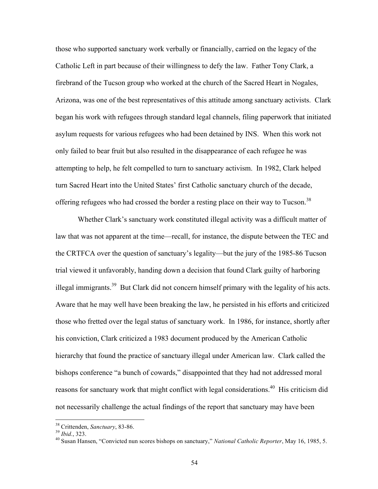those who supported sanctuary work verbally or financially, carried on the legacy of the Catholic Left in part because of their willingness to defy the law. Father Tony Clark, a firebrand of the Tucson group who worked at the church of the Sacred Heart in Nogales, Arizona, was one of the best representatives of this attitude among sanctuary activists. Clark began his work with refugees through standard legal channels, filing paperwork that initiated asylum requests for various refugees who had been detained by INS. When this work not only failed to bear fruit but also resulted in the disappearance of each refugee he was attempting to help, he felt compelled to turn to sanctuary activism. In 1982, Clark helped turn Sacred Heart into the United States' first Catholic sanctuary church of the decade, offering refugees who had crossed the border a resting place on their way to Tucson.<sup>38</sup>

Whether Clark's sanctuary work constituted illegal activity was a difficult matter of law that was not apparent at the time—recall, for instance, the dispute between the TEC and the CRTFCA over the question of sanctuary's legality—but the jury of the 1985-86 Tucson trial viewed it unfavorably, handing down a decision that found Clark guilty of harboring illegal immigrants.<sup>39</sup> But Clark did not concern himself primary with the legality of his acts. Aware that he may well have been breaking the law, he persisted in his efforts and criticized those who fretted over the legal status of sanctuary work. In 1986, for instance, shortly after his conviction, Clark criticized a 1983 document produced by the American Catholic hierarchy that found the practice of sanctuary illegal under American law. Clark called the bishops conference "a bunch of cowards," disappointed that they had not addressed moral reasons for sanctuary work that might conflict with legal considerations.<sup>40</sup> His criticism did not necessarily challenge the actual findings of the report that sanctuary may have been

<sup>&</sup>lt;sup>38</sup> Crittenden, *Sanctuary*, 83-86.<br><sup>39</sup> *Ibid.*, 323.<br><sup>40</sup> Susan Hansen, "Convicted nun scores bishops on sanctuary," *National Catholic Reporter*, May 16, 1985, 5.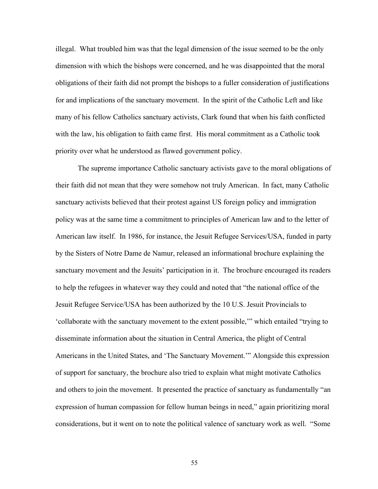illegal. What troubled him was that the legal dimension of the issue seemed to be the only dimension with which the bishops were concerned, and he was disappointed that the moral obligations of their faith did not prompt the bishops to a fuller consideration of justifications for and implications of the sanctuary movement. In the spirit of the Catholic Left and like many of his fellow Catholics sanctuary activists, Clark found that when his faith conflicted with the law, his obligation to faith came first. His moral commitment as a Catholic took priority over what he understood as flawed government policy.

The supreme importance Catholic sanctuary activists gave to the moral obligations of their faith did not mean that they were somehow not truly American. In fact, many Catholic sanctuary activists believed that their protest against US foreign policy and immigration policy was at the same time a commitment to principles of American law and to the letter of American law itself. In 1986, for instance, the Jesuit Refugee Services/USA, funded in party by the Sisters of Notre Dame de Namur, released an informational brochure explaining the sanctuary movement and the Jesuits' participation in it. The brochure encouraged its readers to help the refugees in whatever way they could and noted that "the national office of the Jesuit Refugee Service/USA has been authorized by the 10 U.S. Jesuit Provincials to 'collaborate with the sanctuary movement to the extent possible,'" which entailed "trying to disseminate information about the situation in Central America, the plight of Central Americans in the United States, and 'The Sanctuary Movement.'" Alongside this expression of support for sanctuary, the brochure also tried to explain what might motivate Catholics and others to join the movement. It presented the practice of sanctuary as fundamentally "an expression of human compassion for fellow human beings in need," again prioritizing moral considerations, but it went on to note the political valence of sanctuary work as well. "Some

55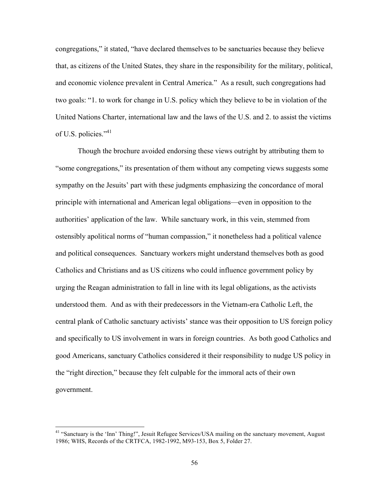congregations," it stated, "have declared themselves to be sanctuaries because they believe that, as citizens of the United States, they share in the responsibility for the military, political, and economic violence prevalent in Central America." As a result, such congregations had two goals: "1. to work for change in U.S. policy which they believe to be in violation of the United Nations Charter, international law and the laws of the U.S. and 2. to assist the victims of U.S. policies."<sup>41</sup>

Though the brochure avoided endorsing these views outright by attributing them to "some congregations," its presentation of them without any competing views suggests some sympathy on the Jesuits' part with these judgments emphasizing the concordance of moral principle with international and American legal obligations—even in opposition to the authorities' application of the law. While sanctuary work, in this vein, stemmed from ostensibly apolitical norms of "human compassion," it nonetheless had a political valence and political consequences. Sanctuary workers might understand themselves both as good Catholics and Christians and as US citizens who could influence government policy by urging the Reagan administration to fall in line with its legal obligations, as the activists understood them. And as with their predecessors in the Vietnam-era Catholic Left, the central plank of Catholic sanctuary activists' stance was their opposition to US foreign policy and specifically to US involvement in wars in foreign countries. As both good Catholics and good Americans, sanctuary Catholics considered it their responsibility to nudge US policy in the "right direction," because they felt culpable for the immoral acts of their own government.

 <sup>41 &</sup>quot;Sanctuary is the 'Inn' Thing!", Jesuit Refugee Services/USA mailing on the sanctuary movement, August 1986; WHS, Records of the CRTFCA, 1982-1992, M93-153, Box 5, Folder 27.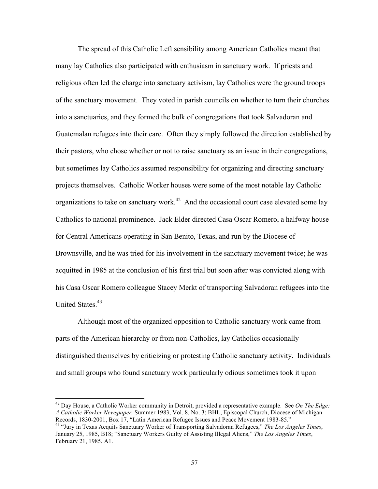The spread of this Catholic Left sensibility among American Catholics meant that many lay Catholics also participated with enthusiasm in sanctuary work. If priests and religious often led the charge into sanctuary activism, lay Catholics were the ground troops of the sanctuary movement. They voted in parish councils on whether to turn their churches into a sanctuaries, and they formed the bulk of congregations that took Salvadoran and Guatemalan refugees into their care. Often they simply followed the direction established by their pastors, who chose whether or not to raise sanctuary as an issue in their congregations, but sometimes lay Catholics assumed responsibility for organizing and directing sanctuary projects themselves. Catholic Worker houses were some of the most notable lay Catholic organizations to take on sanctuary work.<sup>42</sup> And the occasional court case elevated some lay Catholics to national prominence. Jack Elder directed Casa Oscar Romero, a halfway house for Central Americans operating in San Benito, Texas, and run by the Diocese of Brownsville, and he was tried for his involvement in the sanctuary movement twice; he was acquitted in 1985 at the conclusion of his first trial but soon after was convicted along with his Casa Oscar Romero colleague Stacey Merkt of transporting Salvadoran refugees into the United States.<sup>43</sup>

Although most of the organized opposition to Catholic sanctuary work came from parts of the American hierarchy or from non-Catholics, lay Catholics occasionally distinguished themselves by criticizing or protesting Catholic sanctuary activity. Individuals and small groups who found sanctuary work particularly odious sometimes took it upon

 <sup>42</sup> Day House, a Catholic Worker community in Detroit, provided a representative example. See *On The Edge: A Catholic Worker Newspaper,* Summer 1983, Vol. 8, No. 3; BHL, Episcopal Church, Diocese of Michigan Records, 1830-2001, Box 17, "Latin American Refugee Issues and Peace Movement 1983-85." 43 "Jury in Texas Acquits Sanctuary Worker of Transporting Salvadoran Refugees," *The Los Angeles Times*,

January 25, 1985, B18; "Sanctuary Workers Guilty of Assisting Illegal Aliens," *The Los Angeles Times*, February 21, 1985, A1.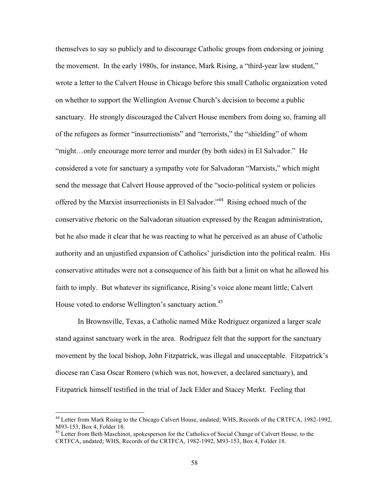themselves to say so publicly and to discourage Catholic groups from endorsing or joining the movement. In the early 1980s, for instance, Mark Rising, a "third-year law student," wrote a letter to the Calvert House in Chicago before this small Catholic organization voted on whether to support the Wellington Avenue Church's decision to become a public sanctuary. He strongly discouraged the Calvert House members from doing so, framing all of the refugees as former "insurrectionists" and "terrorists," the "shielding" of whom "might…only encourage more terror and murder (by both sides) in El Salvador." He considered a vote for sanctuary a sympathy vote for Salvadoran "Marxists," which might send the message that Calvert House approved of the "socio-political system or policies offered by the Marxist insurrectionists in El Salvador."<sup>44</sup> Rising echoed much of the conservative rhetoric on the Salvadoran situation expressed by the Reagan administration, but he also made it clear that he was reacting to what he perceived as an abuse of Catholic authority and an unjustified expansion of Catholics' jurisdiction into the political realm. His conservative attitudes were not a consequence of his faith but a limit on what he allowed his faith to imply. But whatever its significance, Rising's voice alone meant little; Calvert House voted to endorse Wellington's sanctuary action.<sup>45</sup>

In Brownsville, Texas, a Catholic named Mike Rodriguez organized a larger scale stand against sanctuary work in the area. Rodriguez felt that the support for the sanctuary movement by the local bishop, John Fitzpatrick, was illegal and unacceptable. Fitzpatrick's diocese ran Casa Oscar Romero (which was not, however, a declared sanctuary), and Fitzpatrick himself testified in the trial of Jack Elder and Stacey Merkt. Feeling that

<sup>&</sup>lt;sup>44</sup> Letter from Mark Rising to the Chicago Calvert House, undated; WHS, Records of the CRTFCA, 1982-1992, M93-153, Box 4, Folder 18.

<sup>&</sup>lt;sup>45</sup> Letter from Beth Maschinot, spokesperson for the Catholics of Social Change of Calvert House, to the CRTFCA, undated; WHS, Records of the CRTFCA, 1982-1992, M93-153, Box 4, Folder 18.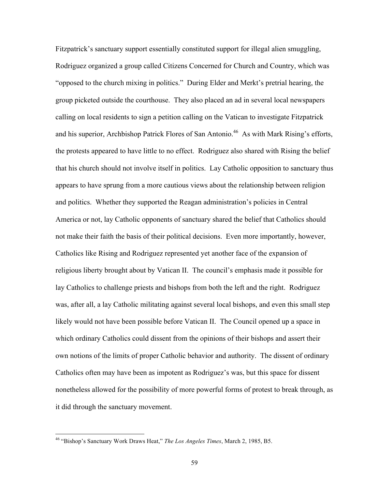Fitzpatrick's sanctuary support essentially constituted support for illegal alien smuggling, Rodriguez organized a group called Citizens Concerned for Church and Country, which was "opposed to the church mixing in politics." During Elder and Merkt's pretrial hearing, the group picketed outside the courthouse. They also placed an ad in several local newspapers calling on local residents to sign a petition calling on the Vatican to investigate Fitzpatrick and his superior, Archbishop Patrick Flores of San Antonio.<sup>46</sup> As with Mark Rising's efforts, the protests appeared to have little to no effect. Rodriguez also shared with Rising the belief that his church should not involve itself in politics. Lay Catholic opposition to sanctuary thus appears to have sprung from a more cautious views about the relationship between religion and politics. Whether they supported the Reagan administration's policies in Central America or not, lay Catholic opponents of sanctuary shared the belief that Catholics should not make their faith the basis of their political decisions. Even more importantly, however, Catholics like Rising and Rodriguez represented yet another face of the expansion of religious liberty brought about by Vatican II. The council's emphasis made it possible for lay Catholics to challenge priests and bishops from both the left and the right. Rodriguez was, after all, a lay Catholic militating against several local bishops, and even this small step likely would not have been possible before Vatican II. The Council opened up a space in which ordinary Catholics could dissent from the opinions of their bishops and assert their own notions of the limits of proper Catholic behavior and authority. The dissent of ordinary Catholics often may have been as impotent as Rodriguez's was, but this space for dissent nonetheless allowed for the possibility of more powerful forms of protest to break through, as it did through the sanctuary movement.

 <sup>46 &</sup>quot;Bishop's Sanctuary Work Draws Heat," *The Los Angeles Times*, March 2, 1985, B5.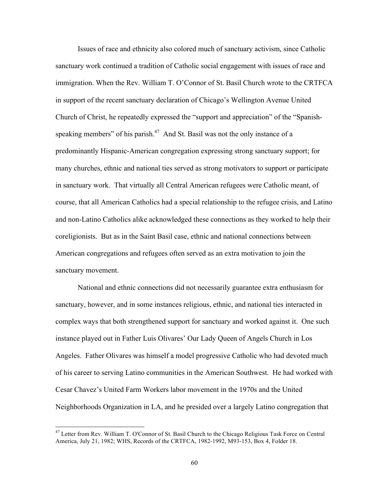Issues of race and ethnicity also colored much of sanctuary activism, since Catholic sanctuary work continued a tradition of Catholic social engagement with issues of race and immigration. When the Rev. William T. O'Connor of St. Basil Church wrote to the CRTFCA in support of the recent sanctuary declaration of Chicago's Wellington Avenue United Church of Christ, he repeatedly expressed the "support and appreciation" of the "Spanishspeaking members" of his parish. $47$  And St. Basil was not the only instance of a predominantly Hispanic-American congregation expressing strong sanctuary support; for many churches, ethnic and national ties served as strong motivators to support or participate in sanctuary work. That virtually all Central American refugees were Catholic meant, of course, that all American Catholics had a special relationship to the refugee crisis, and Latino and non-Latino Catholics alike acknowledged these connections as they worked to help their coreligionists. But as in the Saint Basil case, ethnic and national connections between American congregations and refugees often served as an extra motivation to join the sanctuary movement.

National and ethnic connections did not necessarily guarantee extra enthusiasm for sanctuary, however, and in some instances religious, ethnic, and national ties interacted in complex ways that both strengthened support for sanctuary and worked against it. One such instance played out in Father Luis Olivares' Our Lady Queen of Angels Church in Los Angeles. Father Olivares was himself a model progressive Catholic who had devoted much of his career to serving Latino communities in the American Southwest. He had worked with Cesar Chavez's United Farm Workers labor movement in the 1970s and the United Neighborhoods Organization in LA, and he presided over a largely Latino congregation that

 <sup>47</sup> Letter from Rev. William T. O'Connor of St. Basil Church to the Chicago Religious Task Force on Central America, July 21, 1982; WHS, Records of the CRTFCA, 1982-1992, M93-153, Box 4, Folder 18.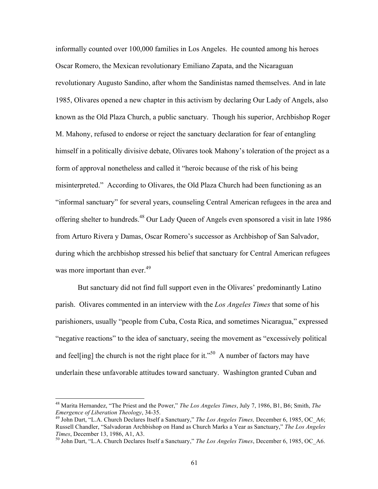informally counted over 100,000 families in Los Angeles. He counted among his heroes Oscar Romero, the Mexican revolutionary Emiliano Zapata, and the Nicaraguan revolutionary Augusto Sandino, after whom the Sandinistas named themselves. And in late 1985, Olivares opened a new chapter in this activism by declaring Our Lady of Angels, also known as the Old Plaza Church, a public sanctuary. Though his superior, Archbishop Roger M. Mahony, refused to endorse or reject the sanctuary declaration for fear of entangling himself in a politically divisive debate, Olivares took Mahony's toleration of the project as a form of approval nonetheless and called it "heroic because of the risk of his being misinterpreted." According to Olivares, the Old Plaza Church had been functioning as an "informal sanctuary" for several years, counseling Central American refugees in the area and offering shelter to hundreds.48 Our Lady Queen of Angels even sponsored a visit in late 1986 from Arturo Rivera y Damas, Oscar Romero's successor as Archbishop of San Salvador, during which the archbishop stressed his belief that sanctuary for Central American refugees was more important than ever.<sup>49</sup>

But sanctuary did not find full support even in the Olivares' predominantly Latino parish. Olivares commented in an interview with the *Los Angeles Times* that some of his parishioners, usually "people from Cuba, Costa Rica, and sometimes Nicaragua," expressed "negative reactions" to the idea of sanctuary, seeing the movement as "excessively political and feel[ing] the church is not the right place for it."<sup>50</sup> A number of factors may have underlain these unfavorable attitudes toward sanctuary. Washington granted Cuban and

 <sup>48</sup> Marita Hernandez, "The Priest and the Power," *The Los Angeles Times*, July 7, 1986, B1, B6; Smith, *The Emergence of Liberation Theology*, 34-35. 49 John Dart, "L.A. Church Declares Itself a Sanctuary," *The Los Angeles Times,* December 6, 1985, OC\_A6;

Russell Chandler, "Salvadoran Archbishop on Hand as Church Marks a Year as Sanctuary," *The Los Angeles Times*, December 13, 1986, A1, A3.<br><sup>50</sup> John Dart, "L.A. Church Declares Itself a Sanctuary," *The Los Angeles Times*, December 6, 1985, OC\_A6.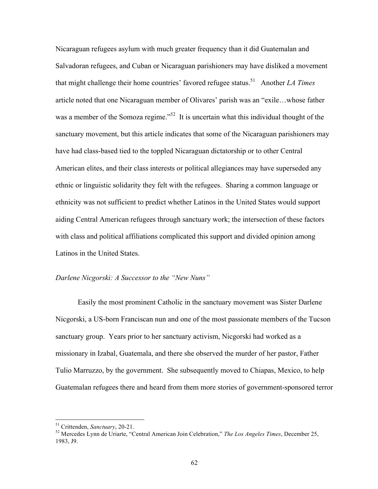Nicaraguan refugees asylum with much greater frequency than it did Guatemalan and Salvadoran refugees, and Cuban or Nicaraguan parishioners may have disliked a movement that might challenge their home countries' favored refugee status.<sup>51</sup> Another *LA Times* article noted that one Nicaraguan member of Olivares' parish was an "exile…whose father was a member of the Somoza regime.<sup> $52$ </sup> It is uncertain what this individual thought of the sanctuary movement, but this article indicates that some of the Nicaraguan parishioners may have had class-based tied to the toppled Nicaraguan dictatorship or to other Central American elites, and their class interests or political allegiances may have superseded any ethnic or linguistic solidarity they felt with the refugees. Sharing a common language or ethnicity was not sufficient to predict whether Latinos in the United States would support aiding Central American refugees through sanctuary work; the intersection of these factors with class and political affiliations complicated this support and divided opinion among Latinos in the United States.

#### *Darlene Nicgorski: A Successor to the "New Nuns"*

Easily the most prominent Catholic in the sanctuary movement was Sister Darlene Nicgorski, a US-born Franciscan nun and one of the most passionate members of the Tucson sanctuary group. Years prior to her sanctuary activism, Nicgorski had worked as a missionary in Izabal, Guatemala, and there she observed the murder of her pastor, Father Tulio Marruzzo, by the government. She subsequently moved to Chiapas, Mexico, to help Guatemalan refugees there and heard from them more stories of government-sponsored terror

<sup>&</sup>lt;sup>51</sup> Crittenden, *Sanctuary*, 20-21.<br><sup>52</sup> Mercedes Lynn de Uriarte, "Central American Join Celebration," *The Los Angeles Times*, December 25, 1983, J9.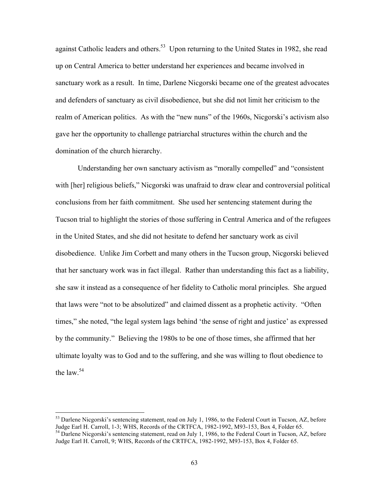against Catholic leaders and others.<sup>53</sup> Upon returning to the United States in 1982, she read up on Central America to better understand her experiences and became involved in sanctuary work as a result. In time, Darlene Nicgorski became one of the greatest advocates and defenders of sanctuary as civil disobedience, but she did not limit her criticism to the realm of American politics. As with the "new nuns" of the 1960s, Nicgorski's activism also gave her the opportunity to challenge patriarchal structures within the church and the domination of the church hierarchy.

Understanding her own sanctuary activism as "morally compelled" and "consistent with [her] religious beliefs," Nicgorski was unafraid to draw clear and controversial political conclusions from her faith commitment. She used her sentencing statement during the Tucson trial to highlight the stories of those suffering in Central America and of the refugees in the United States, and she did not hesitate to defend her sanctuary work as civil disobedience. Unlike Jim Corbett and many others in the Tucson group, Nicgorski believed that her sanctuary work was in fact illegal. Rather than understanding this fact as a liability, she saw it instead as a consequence of her fidelity to Catholic moral principles. She argued that laws were "not to be absolutized" and claimed dissent as a prophetic activity. "Often times," she noted, "the legal system lags behind 'the sense of right and justice' as expressed by the community." Believing the 1980s to be one of those times, she affirmed that her ultimate loyalty was to God and to the suffering, and she was willing to flout obedience to the law. $54$ 

<sup>&</sup>lt;sup>53</sup> Darlene Nicgorski's sentencing statement, read on July 1, 1986, to the Federal Court in Tucson, AZ, before Judge Earl H. Carroll, 1-3; WHS, Records of the CRTFCA, 1982-1992, M93-153, Box 4, Folder 65.<br><sup>54</sup> Darlene Nicgorski's sentencing statement, read on July 1, 1986, to the Federal Court in Tucson, AZ, before

Judge Earl H. Carroll, 9; WHS, Records of the CRTFCA, 1982-1992, M93-153, Box 4, Folder 65.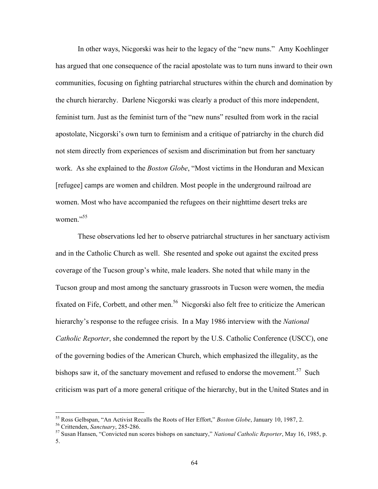In other ways, Nicgorski was heir to the legacy of the "new nuns." Amy Koehlinger has argued that one consequence of the racial apostolate was to turn nuns inward to their own communities, focusing on fighting patriarchal structures within the church and domination by the church hierarchy. Darlene Nicgorski was clearly a product of this more independent, feminist turn. Just as the feminist turn of the "new nuns" resulted from work in the racial apostolate, Nicgorski's own turn to feminism and a critique of patriarchy in the church did not stem directly from experiences of sexism and discrimination but from her sanctuary work. As she explained to the *Boston Globe*, "Most victims in the Honduran and Mexican [refugee] camps are women and children. Most people in the underground railroad are women. Most who have accompanied the refugees on their nighttime desert treks are women." 55

These observations led her to observe patriarchal structures in her sanctuary activism and in the Catholic Church as well. She resented and spoke out against the excited press coverage of the Tucson group's white, male leaders. She noted that while many in the Tucson group and most among the sanctuary grassroots in Tucson were women, the media fixated on Fife, Corbett, and other men.<sup>56</sup> Nicgorski also felt free to criticize the American hierarchy's response to the refugee crisis. In a May 1986 interview with the *National Catholic Reporter*, she condemned the report by the U.S. Catholic Conference (USCC), one of the governing bodies of the American Church, which emphasized the illegality, as the bishops saw it, of the sanctuary movement and refused to endorse the movement.<sup>57</sup> Such criticism was part of a more general critique of the hierarchy, but in the United States and in

<sup>&</sup>lt;sup>55</sup> Ross Gelbspan, "An Activist Recalls the Roots of Her Effort," *Boston Globe*, January 10, 1987, 2.<br><sup>56</sup> Crittenden, *Sanctuary*, 285-286.<br><sup>57</sup> Susan Hansen, "Convicted nun scores bishops on sanctuary," *National Cath*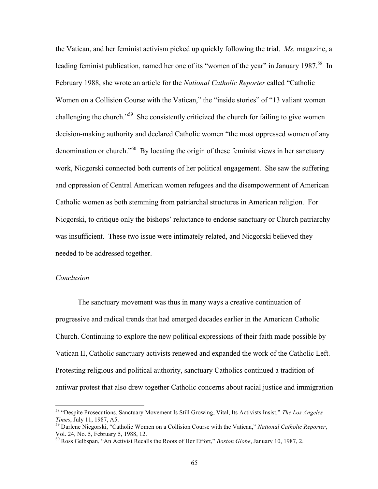the Vatican, and her feminist activism picked up quickly following the trial. *Ms.* magazine, a leading feminist publication, named her one of its "women of the year" in January 1987.<sup>58</sup> In February 1988, she wrote an article for the *National Catholic Reporter* called "Catholic Women on a Collision Course with the Vatican," the "inside stories" of "13 valiant women challenging the church."<sup>59</sup> She consistently criticized the church for failing to give women decision-making authority and declared Catholic women "the most oppressed women of any denomination or church."<sup>60</sup> By locating the origin of these feminist views in her sanctuary work, Nicgorski connected both currents of her political engagement. She saw the suffering and oppression of Central American women refugees and the disempowerment of American Catholic women as both stemming from patriarchal structures in American religion. For Nicgorski, to critique only the bishops' reluctance to endorse sanctuary or Church patriarchy was insufficient. These two issue were intimately related, and Nicgorski believed they needed to be addressed together.

### *Conclusion*

The sanctuary movement was thus in many ways a creative continuation of progressive and radical trends that had emerged decades earlier in the American Catholic Church. Continuing to explore the new political expressions of their faith made possible by Vatican II, Catholic sanctuary activists renewed and expanded the work of the Catholic Left. Protesting religious and political authority, sanctuary Catholics continued a tradition of antiwar protest that also drew together Catholic concerns about racial justice and immigration

 <sup>58 &</sup>quot;Despite Prosecutions, Sanctuary Movement Is Still Growing, Vital, Its Activists Insist," *The Los Angeles Times*, July 11, 1987, A5.<br><sup>59</sup> Darlene Nicgorski, "Catholic Women on a Collision Course with the Vatican," *National Catholic Reporter*,

Vol. 24, No. 5, February 5, 1988, 12.

<sup>60</sup> Ross Gelbspan, "An Activist Recalls the Roots of Her Effort," *Boston Globe*, January 10, 1987, 2.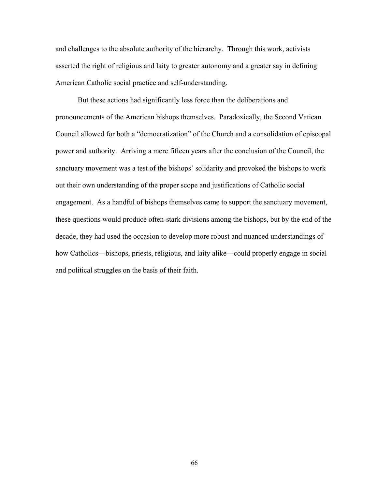and challenges to the absolute authority of the hierarchy. Through this work, activists asserted the right of religious and laity to greater autonomy and a greater say in defining American Catholic social practice and self-understanding.

But these actions had significantly less force than the deliberations and pronouncements of the American bishops themselves. Paradoxically, the Second Vatican Council allowed for both a "democratization" of the Church and a consolidation of episcopal power and authority. Arriving a mere fifteen years after the conclusion of the Council, the sanctuary movement was a test of the bishops' solidarity and provoked the bishops to work out their own understanding of the proper scope and justifications of Catholic social engagement. As a handful of bishops themselves came to support the sanctuary movement, these questions would produce often-stark divisions among the bishops, but by the end of the decade, they had used the occasion to develop more robust and nuanced understandings of how Catholics—bishops, priests, religious, and laity alike—could properly engage in social and political struggles on the basis of their faith.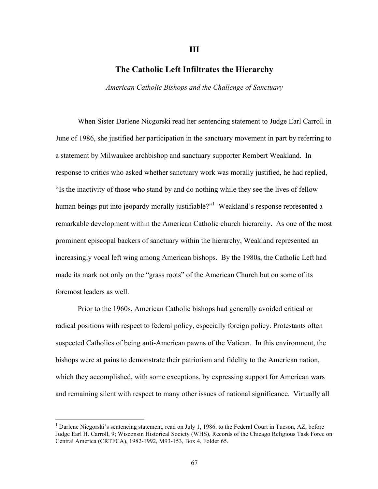## **The Catholic Left Infiltrates the Hierarchy**

**III**

*American Catholic Bishops and the Challenge of Sanctuary*

When Sister Darlene Nicgorski read her sentencing statement to Judge Earl Carroll in June of 1986, she justified her participation in the sanctuary movement in part by referring to a statement by Milwaukee archbishop and sanctuary supporter Rembert Weakland. In response to critics who asked whether sanctuary work was morally justified, he had replied, "Is the inactivity of those who stand by and do nothing while they see the lives of fellow human beings put into jeopardy morally justifiable?"<sup>1</sup> Weakland's response represented a remarkable development within the American Catholic church hierarchy. As one of the most prominent episcopal backers of sanctuary within the hierarchy, Weakland represented an increasingly vocal left wing among American bishops. By the 1980s, the Catholic Left had made its mark not only on the "grass roots" of the American Church but on some of its foremost leaders as well.

Prior to the 1960s, American Catholic bishops had generally avoided critical or radical positions with respect to federal policy, especially foreign policy. Protestants often suspected Catholics of being anti-American pawns of the Vatican. In this environment, the bishops were at pains to demonstrate their patriotism and fidelity to the American nation, which they accomplished, with some exceptions, by expressing support for American wars and remaining silent with respect to many other issues of national significance. Virtually all

 $\frac{1}{1}$ <sup>1</sup> Darlene Nicgorski's sentencing statement, read on July 1, 1986, to the Federal Court in Tucson, AZ, before Judge Earl H. Carroll, 9; Wisconsin Historical Society (WHS), Records of the Chicago Religious Task Force on Central America (CRTFCA), 1982-1992, M93-153, Box 4, Folder 65.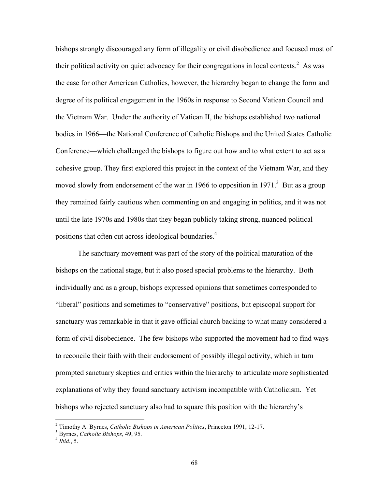bishops strongly discouraged any form of illegality or civil disobedience and focused most of their political activity on quiet advocacy for their congregations in local contexts.<sup>2</sup> As was the case for other American Catholics, however, the hierarchy began to change the form and degree of its political engagement in the 1960s in response to Second Vatican Council and the Vietnam War. Under the authority of Vatican II, the bishops established two national bodies in 1966—the National Conference of Catholic Bishops and the United States Catholic Conference—which challenged the bishops to figure out how and to what extent to act as a cohesive group. They first explored this project in the context of the Vietnam War, and they moved slowly from endorsement of the war in 1966 to opposition in 1971.<sup>3</sup> But as a group they remained fairly cautious when commenting on and engaging in politics, and it was not until the late 1970s and 1980s that they began publicly taking strong, nuanced political positions that often cut across ideological boundaries.4

The sanctuary movement was part of the story of the political maturation of the bishops on the national stage, but it also posed special problems to the hierarchy. Both individually and as a group, bishops expressed opinions that sometimes corresponded to "liberal" positions and sometimes to "conservative" positions, but episcopal support for sanctuary was remarkable in that it gave official church backing to what many considered a form of civil disobedience. The few bishops who supported the movement had to find ways to reconcile their faith with their endorsement of possibly illegal activity, which in turn prompted sanctuary skeptics and critics within the hierarchy to articulate more sophisticated explanations of why they found sanctuary activism incompatible with Catholicism. Yet bishops who rejected sanctuary also had to square this position with the hierarchy's

 $\frac{1}{2}$ <sup>2</sup> Timothy A. Byrnes, *Catholic Bishops in American Politics*, Princeton 1991, 12-17.<br><sup>3</sup> Purnes, *Catholic Bishops*, 49, 95.

Byrnes, *Catholic Bishops*, 49, 95. <sup>4</sup> *Ibid.*, 5.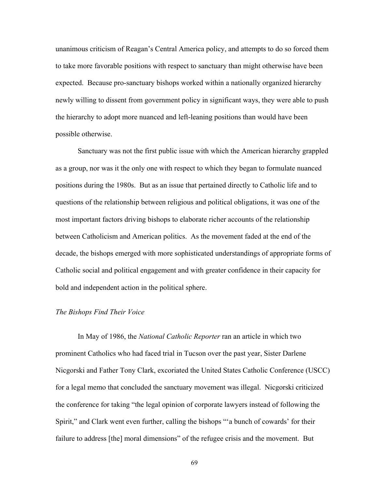unanimous criticism of Reagan's Central America policy, and attempts to do so forced them to take more favorable positions with respect to sanctuary than might otherwise have been expected. Because pro-sanctuary bishops worked within a nationally organized hierarchy newly willing to dissent from government policy in significant ways, they were able to push the hierarchy to adopt more nuanced and left-leaning positions than would have been possible otherwise.

Sanctuary was not the first public issue with which the American hierarchy grappled as a group, nor was it the only one with respect to which they began to formulate nuanced positions during the 1980s. But as an issue that pertained directly to Catholic life and to questions of the relationship between religious and political obligations, it was one of the most important factors driving bishops to elaborate richer accounts of the relationship between Catholicism and American politics. As the movement faded at the end of the decade, the bishops emerged with more sophisticated understandings of appropriate forms of Catholic social and political engagement and with greater confidence in their capacity for bold and independent action in the political sphere.

#### *The Bishops Find Their Voice*

In May of 1986, the *National Catholic Reporter* ran an article in which two prominent Catholics who had faced trial in Tucson over the past year, Sister Darlene Nicgorski and Father Tony Clark, excoriated the United States Catholic Conference (USCC) for a legal memo that concluded the sanctuary movement was illegal. Nicgorski criticized the conference for taking "the legal opinion of corporate lawyers instead of following the Spirit," and Clark went even further, calling the bishops "'a bunch of cowards' for their failure to address [the] moral dimensions" of the refugee crisis and the movement. But

69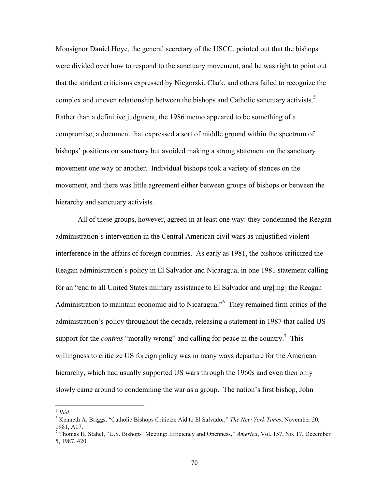Monsignor Daniel Hoye, the general secretary of the USCC, pointed out that the bishops were divided over how to respond to the sanctuary movement, and he was right to point out that the strident criticisms expressed by Nicgorski, Clark, and others failed to recognize the complex and uneven relationship between the bishops and Catholic sanctuary activists.<sup>5</sup> Rather than a definitive judgment, the 1986 memo appeared to be something of a compromise, a document that expressed a sort of middle ground within the spectrum of bishops' positions on sanctuary but avoided making a strong statement on the sanctuary movement one way or another. Individual bishops took a variety of stances on the movement, and there was little agreement either between groups of bishops or between the hierarchy and sanctuary activists.

All of these groups, however, agreed in at least one way: they condemned the Reagan administration's intervention in the Central American civil wars as unjustified violent interference in the affairs of foreign countries. As early as 1981, the bishops criticized the Reagan administration's policy in El Salvador and Nicaragua, in one 1981 statement calling for an "end to all United States military assistance to El Salvador and urg[ing] the Reagan Administration to maintain economic aid to Nicaragua."<sup>6</sup> They remained firm critics of the administration's policy throughout the decade, releasing a statement in 1987 that called US support for the *contras* "morally wrong" and calling for peace in the country.<sup>7</sup> This willingness to criticize US foreign policy was in many ways departure for the American hierarchy, which had usually supported US wars through the 1960s and even then only slowly came around to condemning the war as a group. The nation's first bishop, John

 <sup>5</sup> *Ibid.*

<sup>6</sup> Kenneth A. Briggs, "Catholic Bishops Criticize Aid to El Salvador," *The New York Times*, November 20, 1981, A17.

<sup>7</sup> Thomas H. Stahel, "U.S. Bishops' Meeting: Efficiency and Openness," *America*, Vol. 157, No. 17, December 5, 1987, 420.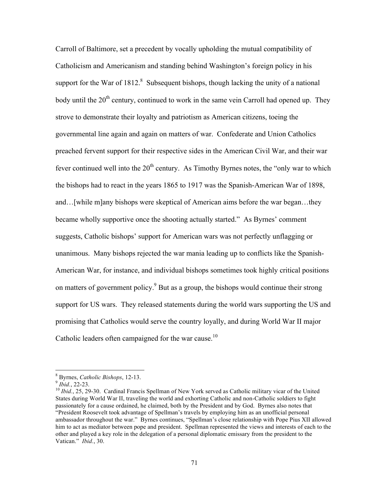Carroll of Baltimore, set a precedent by vocally upholding the mutual compatibility of Catholicism and Americanism and standing behind Washington's foreign policy in his support for the War of  $1812$ .<sup>8</sup> Subsequent bishops, though lacking the unity of a national body until the  $20<sup>th</sup>$  century, continued to work in the same vein Carroll had opened up. They strove to demonstrate their loyalty and patriotism as American citizens, toeing the governmental line again and again on matters of war. Confederate and Union Catholics preached fervent support for their respective sides in the American Civil War, and their war fever continued well into the  $20<sup>th</sup>$  century. As Timothy Byrnes notes, the "only war to which the bishops had to react in the years 1865 to 1917 was the Spanish-American War of 1898, and…[while m]any bishops were skeptical of American aims before the war began…they became wholly supportive once the shooting actually started." As Byrnes' comment suggests, Catholic bishops' support for American wars was not perfectly unflagging or unanimous. Many bishops rejected the war mania leading up to conflicts like the Spanish-American War, for instance, and individual bishops sometimes took highly critical positions on matters of government policy.<sup>9</sup> But as a group, the bishops would continue their strong support for US wars. They released statements during the world wars supporting the US and promising that Catholics would serve the country loyally, and during World War II major Catholic leaders often campaigned for the war cause.<sup>10</sup>

 $\frac{1}{8}$ 

<sup>&</sup>lt;sup>8</sup> Byrnes, *Catholic Bishops*, 12-13.<br><sup>9</sup> *Ibid.*, 22-23.<br><sup>10</sup> *Ibid.*, 25, 29-30. Cardinal Francis Spellman of New York served as Catholic military vicar of the United States during World War II, traveling the world and exhorting Catholic and non-Catholic soldiers to fight passionately for a cause ordained, he claimed, both by the President and by God. Byrnes also notes that "President Roosevelt took advantage of Spellman's travels by employing him as an unofficial personal ambassador throughout the war." Byrnes continues, "Spellman's close relationship with Pope Pius XII allowed him to act as mediator between pope and president. Spellman represented the views and interests of each to the other and played a key role in the delegation of a personal diplomatic emissary from the president to the Vatican." *Ibid.*, 30.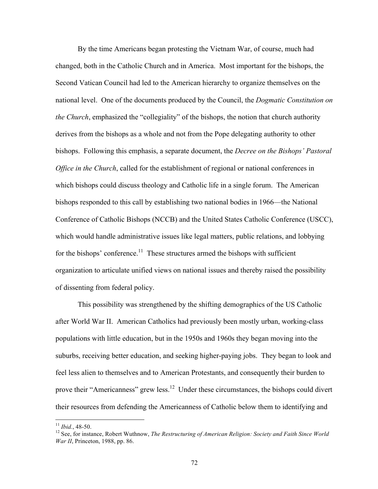By the time Americans began protesting the Vietnam War, of course, much had changed, both in the Catholic Church and in America. Most important for the bishops, the Second Vatican Council had led to the American hierarchy to organize themselves on the national level. One of the documents produced by the Council, the *Dogmatic Constitution on the Church*, emphasized the "collegiality" of the bishops, the notion that church authority derives from the bishops as a whole and not from the Pope delegating authority to other bishops. Following this emphasis, a separate document, the *Decree on the Bishops' Pastoral Office in the Church*, called for the establishment of regional or national conferences in which bishops could discuss theology and Catholic life in a single forum. The American bishops responded to this call by establishing two national bodies in 1966—the National Conference of Catholic Bishops (NCCB) and the United States Catholic Conference (USCC), which would handle administrative issues like legal matters, public relations, and lobbying for the bishops' conference.<sup>11</sup> These structures armed the bishops with sufficient organization to articulate unified views on national issues and thereby raised the possibility of dissenting from federal policy.

This possibility was strengthened by the shifting demographics of the US Catholic after World War II. American Catholics had previously been mostly urban, working-class populations with little education, but in the 1950s and 1960s they began moving into the suburbs, receiving better education, and seeking higher-paying jobs. They began to look and feel less alien to themselves and to American Protestants, and consequently their burden to prove their "Americanness" grew less.<sup>12</sup> Under these circumstances, the bishops could divert their resources from defending the Americanness of Catholic below them to identifying and

<sup>&</sup>lt;sup>11</sup> *Ibid.*, 48-50.<br><sup>12</sup> See, for instance, Robert Wuthnow, *The Restructuring of American Religion: Society and Faith Since World War II*, Princeton, 1988, pp. 86.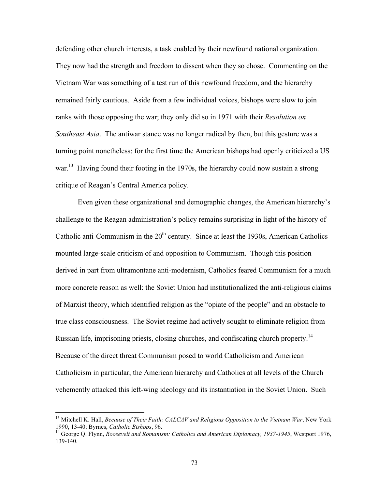defending other church interests, a task enabled by their newfound national organization. They now had the strength and freedom to dissent when they so chose. Commenting on the Vietnam War was something of a test run of this newfound freedom, and the hierarchy remained fairly cautious. Aside from a few individual voices, bishops were slow to join ranks with those opposing the war; they only did so in 1971 with their *Resolution on Southeast Asia*. The antiwar stance was no longer radical by then, but this gesture was a turning point nonetheless: for the first time the American bishops had openly criticized a US war.<sup>13</sup> Having found their footing in the 1970s, the hierarchy could now sustain a strong critique of Reagan's Central America policy.

Even given these organizational and demographic changes, the American hierarchy's challenge to the Reagan administration's policy remains surprising in light of the history of Catholic anti-Communism in the  $20<sup>th</sup>$  century. Since at least the 1930s, American Catholics mounted large-scale criticism of and opposition to Communism. Though this position derived in part from ultramontane anti-modernism, Catholics feared Communism for a much more concrete reason as well: the Soviet Union had institutionalized the anti-religious claims of Marxist theory, which identified religion as the "opiate of the people" and an obstacle to true class consciousness. The Soviet regime had actively sought to eliminate religion from Russian life, imprisoning priests, closing churches, and confiscating church property.<sup>14</sup> Because of the direct threat Communism posed to world Catholicism and American Catholicism in particular, the American hierarchy and Catholics at all levels of the Church vehemently attacked this left-wing ideology and its instantiation in the Soviet Union. Such

<sup>&</sup>lt;sup>13</sup> Mitchell K. Hall, *Because of Their Faith: CALCAV and Religious Opposition to the Vietnam War*, New York 1990, 13-40; Byrnes, *Catholic Bishops*, 96.

<sup>&</sup>lt;sup>14</sup> George O. Flynn, *Roosevelt and Romanism: Catholics and American Diplomacy, 1937-1945*, Westport 1976, 139-140.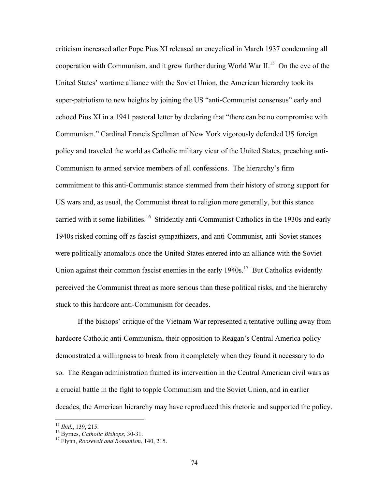criticism increased after Pope Pius XI released an encyclical in March 1937 condemning all cooperation with Communism, and it grew further during World War II.<sup>15</sup> On the eve of the United States' wartime alliance with the Soviet Union, the American hierarchy took its super-patriotism to new heights by joining the US "anti-Communist consensus" early and echoed Pius XI in a 1941 pastoral letter by declaring that "there can be no compromise with Communism." Cardinal Francis Spellman of New York vigorously defended US foreign policy and traveled the world as Catholic military vicar of the United States, preaching anti-Communism to armed service members of all confessions. The hierarchy's firm commitment to this anti-Communist stance stemmed from their history of strong support for US wars and, as usual, the Communist threat to religion more generally, but this stance carried with it some liabilities.<sup>16</sup> Stridently anti-Communist Catholics in the 1930s and early 1940s risked coming off as fascist sympathizers, and anti-Communist, anti-Soviet stances were politically anomalous once the United States entered into an alliance with the Soviet Union against their common fascist enemies in the early 1940s.<sup>17</sup> But Catholics evidently perceived the Communist threat as more serious than these political risks, and the hierarchy stuck to this hardcore anti-Communism for decades.

If the bishops' critique of the Vietnam War represented a tentative pulling away from hardcore Catholic anti-Communism, their opposition to Reagan's Central America policy demonstrated a willingness to break from it completely when they found it necessary to do so. The Reagan administration framed its intervention in the Central American civil wars as a crucial battle in the fight to topple Communism and the Soviet Union, and in earlier decades, the American hierarchy may have reproduced this rhetoric and supported the policy.

<sup>15</sup> *Ibid.*, 139, 215. 16 Byrnes, *Catholic Bishops*, 30-31. 17 Flynn, *Roosevelt and Romanism*, 140, 215.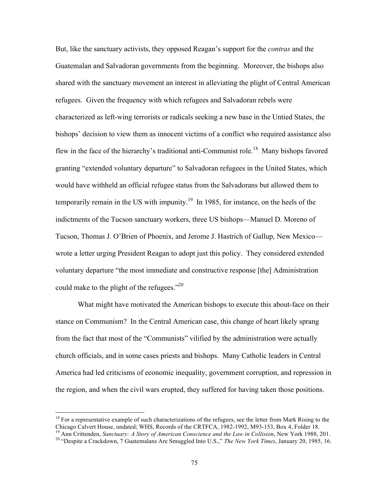But, like the sanctuary activists, they opposed Reagan's support for the *contras* and the Guatemalan and Salvadoran governments from the beginning. Moreover, the bishops also shared with the sanctuary movement an interest in alleviating the plight of Central American refugees. Given the frequency with which refugees and Salvadoran rebels were characterized as left-wing terrorists or radicals seeking a new base in the Untied States, the bishops' decision to view them as innocent victims of a conflict who required assistance also flew in the face of the hierarchy's traditional anti-Communist role.<sup>18</sup> Many bishops favored granting "extended voluntary departure" to Salvadoran refugees in the United States, which would have withheld an official refugee status from the Salvadorans but allowed them to temporarily remain in the US with impunity.<sup>19</sup> In 1985, for instance, on the heels of the indictments of the Tucson sanctuary workers, three US bishops—Manuel D. Moreno of Tucson, Thomas J. O'Brien of Phoenix, and Jerome J. Hastrich of Gallup, New Mexico wrote a letter urging President Reagan to adopt just this policy. They considered extended voluntary departure "the most immediate and constructive response [the] Administration could make to the plight of the refugees." $^{20}$ 

What might have motivated the American bishops to execute this about-face on their stance on Communism? In the Central American case, this change of heart likely sprang from the fact that most of the "Communists" vilified by the administration were actually church officials, and in some cases priests and bishops. Many Catholic leaders in Central America had led criticisms of economic inequality, government corruption, and repression in the region, and when the civil wars erupted, they suffered for having taken those positions.

<sup>&</sup>lt;sup>18</sup> For a representative example of such characterizations of the refugees, see the letter from Mark Rising to the Chicago Calvert House, undated; WHS, Records of the CRTFCA, 1982-1992, M93-153, Box 4, Folder 18.

<sup>&</sup>lt;sup>19</sup> Ann Crittenden, Sanctuary: A Story of American Conscience and the Law in Collision, New York 1988, 201.<br><sup>20</sup> "Despite a Crackdown, 7 Guatemalans Are Smuggled Into U.S.," The New York Times, January 20, 1985, 16.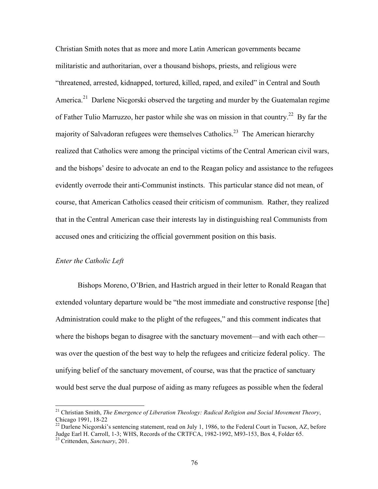Christian Smith notes that as more and more Latin American governments became militaristic and authoritarian, over a thousand bishops, priests, and religious were "threatened, arrested, kidnapped, tortured, killed, raped, and exiled" in Central and South America.<sup>21</sup> Darlene Nicgorski observed the targeting and murder by the Guatemalan regime of Father Tulio Marruzzo, her pastor while she was on mission in that country.<sup>22</sup> By far the majority of Salvadoran refugees were themselves Catholics.<sup>23</sup> The American hierarchy realized that Catholics were among the principal victims of the Central American civil wars, and the bishops' desire to advocate an end to the Reagan policy and assistance to the refugees evidently overrode their anti-Communist instincts. This particular stance did not mean, of course, that American Catholics ceased their criticism of communism. Rather, they realized that in the Central American case their interests lay in distinguishing real Communists from accused ones and criticizing the official government position on this basis.

#### *Enter the Catholic Left*

Bishops Moreno, O'Brien, and Hastrich argued in their letter to Ronald Reagan that extended voluntary departure would be "the most immediate and constructive response [the] Administration could make to the plight of the refugees," and this comment indicates that where the bishops began to disagree with the sanctuary movement—and with each other was over the question of the best way to help the refugees and criticize federal policy. The unifying belief of the sanctuary movement, of course, was that the practice of sanctuary would best serve the dual purpose of aiding as many refugees as possible when the federal

 <sup>21</sup> Christian Smith, *The Emergence of Liberation Theology: Radical Religion and Social Movement Theory*, Chicago 1991, 18-22<br><sup>22</sup> Darlene Nicgorski's sentencing statement, read on July 1, 1986, to the Federal Court in Tucson, AZ, before

Judge Earl H. Carroll, 1-3; WHS, Records of the CRTFCA, 1982-1992, M93-153, Box 4, Folder 65. 23 Crittenden, *Sanctuary*, 201.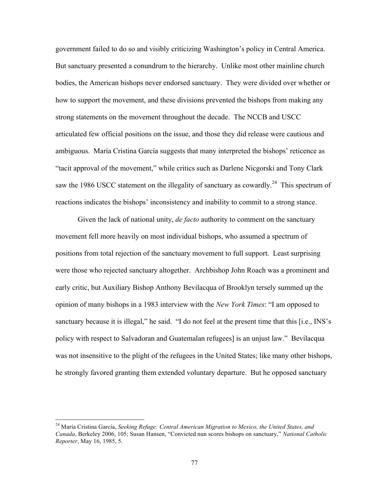government failed to do so and visibly criticizing Washington's policy in Central America. But sanctuary presented a conundrum to the hierarchy. Unlike most other mainline church bodies, the American bishops never endorsed sanctuary. They were divided over whether or how to support the movement, and these divisions prevented the bishops from making any strong statements on the movement throughout the decade. The NCCB and USCC articulated few official positions on the issue, and those they did release were cautious and ambiguous. María Cristina García suggests that many interpreted the bishops' reticence as "tacit approval of the movement," while critics such as Darlene Nicgorski and Tony Clark saw the 1986 USCC statement on the illegality of sanctuary as cowardly.<sup>24</sup> This spectrum of reactions indicates the bishops' inconsistency and inability to commit to a strong stance.

Given the lack of national unity, *de facto* authority to comment on the sanctuary movement fell more heavily on most individual bishops, who assumed a spectrum of positions from total rejection of the sanctuary movement to full support. Least surprising were those who rejected sanctuary altogether. Archbishop John Roach was a prominent and early critic, but Auxiliary Bishop Anthony Bevilacqua of Brooklyn tersely summed up the opinion of many bishops in a 1983 interview with the *New York Times*: "I am opposed to sanctuary because it is illegal," he said. "I do not feel at the present time that this [i.e., INS's policy with respect to Salvadoran and Guatemalan refugees] is an unjust law." Bevilacqua was not insensitive to the plight of the refugees in the United States; like many other bishops, he strongly favored granting them extended voluntary departure. But he opposed sanctuary

 <sup>24</sup> María Cristina García, *Seeking Refuge: Central American Migration to Mexico, the United States, and Canada*, Berkeley 2006, 105; Susan Hansen, "Convicted nun scores bishops on sanctuary," *National Catholic Reporter*, May 16, 1985, 5.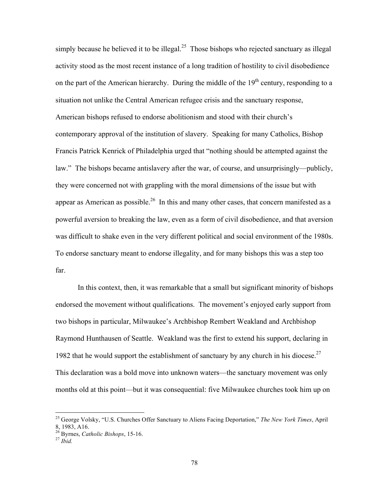simply because he believed it to be illegal.<sup>25</sup> Those bishops who rejected sanctuary as illegal activity stood as the most recent instance of a long tradition of hostility to civil disobedience on the part of the American hierarchy. During the middle of the  $19<sup>th</sup>$  century, responding to a situation not unlike the Central American refugee crisis and the sanctuary response, American bishops refused to endorse abolitionism and stood with their church's contemporary approval of the institution of slavery. Speaking for many Catholics, Bishop Francis Patrick Kenrick of Philadelphia urged that "nothing should be attempted against the law." The bishops became antislavery after the war, of course, and unsurprisingly—publicly, they were concerned not with grappling with the moral dimensions of the issue but with appear as American as possible.<sup>26</sup> In this and many other cases, that concern manifested as a powerful aversion to breaking the law, even as a form of civil disobedience, and that aversion was difficult to shake even in the very different political and social environment of the 1980s. To endorse sanctuary meant to endorse illegality, and for many bishops this was a step too far.

In this context, then, it was remarkable that a small but significant minority of bishops endorsed the movement without qualifications. The movement's enjoyed early support from two bishops in particular, Milwaukee's Archbishop Rembert Weakland and Archbishop Raymond Hunthausen of Seattle. Weakland was the first to extend his support, declaring in 1982 that he would support the establishment of sanctuary by any church in his diocese.<sup>27</sup> This declaration was a bold move into unknown waters—the sanctuary movement was only months old at this point—but it was consequential: five Milwaukee churches took him up on

 <sup>25</sup> George Volsky, "U.S. Churches Offer Sanctuary to Aliens Facing Deportation," *The New York Times*, April 8, 1983, A16.

<sup>26</sup> Byrnes, *Catholic Bishops*, 15-16. <sup>27</sup> *Ibid.*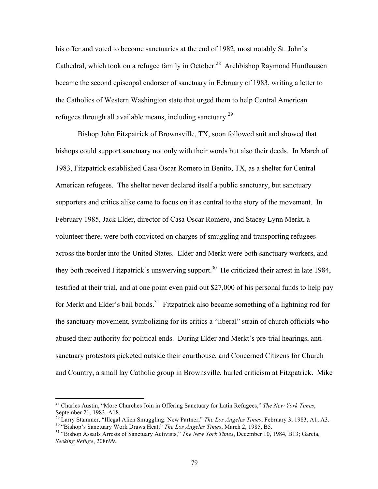his offer and voted to become sanctuaries at the end of 1982, most notably St. John's Cathedral, which took on a refugee family in October.<sup>28</sup> Archbishop Raymond Hunthausen became the second episcopal endorser of sanctuary in February of 1983, writing a letter to the Catholics of Western Washington state that urged them to help Central American refugees through all available means, including sanctuary.<sup>29</sup>

Bishop John Fitzpatrick of Brownsville, TX, soon followed suit and showed that bishops could support sanctuary not only with their words but also their deeds. In March of 1983, Fitzpatrick established Casa Oscar Romero in Benito, TX, as a shelter for Central American refugees. The shelter never declared itself a public sanctuary, but sanctuary supporters and critics alike came to focus on it as central to the story of the movement. In February 1985, Jack Elder, director of Casa Oscar Romero, and Stacey Lynn Merkt, a volunteer there, were both convicted on charges of smuggling and transporting refugees across the border into the United States. Elder and Merkt were both sanctuary workers, and they both received Fitzpatrick's unswerving support.<sup>30</sup> He criticized their arrest in late 1984, testified at their trial, and at one point even paid out \$27,000 of his personal funds to help pay for Merkt and Elder's bail bonds.<sup>31</sup> Fitzpatrick also became something of a lightning rod for the sanctuary movement, symbolizing for its critics a "liberal" strain of church officials who abused their authority for political ends. During Elder and Merkt's pre-trial hearings, antisanctuary protestors picketed outside their courthouse, and Concerned Citizens for Church and Country, a small lay Catholic group in Brownsville, hurled criticism at Fitzpatrick. Mike

 <sup>28</sup> Charles Austin, "More Churches Join in Offering Sanctuary for Latin Refugees," *The New York Times*,

September 21, 1983, A18.<br><sup>29</sup> Larry Stammer, "Illegal Alien Smuggling: New Partner," *The Los Angeles Times*, February 3, 1983, A1, A3.<br><sup>30</sup> "Bishop's Sanctuary Work Draws Heat," *The Los Angeles Times*, March 2, 1985, B5.

*Seeking Refuge*, 208n99.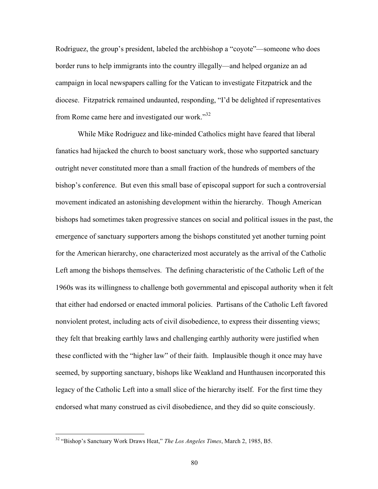Rodriguez, the group's president, labeled the archbishop a "coyote"—someone who does border runs to help immigrants into the country illegally—and helped organize an ad campaign in local newspapers calling for the Vatican to investigate Fitzpatrick and the diocese. Fitzpatrick remained undaunted, responding, "I'd be delighted if representatives from Rome came here and investigated our work."<sup>32</sup>

While Mike Rodriguez and like-minded Catholics might have feared that liberal fanatics had hijacked the church to boost sanctuary work, those who supported sanctuary outright never constituted more than a small fraction of the hundreds of members of the bishop's conference. But even this small base of episcopal support for such a controversial movement indicated an astonishing development within the hierarchy. Though American bishops had sometimes taken progressive stances on social and political issues in the past, the emergence of sanctuary supporters among the bishops constituted yet another turning point for the American hierarchy, one characterized most accurately as the arrival of the Catholic Left among the bishops themselves. The defining characteristic of the Catholic Left of the 1960s was its willingness to challenge both governmental and episcopal authority when it felt that either had endorsed or enacted immoral policies. Partisans of the Catholic Left favored nonviolent protest, including acts of civil disobedience, to express their dissenting views; they felt that breaking earthly laws and challenging earthly authority were justified when these conflicted with the "higher law" of their faith. Implausible though it once may have seemed, by supporting sanctuary, bishops like Weakland and Hunthausen incorporated this legacy of the Catholic Left into a small slice of the hierarchy itself. For the first time they endorsed what many construed as civil disobedience, and they did so quite consciously.

 <sup>32 &</sup>quot;Bishop's Sanctuary Work Draws Heat," *The Los Angeles Times*, March 2, 1985, B5.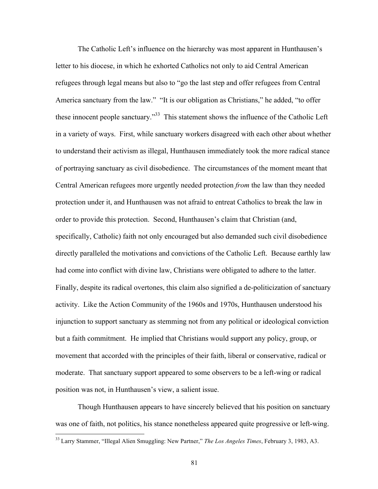The Catholic Left's influence on the hierarchy was most apparent in Hunthausen's letter to his diocese, in which he exhorted Catholics not only to aid Central American refugees through legal means but also to "go the last step and offer refugees from Central America sanctuary from the law." "It is our obligation as Christians," he added, "to offer these innocent people sanctuary."<sup>33</sup> This statement shows the influence of the Catholic Left in a variety of ways. First, while sanctuary workers disagreed with each other about whether to understand their activism as illegal, Hunthausen immediately took the more radical stance of portraying sanctuary as civil disobedience. The circumstances of the moment meant that Central American refugees more urgently needed protection *from* the law than they needed protection under it, and Hunthausen was not afraid to entreat Catholics to break the law in order to provide this protection. Second, Hunthausen's claim that Christian (and, specifically, Catholic) faith not only encouraged but also demanded such civil disobedience directly paralleled the motivations and convictions of the Catholic Left. Because earthly law had come into conflict with divine law, Christians were obligated to adhere to the latter. Finally, despite its radical overtones, this claim also signified a de-politicization of sanctuary activity. Like the Action Community of the 1960s and 1970s, Hunthausen understood his injunction to support sanctuary as stemming not from any political or ideological conviction but a faith commitment. He implied that Christians would support any policy, group, or movement that accorded with the principles of their faith, liberal or conservative, radical or moderate. That sanctuary support appeared to some observers to be a left-wing or radical position was not, in Hunthausen's view, a salient issue.

Though Hunthausen appears to have sincerely believed that his position on sanctuary was one of faith, not politics, his stance nonetheless appeared quite progressive or left-wing.

<sup>&</sup>lt;sup>33</sup> Larry Stammer, "Illegal Alien Smuggling: New Partner," *The Los Angeles Times*, February 3, 1983, A3.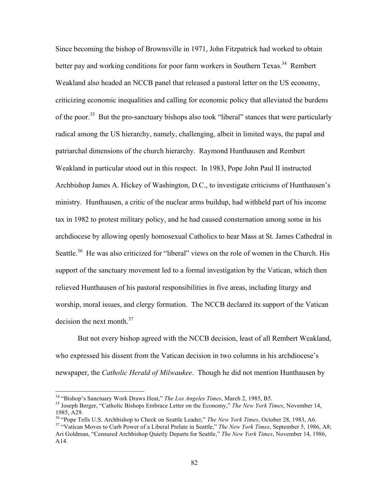Since becoming the bishop of Brownsville in 1971, John Fitzpatrick had worked to obtain better pay and working conditions for poor farm workers in Southern Texas.<sup>34</sup> Rembert Weakland also headed an NCCB panel that released a pastoral letter on the US economy, criticizing economic inequalities and calling for economic policy that alleviated the burdens of the poor.<sup>35</sup> But the pro-sanctuary bishops also took "liberal" stances that were particularly radical among the US hierarchy, namely, challenging, albeit in limited ways, the papal and patriarchal dimensions of the church hierarchy. Raymond Hunthausen and Rembert Weakland in particular stood out in this respect. In 1983, Pope John Paul II instructed Archbishop James A. Hickey of Washington, D.C., to investigate criticisms of Hunthausen's ministry. Hunthausen, a critic of the nuclear arms buildup, had withheld part of his income tax in 1982 to protest military policy, and he had caused consternation among some in his archdiocese by allowing openly homosexual Catholics to hear Mass at St. James Cathedral in Seattle.<sup>36</sup> He was also criticized for "liberal" views on the role of women in the Church. His support of the sanctuary movement led to a formal investigation by the Vatican, which then relieved Hunthausen of his pastoral responsibilities in five areas, including liturgy and worship, moral issues, and clergy formation. The NCCB declared its support of the Vatican decision the next month.<sup>37</sup>

But not every bishop agreed with the NCCB decision, least of all Rembert Weakland, who expressed his dissent from the Vatican decision in two columns in his archdiocese's newspaper, the *Catholic Herald of Milwaukee*. Though he did not mention Hunthausen by

<sup>&</sup>lt;sup>34</sup> "Bishop's Sanctuary Work Draws Heat," *The Los Angeles Times*, March 2, 1985, B5.<br><sup>35</sup> Joseph Berger, "Catholic Bishops Embrace Letter on the Economy," *The New York Times*, November 14, 1985, A29.

<sup>&</sup>lt;sup>36</sup> "Pope Tells U.S. Archbishop to Check on Seattle Leader," *The New York Times*, October 28, 1983, A6.<br><sup>37</sup> "Vatican Moves to Curb Power of a Liberal Prelate in Seattle," *The New York Times*, September 5, 1986, A8; Ari Goldman, "Censured Archbishop Quietly Departs for Seattle," *The New York Times*, November 14, 1986, A14.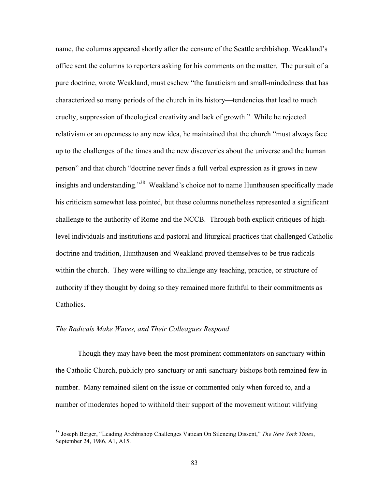name, the columns appeared shortly after the censure of the Seattle archbishop. Weakland's office sent the columns to reporters asking for his comments on the matter. The pursuit of a pure doctrine, wrote Weakland, must eschew "the fanaticism and small-mindedness that has characterized so many periods of the church in its history—tendencies that lead to much cruelty, suppression of theological creativity and lack of growth." While he rejected relativism or an openness to any new idea, he maintained that the church "must always face up to the challenges of the times and the new discoveries about the universe and the human person" and that church "doctrine never finds a full verbal expression as it grows in new insights and understanding."<sup>38</sup> Weakland's choice not to name Hunthausen specifically made his criticism somewhat less pointed, but these columns nonetheless represented a significant challenge to the authority of Rome and the NCCB. Through both explicit critiques of highlevel individuals and institutions and pastoral and liturgical practices that challenged Catholic doctrine and tradition, Hunthausen and Weakland proved themselves to be true radicals within the church. They were willing to challenge any teaching, practice, or structure of authority if they thought by doing so they remained more faithful to their commitments as Catholics.

### *The Radicals Make Waves, and Their Colleagues Respond*

Though they may have been the most prominent commentators on sanctuary within the Catholic Church, publicly pro-sanctuary or anti-sanctuary bishops both remained few in number. Many remained silent on the issue or commented only when forced to, and a number of moderates hoped to withhold their support of the movement without vilifying

 <sup>38</sup> Joseph Berger, "Leading Archbishop Challenges Vatican On Silencing Dissent," *The New York Times*, September 24, 1986, A1, A15.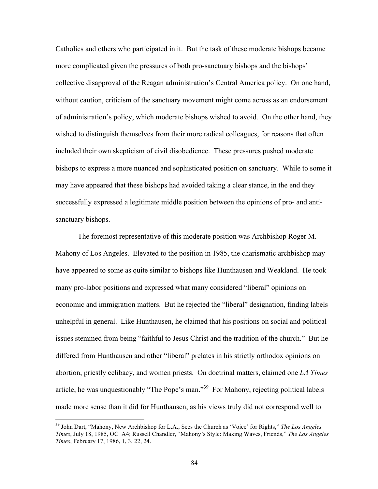Catholics and others who participated in it. But the task of these moderate bishops became more complicated given the pressures of both pro-sanctuary bishops and the bishops' collective disapproval of the Reagan administration's Central America policy. On one hand, without caution, criticism of the sanctuary movement might come across as an endorsement of administration's policy, which moderate bishops wished to avoid. On the other hand, they wished to distinguish themselves from their more radical colleagues, for reasons that often included their own skepticism of civil disobedience. These pressures pushed moderate bishops to express a more nuanced and sophisticated position on sanctuary. While to some it may have appeared that these bishops had avoided taking a clear stance, in the end they successfully expressed a legitimate middle position between the opinions of pro- and antisanctuary bishops.

The foremost representative of this moderate position was Archbishop Roger M. Mahony of Los Angeles. Elevated to the position in 1985, the charismatic archbishop may have appeared to some as quite similar to bishops like Hunthausen and Weakland. He took many pro-labor positions and expressed what many considered "liberal" opinions on economic and immigration matters. But he rejected the "liberal" designation, finding labels unhelpful in general. Like Hunthausen, he claimed that his positions on social and political issues stemmed from being "faithful to Jesus Christ and the tradition of the church." But he differed from Hunthausen and other "liberal" prelates in his strictly orthodox opinions on abortion, priestly celibacy, and women priests. On doctrinal matters, claimed one *LA Times* article, he was unquestionably "The Pope's man."39 For Mahony, rejecting political labels made more sense than it did for Hunthausen, as his views truly did not correspond well to

 <sup>39</sup> John Dart, "Mahony, New Archbishop for L.A., Sees the Church as 'Voice' for Rights," *The Los Angeles Times*, July 18, 1985, OC\_A4; Russell Chandler, "Mahony's Style: Making Waves, Friends," *The Los Angeles Times*, February 17, 1986, 1, 3, 22, 24.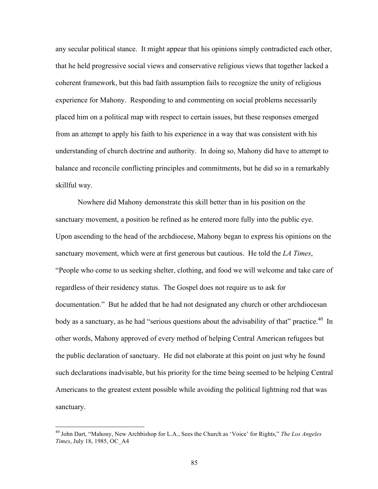any secular political stance. It might appear that his opinions simply contradicted each other, that he held progressive social views and conservative religious views that together lacked a coherent framework, but this bad faith assumption fails to recognize the unity of religious experience for Mahony. Responding to and commenting on social problems necessarily placed him on a political map with respect to certain issues, but these responses emerged from an attempt to apply his faith to his experience in a way that was consistent with his understanding of church doctrine and authority. In doing so, Mahony did have to attempt to balance and reconcile conflicting principles and commitments, but he did so in a remarkably skillful way.

Nowhere did Mahony demonstrate this skill better than in his position on the sanctuary movement, a position he refined as he entered more fully into the public eye. Upon ascending to the head of the archdiocese, Mahony began to express his opinions on the sanctuary movement, which were at first generous but cautious. He told the *LA Times*, "People who come to us seeking shelter, clothing, and food we will welcome and take care of regardless of their residency status. The Gospel does not require us to ask for documentation." But he added that he had not designated any church or other archdiocesan body as a sanctuary, as he had "serious questions about the advisability of that" practice.<sup>40</sup> In other words, Mahony approved of every method of helping Central American refugees but the public declaration of sanctuary. He did not elaborate at this point on just why he found such declarations inadvisable, but his priority for the time being seemed to be helping Central Americans to the greatest extent possible while avoiding the political lightning rod that was sanctuary.

 <sup>40</sup> John Dart, "Mahony, New Archbishop for L.A., Sees the Church as 'Voice' for Rights," *The Los Angeles Times*, July 18, 1985, OC\_A4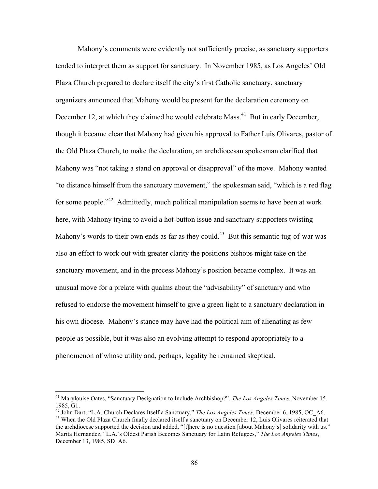Mahony's comments were evidently not sufficiently precise, as sanctuary supporters tended to interpret them as support for sanctuary. In November 1985, as Los Angeles' Old Plaza Church prepared to declare itself the city's first Catholic sanctuary, sanctuary organizers announced that Mahony would be present for the declaration ceremony on December 12, at which they claimed he would celebrate Mass.<sup>41</sup> But in early December, though it became clear that Mahony had given his approval to Father Luis Olivares, pastor of the Old Plaza Church, to make the declaration, an archdiocesan spokesman clarified that Mahony was "not taking a stand on approval or disapproval" of the move. Mahony wanted "to distance himself from the sanctuary movement," the spokesman said, "which is a red flag for some people."<sup>42</sup> Admittedly, much political manipulation seems to have been at work here, with Mahony trying to avoid a hot-button issue and sanctuary supporters twisting Mahony's words to their own ends as far as they could.<sup>43</sup> But this semantic tug-of-war was also an effort to work out with greater clarity the positions bishops might take on the sanctuary movement, and in the process Mahony's position became complex. It was an unusual move for a prelate with qualms about the "advisability" of sanctuary and who refused to endorse the movement himself to give a green light to a sanctuary declaration in his own diocese. Mahony's stance may have had the political aim of alienating as few people as possible, but it was also an evolving attempt to respond appropriately to a phenomenon of whose utility and, perhaps, legality he remained skeptical.

 <sup>41</sup> Marylouise Oates, "Sanctuary Designation to Include Archbishop?", *The Los Angeles Times*, November 15, 1985, G1.

<sup>&</sup>lt;sup>42</sup> John Dart, "L.A. Church Declares Itself a Sanctuary," *The Los Angeles Times*, December 6, 1985, OC\_A6. <sup>43</sup> When the Old Plaza Church finally declared itself a sanctuary on December 12, Luis Olivares reiterated that the archdiocese supported the decision and added, "[t]here is no question [about Mahony's] solidarity with us." Marita Hernandez, "L.A.'s Oldest Parish Becomes Sanctuary for Latin Refugees," *The Los Angeles Times*, December 13, 1985, SD\_A6.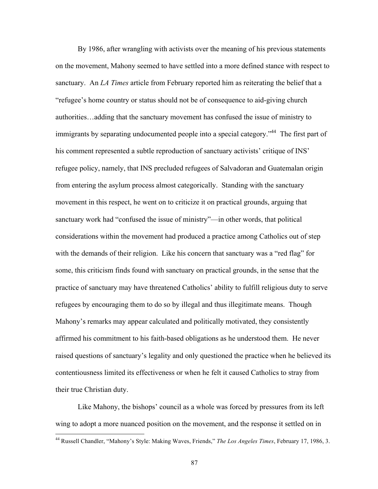By 1986, after wrangling with activists over the meaning of his previous statements on the movement, Mahony seemed to have settled into a more defined stance with respect to sanctuary. An *LA Times* article from February reported him as reiterating the belief that a "refugee's home country or status should not be of consequence to aid-giving church authorities…adding that the sanctuary movement has confused the issue of ministry to immigrants by separating undocumented people into a special category.<sup>"44</sup> The first part of his comment represented a subtle reproduction of sanctuary activists' critique of INS' refugee policy, namely, that INS precluded refugees of Salvadoran and Guatemalan origin from entering the asylum process almost categorically. Standing with the sanctuary movement in this respect, he went on to criticize it on practical grounds, arguing that sanctuary work had "confused the issue of ministry"—in other words, that political considerations within the movement had produced a practice among Catholics out of step with the demands of their religion. Like his concern that sanctuary was a "red flag" for some, this criticism finds found with sanctuary on practical grounds, in the sense that the practice of sanctuary may have threatened Catholics' ability to fulfill religious duty to serve refugees by encouraging them to do so by illegal and thus illegitimate means. Though Mahony's remarks may appear calculated and politically motivated, they consistently affirmed his commitment to his faith-based obligations as he understood them. He never raised questions of sanctuary's legality and only questioned the practice when he believed its contentiousness limited its effectiveness or when he felt it caused Catholics to stray from their true Christian duty.

Like Mahony, the bishops' council as a whole was forced by pressures from its left wing to adopt a more nuanced position on the movement, and the response it settled on in

 <sup>44</sup> Russell Chandler, "Mahony's Style: Making Waves, Friends," *The Los Angeles Times*, February 17, 1986, 3.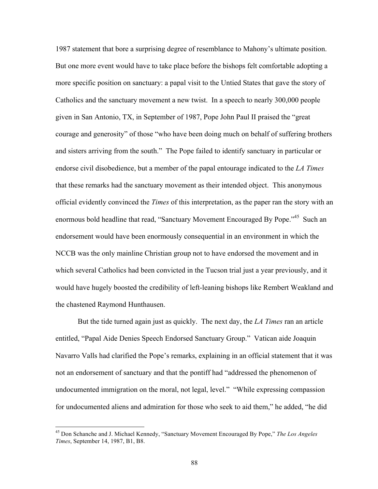1987 statement that bore a surprising degree of resemblance to Mahony's ultimate position. But one more event would have to take place before the bishops felt comfortable adopting a more specific position on sanctuary: a papal visit to the Untied States that gave the story of Catholics and the sanctuary movement a new twist. In a speech to nearly 300,000 people given in San Antonio, TX, in September of 1987, Pope John Paul II praised the "great courage and generosity" of those "who have been doing much on behalf of suffering brothers and sisters arriving from the south." The Pope failed to identify sanctuary in particular or endorse civil disobedience, but a member of the papal entourage indicated to the *LA Times* that these remarks had the sanctuary movement as their intended object. This anonymous official evidently convinced the *Times* of this interpretation, as the paper ran the story with an enormous bold headline that read, "Sanctuary Movement Encouraged By Pope."<sup>45</sup> Such an endorsement would have been enormously consequential in an environment in which the NCCB was the only mainline Christian group not to have endorsed the movement and in which several Catholics had been convicted in the Tucson trial just a year previously, and it would have hugely boosted the credibility of left-leaning bishops like Rembert Weakland and the chastened Raymond Hunthausen.

But the tide turned again just as quickly. The next day, the *LA Times* ran an article entitled, "Papal Aide Denies Speech Endorsed Sanctuary Group." Vatican aide Joaquin Navarro Valls had clarified the Pope's remarks, explaining in an official statement that it was not an endorsement of sanctuary and that the pontiff had "addressed the phenomenon of undocumented immigration on the moral, not legal, level." "While expressing compassion for undocumented aliens and admiration for those who seek to aid them," he added, "he did

 <sup>45</sup> Don Schanche and J. Michael Kennedy, "Sanctuary Movement Encouraged By Pope," *The Los Angeles Times*, September 14, 1987, B1, B8.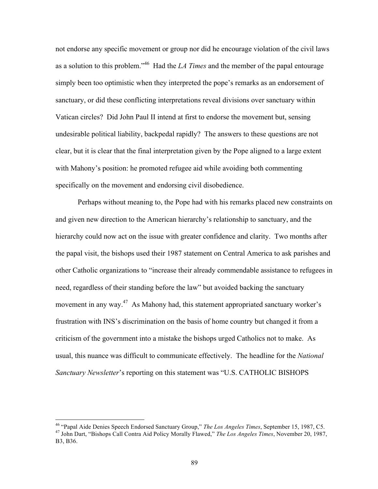not endorse any specific movement or group nor did he encourage violation of the civil laws as a solution to this problem."46 Had the *LA Times* and the member of the papal entourage simply been too optimistic when they interpreted the pope's remarks as an endorsement of sanctuary, or did these conflicting interpretations reveal divisions over sanctuary within Vatican circles? Did John Paul II intend at first to endorse the movement but, sensing undesirable political liability, backpedal rapidly? The answers to these questions are not clear, but it is clear that the final interpretation given by the Pope aligned to a large extent with Mahony's position: he promoted refugee aid while avoiding both commenting specifically on the movement and endorsing civil disobedience.

Perhaps without meaning to, the Pope had with his remarks placed new constraints on and given new direction to the American hierarchy's relationship to sanctuary, and the hierarchy could now act on the issue with greater confidence and clarity. Two months after the papal visit, the bishops used their 1987 statement on Central America to ask parishes and other Catholic organizations to "increase their already commendable assistance to refugees in need, regardless of their standing before the law" but avoided backing the sanctuary movement in any way.<sup>47</sup> As Mahony had, this statement appropriated sanctuary worker's frustration with INS's discrimination on the basis of home country but changed it from a criticism of the government into a mistake the bishops urged Catholics not to make. As usual, this nuance was difficult to communicate effectively. The headline for the *National Sanctuary Newsletter*'s reporting on this statement was "U.S. CATHOLIC BISHOPS

 <sup>46 &</sup>quot;Papal Aide Denies Speech Endorsed Sanctuary Group," *The Los Angeles Times*, September 15, 1987, C5. 47 John Dart, "Bishops Call Contra Aid Policy Morally Flawed," *The Los Angeles Times*, November 20, 1987, B3, B36.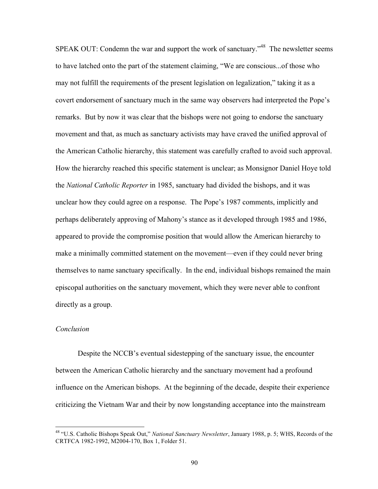SPEAK OUT: Condemn the war and support the work of sanctuary.<sup>748</sup> The newsletter seems to have latched onto the part of the statement claiming, "We are conscious...of those who may not fulfill the requirements of the present legislation on legalization," taking it as a covert endorsement of sanctuary much in the same way observers had interpreted the Pope's remarks. But by now it was clear that the bishops were not going to endorse the sanctuary movement and that, as much as sanctuary activists may have craved the unified approval of the American Catholic hierarchy, this statement was carefully crafted to avoid such approval. How the hierarchy reached this specific statement is unclear; as Monsignor Daniel Hoye told the *National Catholic Reporter* in 1985, sanctuary had divided the bishops, and it was unclear how they could agree on a response. The Pope's 1987 comments, implicitly and perhaps deliberately approving of Mahony's stance as it developed through 1985 and 1986, appeared to provide the compromise position that would allow the American hierarchy to make a minimally committed statement on the movement—even if they could never bring themselves to name sanctuary specifically. In the end, individual bishops remained the main episcopal authorities on the sanctuary movement, which they were never able to confront directly as a group.

### *Conclusion*

Despite the NCCB's eventual sidestepping of the sanctuary issue, the encounter between the American Catholic hierarchy and the sanctuary movement had a profound influence on the American bishops. At the beginning of the decade, despite their experience criticizing the Vietnam War and their by now longstanding acceptance into the mainstream

 <sup>48 &</sup>quot;U.S. Catholic Bishops Speak Out," *National Sanctuary Newsletter*, January 1988, p. 5; WHS, Records of the CRTFCA 1982-1992, M2004-170, Box 1, Folder 51.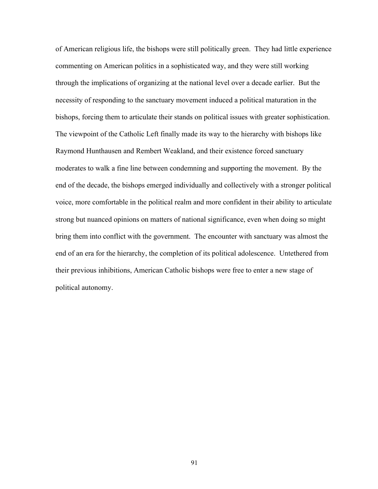of American religious life, the bishops were still politically green. They had little experience commenting on American politics in a sophisticated way, and they were still working through the implications of organizing at the national level over a decade earlier. But the necessity of responding to the sanctuary movement induced a political maturation in the bishops, forcing them to articulate their stands on political issues with greater sophistication. The viewpoint of the Catholic Left finally made its way to the hierarchy with bishops like Raymond Hunthausen and Rembert Weakland, and their existence forced sanctuary moderates to walk a fine line between condemning and supporting the movement. By the end of the decade, the bishops emerged individually and collectively with a stronger political voice, more comfortable in the political realm and more confident in their ability to articulate strong but nuanced opinions on matters of national significance, even when doing so might bring them into conflict with the government. The encounter with sanctuary was almost the end of an era for the hierarchy, the completion of its political adolescence. Untethered from their previous inhibitions, American Catholic bishops were free to enter a new stage of political autonomy.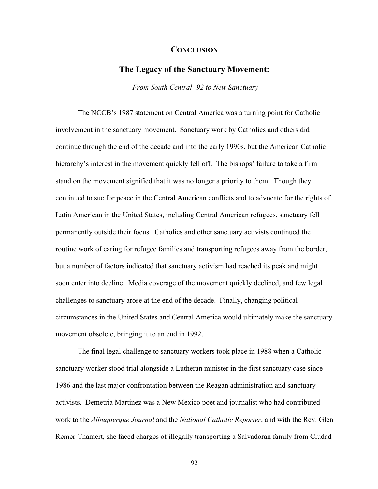### **CONCLUSION**

# **The Legacy of the Sanctuary Movement:**

 *From South Central '92 to New Sanctuary*

The NCCB's 1987 statement on Central America was a turning point for Catholic involvement in the sanctuary movement. Sanctuary work by Catholics and others did continue through the end of the decade and into the early 1990s, but the American Catholic hierarchy's interest in the movement quickly fell off. The bishops' failure to take a firm stand on the movement signified that it was no longer a priority to them. Though they continued to sue for peace in the Central American conflicts and to advocate for the rights of Latin American in the United States, including Central American refugees, sanctuary fell permanently outside their focus. Catholics and other sanctuary activists continued the routine work of caring for refugee families and transporting refugees away from the border, but a number of factors indicated that sanctuary activism had reached its peak and might soon enter into decline. Media coverage of the movement quickly declined, and few legal challenges to sanctuary arose at the end of the decade. Finally, changing political circumstances in the United States and Central America would ultimately make the sanctuary movement obsolete, bringing it to an end in 1992.

The final legal challenge to sanctuary workers took place in 1988 when a Catholic sanctuary worker stood trial alongside a Lutheran minister in the first sanctuary case since 1986 and the last major confrontation between the Reagan administration and sanctuary activists. Demetria Martinez was a New Mexico poet and journalist who had contributed work to the *Albuquerque Journal* and the *National Catholic Reporter*, and with the Rev. Glen Remer-Thamert, she faced charges of illegally transporting a Salvadoran family from Ciudad

92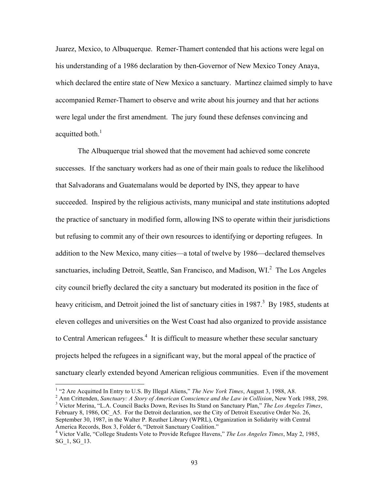Juarez, Mexico, to Albuquerque. Remer-Thamert contended that his actions were legal on his understanding of a 1986 declaration by then-Governor of New Mexico Toney Anaya, which declared the entire state of New Mexico a sanctuary. Martinez claimed simply to have accompanied Remer-Thamert to observe and write about his journey and that her actions were legal under the first amendment. The jury found these defenses convincing and acquitted both. $<sup>1</sup>$ </sup>

The Albuquerque trial showed that the movement had achieved some concrete successes. If the sanctuary workers had as one of their main goals to reduce the likelihood that Salvadorans and Guatemalans would be deported by INS, they appear to have succeeded. Inspired by the religious activists, many municipal and state institutions adopted the practice of sanctuary in modified form, allowing INS to operate within their jurisdictions but refusing to commit any of their own resources to identifying or deporting refugees. In addition to the New Mexico, many cities—a total of twelve by 1986—declared themselves sanctuaries, including Detroit, Seattle, San Francisco, and Madison, WI.<sup>2</sup> The Los Angeles city council briefly declared the city a sanctuary but moderated its position in the face of heavy criticism, and Detroit joined the list of sanctuary cities in 1987.<sup>3</sup> By 1985, students at eleven colleges and universities on the West Coast had also organized to provide assistance to Central American refugees. $4$  It is difficult to measure whether these secular sanctuary projects helped the refugees in a significant way, but the moral appeal of the practice of sanctuary clearly extended beyond American religious communities. Even if the movement

<sup>2</sup> Ann Crittenden, *Sanctuary: A Story of American Conscience and the Law in Collision*, New York 1988, 298. Victor Merina, "L.A. Council Backs Down, Revises Its Stand on Sanctuary Plan," *The Los Angeles Times*, February 8, 1986, OC\_A5. For the Detroit declaration, see the City of Detroit Executive Order No. 26, September 30, 1987, in the Walter P. Reuther Library (WPRL), Organization in Solidarity with Central America Records, Box 3, Folder 6, "Detroit Sanctuary Coalition."

 $\frac{1}{1}$ <sup>1</sup> "2 Are Acquitted In Entry to U.S. By Illegal Aliens," The New York Times, August 3, 1988, A8.

<sup>4</sup> Victor Valle, "College Students Vote to Provide Refugee Havens," *The Los Angeles Times*, May 2, 1985, SG\_1, SG\_13.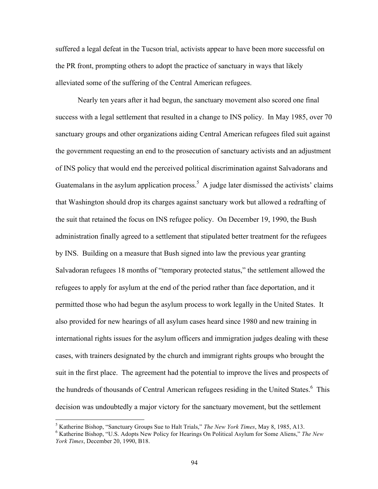suffered a legal defeat in the Tucson trial, activists appear to have been more successful on the PR front, prompting others to adopt the practice of sanctuary in ways that likely alleviated some of the suffering of the Central American refugees.

Nearly ten years after it had begun, the sanctuary movement also scored one final success with a legal settlement that resulted in a change to INS policy. In May 1985, over 70 sanctuary groups and other organizations aiding Central American refugees filed suit against the government requesting an end to the prosecution of sanctuary activists and an adjustment of INS policy that would end the perceived political discrimination against Salvadorans and Guatemalans in the asylum application process.<sup>5</sup> A judge later dismissed the activists' claims that Washington should drop its charges against sanctuary work but allowed a redrafting of the suit that retained the focus on INS refugee policy. On December 19, 1990, the Bush administration finally agreed to a settlement that stipulated better treatment for the refugees by INS. Building on a measure that Bush signed into law the previous year granting Salvadoran refugees 18 months of "temporary protected status," the settlement allowed the refugees to apply for asylum at the end of the period rather than face deportation, and it permitted those who had begun the asylum process to work legally in the United States. It also provided for new hearings of all asylum cases heard since 1980 and new training in international rights issues for the asylum officers and immigration judges dealing with these cases, with trainers designated by the church and immigrant rights groups who brought the suit in the first place. The agreement had the potential to improve the lives and prospects of the hundreds of thousands of Central American refugees residing in the United States.<sup>6</sup> This decision was undoubtedly a major victory for the sanctuary movement, but the settlement

 <sup>5</sup>

<sup>&</sup>lt;sup>5</sup> Katherine Bishop, "Sanctuary Groups Sue to Halt Trials," *The New York Times*, May 8, 1985, A13.<br><sup>6</sup> Katherine Bishop, "U.S. Adopts New Policy for Hearings On Political Asylum for Some Aliens," *The New York Times*, December 20, 1990, B18.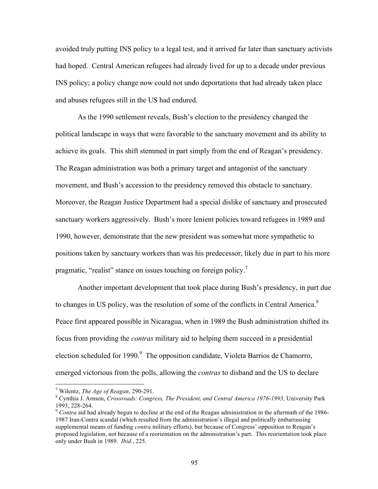avoided truly putting INS policy to a legal test, and it arrived far later than sanctuary activists had hoped. Central American refugees had already lived for up to a decade under previous INS policy; a policy change now could not undo deportations that had already taken place and abuses refugees still in the US had endured.

As the 1990 settlement reveals, Bush's election to the presidency changed the political landscape in ways that were favorable to the sanctuary movement and its ability to achieve its goals. This shift stemmed in part simply from the end of Reagan's presidency. The Reagan administration was both a primary target and antagonist of the sanctuary movement, and Bush's accession to the presidency removed this obstacle to sanctuary. Moreover, the Reagan Justice Department had a special dislike of sanctuary and prosecuted sanctuary workers aggressively. Bush's more lenient policies toward refugees in 1989 and 1990, however, demonstrate that the new president was somewhat more sympathetic to positions taken by sanctuary workers than was his predecessor, likely due in part to his more pragmatic, "realist" stance on issues touching on foreign policy.

Another important development that took place during Bush's presidency, in part due to changes in US policy, was the resolution of some of the conflicts in Central America.<sup>8</sup> Peace first appeared possible in Nicaragua, when in 1989 the Bush administration shifted its focus from providing the *contras* military aid to helping them succeed in a presidential election scheduled for 1990.<sup>9</sup> The opposition candidate, Violeta Barrios de Chamorro, emerged victorious from the polls, allowing the *contras* to disband and the US to declare

<sup>-&</sup>lt;br>7 <sup>7</sup> Wilentz, *The Age of Reagan*, 290-291.

Cynthia J. Arnson, *Crossroads: Congress, The President, and Central America 1976-1993*, University Park

<sup>&</sup>lt;sup>9</sup> *Contra* aid had already begun to decline at the end of the Reagan administration in the aftermath of the 1986-1987 Iran-Contra scandal (which resulted from the administration's illegal and politically embarrassing supplemental means of funding *contra* military efforts), but because of Congress' opposition to Reagan's proposed legislation, not because of a reorientation on the administration's part. This reorientation took place only under Bush in 1989. *Ibid.*, 225.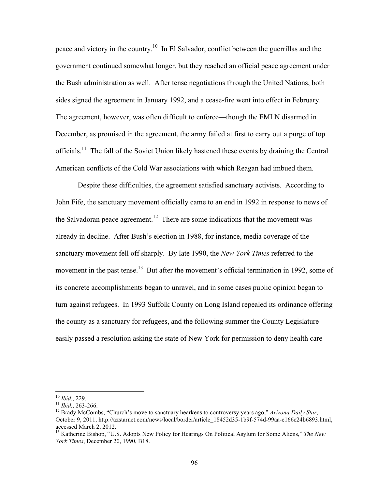peace and victory in the country.10 In El Salvador, conflict between the guerrillas and the government continued somewhat longer, but they reached an official peace agreement under the Bush administration as well. After tense negotiations through the United Nations, both sides signed the agreement in January 1992, and a cease-fire went into effect in February. The agreement, however, was often difficult to enforce—though the FMLN disarmed in December, as promised in the agreement, the army failed at first to carry out a purge of top officials.<sup>11</sup> The fall of the Soviet Union likely hastened these events by draining the Central American conflicts of the Cold War associations with which Reagan had imbued them.

Despite these difficulties, the agreement satisfied sanctuary activists. According to John Fife, the sanctuary movement officially came to an end in 1992 in response to news of the Salvadoran peace agreement.<sup>12</sup> There are some indications that the movement was already in decline. After Bush's election in 1988, for instance, media coverage of the sanctuary movement fell off sharply. By late 1990, the *New York Times* referred to the movement in the past tense.<sup>13</sup> But after the movement's official termination in 1992, some of its concrete accomplishments began to unravel, and in some cases public opinion began to turn against refugees. In 1993 Suffolk County on Long Island repealed its ordinance offering the county as a sanctuary for refugees, and the following summer the County Legislature easily passed a resolution asking the state of New York for permission to deny health care

<sup>&</sup>lt;sup>10</sup> *Ibid.*, 229.<br><sup>11</sup> *Ibid.*, 263-266.<br><sup>12</sup> Brady McCombs, "Church's move to sanctuary hearkens to controversy years ago," *Arizona Daily Star*, October 9, 2011, http://azstarnet.com/news/local/border/article\_18452d35-1b9f-574d-99aa-e166c24b6893.html, accessed March 2, 2012.

<sup>13</sup> Katherine Bishop, "U.S. Adopts New Policy for Hearings On Political Asylum for Some Aliens," *The New York Times*, December 20, 1990, B18.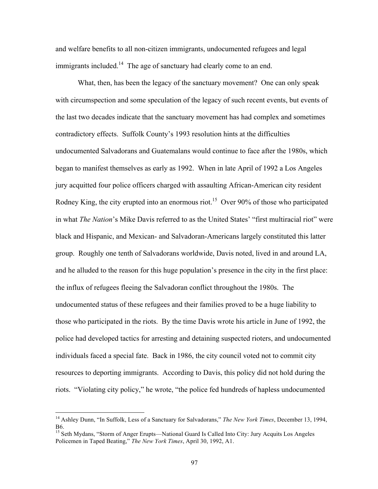and welfare benefits to all non-citizen immigrants, undocumented refugees and legal immigrants included.<sup>14</sup> The age of sanctuary had clearly come to an end.

What, then, has been the legacy of the sanctuary movement? One can only speak with circumspection and some speculation of the legacy of such recent events, but events of the last two decades indicate that the sanctuary movement has had complex and sometimes contradictory effects. Suffolk County's 1993 resolution hints at the difficulties undocumented Salvadorans and Guatemalans would continue to face after the 1980s, which began to manifest themselves as early as 1992. When in late April of 1992 a Los Angeles jury acquitted four police officers charged with assaulting African-American city resident Rodney King, the city erupted into an enormous riot.<sup>15</sup> Over 90% of those who participated in what *The Nation*'s Mike Davis referred to as the United States' "first multiracial riot" were black and Hispanic, and Mexican- and Salvadoran-Americans largely constituted this latter group. Roughly one tenth of Salvadorans worldwide, Davis noted, lived in and around LA, and he alluded to the reason for this huge population's presence in the city in the first place: the influx of refugees fleeing the Salvadoran conflict throughout the 1980s. The undocumented status of these refugees and their families proved to be a huge liability to those who participated in the riots. By the time Davis wrote his article in June of 1992, the police had developed tactics for arresting and detaining suspected rioters, and undocumented individuals faced a special fate. Back in 1986, the city council voted not to commit city resources to deporting immigrants. According to Davis, this policy did not hold during the riots. "Violating city policy," he wrote, "the police fed hundreds of hapless undocumented

 <sup>14</sup> Ashley Dunn, "In Suffolk, Less of a Sanctuary for Salvadorans," *The New York Times*, December 13, 1994, B6.

<sup>&</sup>lt;sup>15</sup> Seth Mydans, "Storm of Anger Erupts—National Guard Is Called Into City: Jury Acquits Los Angeles Policemen in Taped Beating," *The New York Times*, April 30, 1992, A1.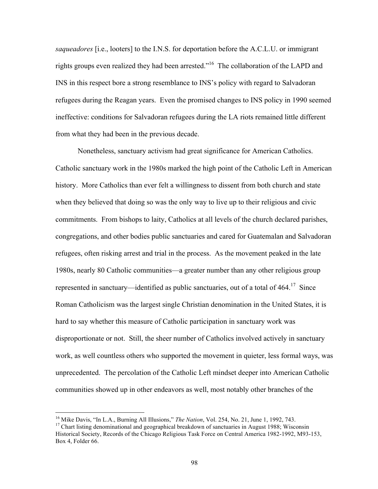*saqueadores* [i.e., looters] to the I.N.S. for deportation before the A.C.L.U. or immigrant rights groups even realized they had been arrested."16 The collaboration of the LAPD and INS in this respect bore a strong resemblance to INS's policy with regard to Salvadoran refugees during the Reagan years. Even the promised changes to INS policy in 1990 seemed ineffective: conditions for Salvadoran refugees during the LA riots remained little different from what they had been in the previous decade.

Nonetheless, sanctuary activism had great significance for American Catholics. Catholic sanctuary work in the 1980s marked the high point of the Catholic Left in American history. More Catholics than ever felt a willingness to dissent from both church and state when they believed that doing so was the only way to live up to their religious and civic commitments. From bishops to laity, Catholics at all levels of the church declared parishes, congregations, and other bodies public sanctuaries and cared for Guatemalan and Salvadoran refugees, often risking arrest and trial in the process. As the movement peaked in the late 1980s, nearly 80 Catholic communities—a greater number than any other religious group represented in sanctuary—identified as public sanctuaries, out of a total of  $464$ <sup> $17$ </sup> Since Roman Catholicism was the largest single Christian denomination in the United States, it is hard to say whether this measure of Catholic participation in sanctuary work was disproportionate or not. Still, the sheer number of Catholics involved actively in sanctuary work, as well countless others who supported the movement in quieter, less formal ways, was unprecedented. The percolation of the Catholic Left mindset deeper into American Catholic communities showed up in other endeavors as well, most notably other branches of the

<sup>&</sup>lt;sup>16</sup> Mike Davis, "In L.A., Burning All Illusions," *The Nation*, Vol. 254, No. 21, June 1, 1992, 743.<br><sup>17</sup> Chart listing denominational and geographical breakdown of sanctuaries in August 1988; Wisconsin

Historical Society, Records of the Chicago Religious Task Force on Central America 1982-1992, M93-153, Box 4, Folder 66.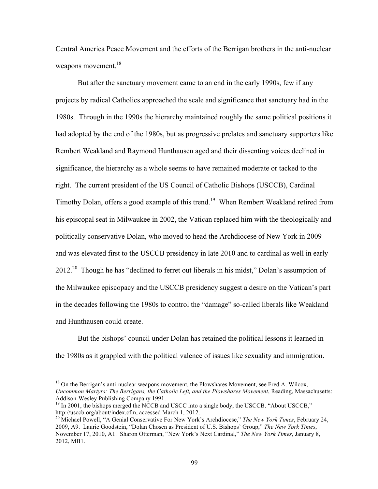Central America Peace Movement and the efforts of the Berrigan brothers in the anti-nuclear weapons movement.<sup>18</sup>

But after the sanctuary movement came to an end in the early 1990s, few if any projects by radical Catholics approached the scale and significance that sanctuary had in the 1980s. Through in the 1990s the hierarchy maintained roughly the same political positions it had adopted by the end of the 1980s, but as progressive prelates and sanctuary supporters like Rembert Weakland and Raymond Hunthausen aged and their dissenting voices declined in significance, the hierarchy as a whole seems to have remained moderate or tacked to the right. The current president of the US Council of Catholic Bishops (USCCB), Cardinal Timothy Dolan, offers a good example of this trend.<sup>19</sup> When Rembert Weakland retired from his episcopal seat in Milwaukee in 2002, the Vatican replaced him with the theologically and politically conservative Dolan, who moved to head the Archdiocese of New York in 2009 and was elevated first to the USCCB presidency in late 2010 and to cardinal as well in early 2012.<sup>20</sup> Though he has "declined to ferret out liberals in his midst," Dolan's assumption of the Milwaukee episcopacy and the USCCB presidency suggest a desire on the Vatican's part in the decades following the 1980s to control the "damage" so-called liberals like Weakland and Hunthausen could create.

But the bishops' council under Dolan has retained the political lessons it learned in the 1980s as it grappled with the political valence of issues like sexuality and immigration.

<sup>&</sup>lt;sup>18</sup> On the Berrigan's anti-nuclear weapons movement, the Plowshares Movement, see Fred A. Wilcox, *Uncommon Martyrs: The Berrigans, the Catholic Left, and the Plowshares Movement*, Reading, Massachusetts: Addison-Wesley Publishing Company 1991.<br><sup>19</sup> In 2001, the bishops merged the NCCB and USCC into a single body, the USCCB. "About USCCB,"

http://usccb.org/about/index.cfm, accessed March 1, 2012. 20 Michael Powell, "A Genial Conservative For New York's Archdiocese," *The New York Times*, February 24,

<sup>2009,</sup> A9. Laurie Goodstein, "Dolan Chosen as President of U.S. Bishops' Group," *The New York Times*, November 17, 2010, A1. Sharon Otterman, "New York's Next Cardinal," *The New York Times*, January 8, 2012, MB1.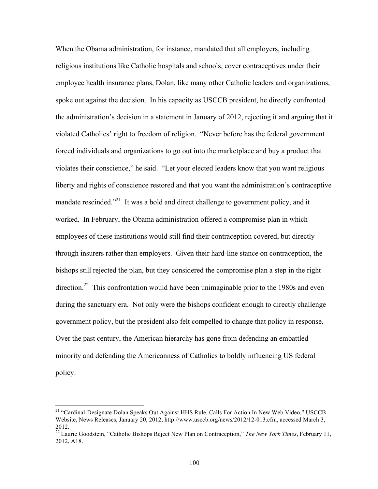When the Obama administration, for instance, mandated that all employers, including religious institutions like Catholic hospitals and schools, cover contraceptives under their employee health insurance plans, Dolan, like many other Catholic leaders and organizations, spoke out against the decision. In his capacity as USCCB president, he directly confronted the administration's decision in a statement in January of 2012, rejecting it and arguing that it violated Catholics' right to freedom of religion. "Never before has the federal government forced individuals and organizations to go out into the marketplace and buy a product that violates their conscience," he said. "Let your elected leaders know that you want religious liberty and rights of conscience restored and that you want the administration's contraceptive mandate rescinded."<sup>21</sup> It was a bold and direct challenge to government policy, and it worked. In February, the Obama administration offered a compromise plan in which employees of these institutions would still find their contraception covered, but directly through insurers rather than employers. Given their hard-line stance on contraception, the bishops still rejected the plan, but they considered the compromise plan a step in the right direction.<sup>22</sup> This confrontation would have been unimaginable prior to the 1980s and even during the sanctuary era. Not only were the bishops confident enough to directly challenge government policy, but the president also felt compelled to change that policy in response. Over the past century, the American hierarchy has gone from defending an embattled minority and defending the Americanness of Catholics to boldly influencing US federal policy.

<sup>&</sup>lt;sup>21</sup> "Cardinal-Designate Dolan Speaks Out Against HHS Rule, Calls For Action In New Web Video," USCCB Website, News Releases, January 20, 2012, http://www.usccb.org/news/2012/12-013.cfm, accessed March 3, 2012.

<sup>22</sup> Laurie Goodstein, "Catholic Bishops Reject New Plan on Contraception," *The New York Times*, February 11, 2012, A18.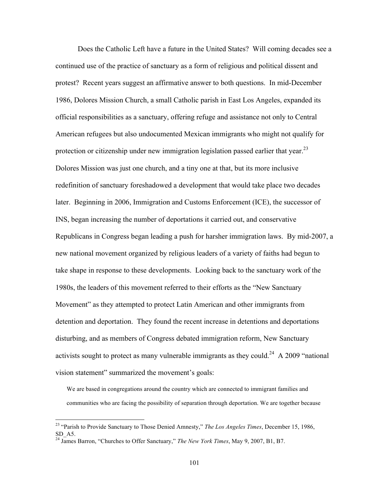Does the Catholic Left have a future in the United States? Will coming decades see a continued use of the practice of sanctuary as a form of religious and political dissent and protest? Recent years suggest an affirmative answer to both questions. In mid-December 1986, Dolores Mission Church, a small Catholic parish in East Los Angeles, expanded its official responsibilities as a sanctuary, offering refuge and assistance not only to Central American refugees but also undocumented Mexican immigrants who might not qualify for protection or citizenship under new immigration legislation passed earlier that year.<sup>23</sup> Dolores Mission was just one church, and a tiny one at that, but its more inclusive redefinition of sanctuary foreshadowed a development that would take place two decades later. Beginning in 2006, Immigration and Customs Enforcement (ICE), the successor of INS, began increasing the number of deportations it carried out, and conservative Republicans in Congress began leading a push for harsher immigration laws. By mid-2007, a new national movement organized by religious leaders of a variety of faiths had begun to take shape in response to these developments. Looking back to the sanctuary work of the 1980s, the leaders of this movement referred to their efforts as the "New Sanctuary Movement" as they attempted to protect Latin American and other immigrants from detention and deportation. They found the recent increase in detentions and deportations disturbing, and as members of Congress debated immigration reform, New Sanctuary activists sought to protect as many vulnerable immigrants as they could.<sup>24</sup> A 2009 "national vision statement" summarized the movement's goals:

We are based in congregations around the country which are connected to immigrant families and communities who are facing the possibility of separation through deportation. We are together because

 <sup>23 &</sup>quot;Parish to Provide Sanctuary to Those Denied Amnesty," *The Los Angeles Times*, December 15, 1986, SD\_A5.

<sup>24</sup> James Barron, "Churches to Offer Sanctuary," *The New York Times*, May 9, 2007, B1, B7.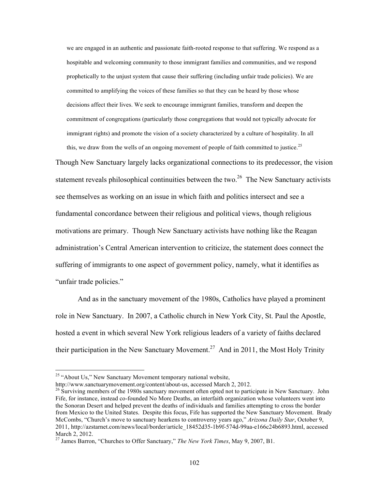we are engaged in an authentic and passionate faith-rooted response to that suffering. We respond as a hospitable and welcoming community to those immigrant families and communities, and we respond prophetically to the unjust system that cause their suffering (including unfair trade policies). We are committed to amplifying the voices of these families so that they can be heard by those whose decisions affect their lives. We seek to encourage immigrant families, transform and deepen the commitment of congregations (particularly those congregations that would not typically advocate for immigrant rights) and promote the vision of a society characterized by a culture of hospitality. In all

this, we draw from the wells of an ongoing movement of people of faith committed to justice.<sup>25</sup> Though New Sanctuary largely lacks organizational connections to its predecessor, the vision statement reveals philosophical continuities between the two. $26$  The New Sanctuary activists see themselves as working on an issue in which faith and politics intersect and see a fundamental concordance between their religious and political views, though religious motivations are primary. Though New Sanctuary activists have nothing like the Reagan administration's Central American intervention to criticize, the statement does connect the suffering of immigrants to one aspect of government policy, namely, what it identifies as "unfair trade policies."

And as in the sanctuary movement of the 1980s, Catholics have played a prominent role in New Sanctuary. In 2007, a Catholic church in New York City, St. Paul the Apostle, hosted a event in which several New York religious leaders of a variety of faiths declared their participation in the New Sanctuary Movement.<sup>27</sup> And in 2011, the Most Holy Trinity

<sup>&</sup>lt;sup>25</sup> "About Us," New Sanctuary Movement temporary national website, http://www.sanctuarymovement.org/content/about-us, accessed March 2, 2012.

 $\frac{26}{3}$  Surviving members of the 1980s sanctuary movement often opted not to participate in New Sanctuary. John Fife, for instance, instead co-founded No More Deaths, an interfaith organization whose volunteers went into the Sonoran Desert and helped prevent the deaths of individuals and families attempting to cross the border from Mexico to the United States. Despite this focus, Fife has supported the New Sanctuary Movement. Brady McCombs, "Church's move to sanctuary hearkens to controversy years ago," *Arizona Daily Star*, October 9, 2011, http://azstarnet.com/news/local/border/article\_18452d35-1b9f-574d-99aa-e166c24b6893.html, accessed March 2, 2012.

<sup>27</sup> James Barron, "Churches to Offer Sanctuary," *The New York Times*, May 9, 2007, B1.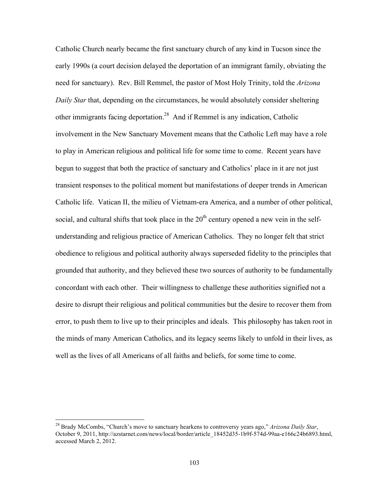Catholic Church nearly became the first sanctuary church of any kind in Tucson since the early 1990s (a court decision delayed the deportation of an immigrant family, obviating the need for sanctuary). Rev. Bill Remmel, the pastor of Most Holy Trinity, told the *Arizona Daily Star* that, depending on the circumstances, he would absolutely consider sheltering other immigrants facing deportation.28 And if Remmel is any indication, Catholic involvement in the New Sanctuary Movement means that the Catholic Left may have a role to play in American religious and political life for some time to come. Recent years have begun to suggest that both the practice of sanctuary and Catholics' place in it are not just transient responses to the political moment but manifestations of deeper trends in American Catholic life. Vatican II, the milieu of Vietnam-era America, and a number of other political, social, and cultural shifts that took place in the  $20<sup>th</sup>$  century opened a new vein in the selfunderstanding and religious practice of American Catholics. They no longer felt that strict obedience to religious and political authority always superseded fidelity to the principles that grounded that authority, and they believed these two sources of authority to be fundamentally concordant with each other. Their willingness to challenge these authorities signified not a desire to disrupt their religious and political communities but the desire to recover them from error, to push them to live up to their principles and ideals. This philosophy has taken root in the minds of many American Catholics, and its legacy seems likely to unfold in their lives, as well as the lives of all Americans of all faiths and beliefs, for some time to come.

 <sup>28</sup> Brady McCombs, "Church's move to sanctuary hearkens to controversy years ago," *Arizona Daily Star*, October 9, 2011, http://azstarnet.com/news/local/border/article\_18452d35-1b9f-574d-99aa-e166c24b6893.html, accessed March 2, 2012.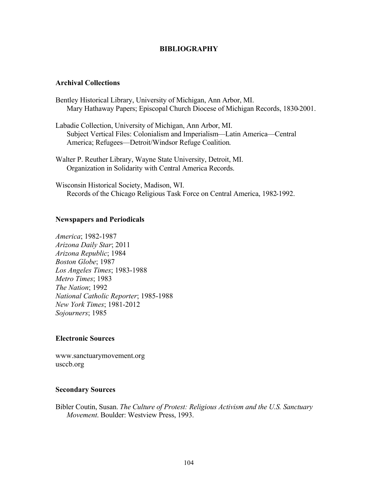## **BIBLIOGRAPHY**

### **Archival Collections**

- Bentley Historical Library, University of Michigan, Ann Arbor, MI. Mary Hathaway Papers; Episcopal Church Diocese of Michigan Records, 1830-2001.
- Labadie Collection, University of Michigan, Ann Arbor, MI. Subject Vertical Files: Colonialism and Imperialism—Latin America—Central America; Refugees—Detroit/Windsor Refuge Coalition.
- Walter P. Reuther Library, Wayne State University, Detroit, MI. Organization in Solidarity with Central America Records.

Wisconsin Historical Society, Madison, WI. Records of the Chicago Religious Task Force on Central America, 1982-1992.

### **Newspapers and Periodicals**

*America*; 1982-1987 *Arizona Daily Star*; 2011 *Arizona Republic*; 1984 *Boston Globe*; 1987 *Los Angeles Times*; 1983-1988 *Metro Times*; 1983 *The Nation*; 1992 *National Catholic Reporter*; 1985-1988 *New York Times*; 1981-2012 *Sojourners*; 1985

### **Electronic Sources**

www.sanctuarymovement.org usccb.org

### **Secondary Sources**

Bibler Coutin, Susan. *The Culture of Protest: Religious Activism and the U.S. Sanctuary Movement*. Boulder: Westview Press, 1993.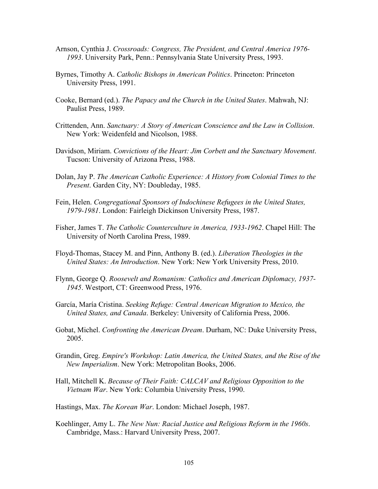- Arnson, Cynthia J. *Crossroads: Congress, The President, and Central America 1976- 1993*. University Park, Penn.: Pennsylvania State University Press, 1993.
- Byrnes, Timothy A. *Catholic Bishops in American Politics*. Princeton: Princeton University Press, 1991.
- Cooke, Bernard (ed.). *The Papacy and the Church in the United States*. Mahwah, NJ: Paulist Press, 1989.
- Crittenden, Ann. *Sanctuary: A Story of American Conscience and the Law in Collision*. New York: Weidenfeld and Nicolson, 1988.
- Davidson, Miriam. *Convictions of the Heart: Jim Corbett and the Sanctuary Movement*. Tucson: University of Arizona Press, 1988.
- Dolan, Jay P. *The American Catholic Experience: A History from Colonial Times to the Present*. Garden City, NY: Doubleday, 1985.
- Fein, Helen. *Congregational Sponsors of Indochinese Refugees in the United States, 1979-1981*. London: Fairleigh Dickinson University Press, 1987.
- Fisher, James T. *The Catholic Counterculture in America, 1933-1962*. Chapel Hill: The University of North Carolina Press, 1989.
- Floyd-Thomas, Stacey M. and Pinn, Anthony B. (ed.). *Liberation Theologies in the United States: An Introduction*. New York: New York University Press, 2010.
- Flynn, George Q. *Roosevelt and Romanism: Catholics and American Diplomacy, 1937- 1945*. Westport, CT: Greenwood Press, 1976.
- García, María Cristina. *Seeking Refuge: Central American Migration to Mexico, the United States, and Canada*. Berkeley: University of California Press, 2006.
- Gobat, Michel. *Confronting the American Dream*. Durham, NC: Duke University Press, 2005.
- Grandin, Greg. *Empire's Workshop: Latin America, the United States, and the Rise of the New Imperialism*. New York: Metropolitan Books, 2006.
- Hall, Mitchell K. *Because of Their Faith: CALCAV and Religious Opposition to the Vietnam War*. New York: Columbia University Press, 1990.
- Hastings, Max. *The Korean War*. London: Michael Joseph, 1987.
- Koehlinger, Amy L. *The New Nun: Racial Justice and Religious Reform in the 1960s*. Cambridge, Mass.: Harvard University Press, 2007.